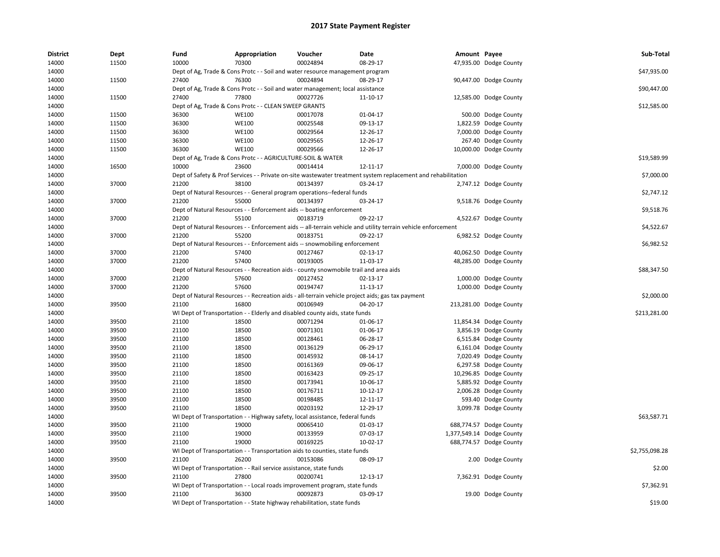| <b>District</b> | Dept  | Fund  | Appropriation                                                                                                 | Voucher  | Date     | Amount Payee |                           | Sub-Total      |
|-----------------|-------|-------|---------------------------------------------------------------------------------------------------------------|----------|----------|--------------|---------------------------|----------------|
| 14000           | 11500 | 10000 | 70300                                                                                                         | 00024894 | 08-29-17 |              | 47,935.00 Dodge County    |                |
| 14000           |       |       | Dept of Ag, Trade & Cons Protc - - Soil and water resource management program                                 |          |          |              |                           | \$47,935.00    |
| 14000           | 11500 | 27400 | 76300                                                                                                         | 00024894 | 08-29-17 |              | 90,447.00 Dodge County    |                |
| 14000           |       |       | Dept of Ag, Trade & Cons Protc - - Soil and water management; local assistance                                |          |          |              |                           | \$90,447.00    |
| 14000           | 11500 | 27400 | 77800                                                                                                         | 00027726 | 11-10-17 |              | 12,585.00 Dodge County    |                |
| 14000           |       |       | Dept of Ag, Trade & Cons Protc - - CLEAN SWEEP GRANTS                                                         |          |          |              |                           | \$12,585.00    |
| 14000           | 11500 | 36300 | <b>WE100</b>                                                                                                  | 00017078 | 01-04-17 |              | 500.00 Dodge County       |                |
| 14000           | 11500 | 36300 | <b>WE100</b>                                                                                                  | 00025548 | 09-13-17 |              | 1,822.59 Dodge County     |                |
| 14000           | 11500 | 36300 | <b>WE100</b>                                                                                                  | 00029564 | 12-26-17 |              | 7,000.00 Dodge County     |                |
| 14000           | 11500 | 36300 | <b>WE100</b>                                                                                                  | 00029565 | 12-26-17 |              | 267.40 Dodge County       |                |
| 14000           | 11500 | 36300 | WE100                                                                                                         | 00029566 | 12-26-17 |              | 10,000.00 Dodge County    |                |
| 14000           |       |       | Dept of Ag, Trade & Cons Protc - - AGRICULTURE-SOIL & WATER                                                   |          |          |              |                           | \$19,589.99    |
| 14000           | 16500 | 10000 | 23600                                                                                                         | 00014414 | 12-11-17 |              | 7,000.00 Dodge County     |                |
| 14000           |       |       | Dept of Safety & Prof Services - - Private on-site wastewater treatment system replacement and rehabilitation |          |          |              |                           | \$7,000.00     |
| 14000           | 37000 | 21200 | 38100                                                                                                         | 00134397 | 03-24-17 |              | 2,747.12 Dodge County     |                |
| 14000           |       |       | Dept of Natural Resources - - General program operations--federal funds                                       |          |          |              |                           | \$2,747.12     |
| 14000           | 37000 | 21200 | 55000                                                                                                         | 00134397 | 03-24-17 |              | 9,518.76 Dodge County     |                |
| 14000           |       |       | Dept of Natural Resources - - Enforcement aids -- boating enforcement                                         |          |          |              |                           | \$9,518.76     |
| 14000           | 37000 | 21200 | 55100                                                                                                         | 00183719 | 09-22-17 |              | 4,522.67 Dodge County     |                |
| 14000           |       |       |                                                                                                               |          |          |              |                           | \$4,522.67     |
|                 |       | 21200 | Dept of Natural Resources - - Enforcement aids -- all-terrain vehicle and utility terrain vehicle enforcement |          |          |              |                           |                |
| 14000           | 37000 |       | 55200                                                                                                         | 00183751 | 09-22-17 |              | 6,982.52 Dodge County     |                |
| 14000           |       |       | Dept of Natural Resources - - Enforcement aids -- snowmobiling enforcement                                    |          |          |              |                           | \$6,982.52     |
| 14000           | 37000 | 21200 | 57400                                                                                                         | 00127467 | 02-13-17 |              | 40,062.50 Dodge County    |                |
| 14000           | 37000 | 21200 | 57400                                                                                                         | 00193005 | 11-03-17 |              | 48,285.00 Dodge County    |                |
| 14000           |       |       | Dept of Natural Resources - - Recreation aids - county snowmobile trail and area aids                         |          |          |              |                           | \$88,347.50    |
| 14000           | 37000 | 21200 | 57600                                                                                                         | 00127452 | 02-13-17 |              | 1,000.00 Dodge County     |                |
| 14000           | 37000 | 21200 | 57600                                                                                                         | 00194747 | 11-13-17 |              | 1,000.00 Dodge County     |                |
| 14000           |       |       | Dept of Natural Resources - - Recreation aids - all-terrain vehicle project aids; gas tax payment             |          |          |              |                           | \$2,000.00     |
| 14000           | 39500 | 21100 | 16800                                                                                                         | 00106949 | 04-20-17 |              | 213,281.00 Dodge County   |                |
| 14000           |       |       | WI Dept of Transportation - - Elderly and disabled county aids, state funds                                   |          |          |              |                           | \$213,281.00   |
| 14000           | 39500 | 21100 | 18500                                                                                                         | 00071294 | 01-06-17 |              | 11,854.34 Dodge County    |                |
| 14000           | 39500 | 21100 | 18500                                                                                                         | 00071301 | 01-06-17 |              | 3,856.19 Dodge County     |                |
| 14000           | 39500 | 21100 | 18500                                                                                                         | 00128461 | 06-28-17 |              | 6,515.84 Dodge County     |                |
| 14000           | 39500 | 21100 | 18500                                                                                                         | 00136129 | 06-29-17 |              | 6,161.04 Dodge County     |                |
| 14000           | 39500 | 21100 | 18500                                                                                                         | 00145932 | 08-14-17 |              | 7,020.49 Dodge County     |                |
| 14000           | 39500 | 21100 | 18500                                                                                                         | 00161369 | 09-06-17 |              | 6,297.58 Dodge County     |                |
| 14000           | 39500 | 21100 | 18500                                                                                                         | 00163423 | 09-25-17 |              | 10,296.85 Dodge County    |                |
| 14000           | 39500 | 21100 | 18500                                                                                                         | 00173941 | 10-06-17 |              | 5,885.92 Dodge County     |                |
| 14000           | 39500 | 21100 | 18500                                                                                                         | 00176711 | 10-12-17 |              | 2,006.28 Dodge County     |                |
| 14000           | 39500 | 21100 | 18500                                                                                                         | 00198485 | 12-11-17 |              | 593.40 Dodge County       |                |
| 14000           | 39500 | 21100 | 18500                                                                                                         | 00203192 | 12-29-17 |              | 3,099.78 Dodge County     |                |
| 14000           |       |       | WI Dept of Transportation - - Highway safety, local assistance, federal funds                                 |          |          |              |                           | \$63,587.71    |
| 14000           | 39500 | 21100 | 19000                                                                                                         | 00065410 | 01-03-17 |              | 688,774.57 Dodge County   |                |
| 14000           | 39500 | 21100 | 19000                                                                                                         | 00133959 | 07-03-17 |              | 1,377,549.14 Dodge County |                |
| 14000           | 39500 | 21100 | 19000                                                                                                         | 00169225 | 10-02-17 |              | 688,774.57 Dodge County   |                |
| 14000           |       |       | WI Dept of Transportation - - Transportation aids to counties, state funds                                    |          |          |              |                           | \$2,755,098.28 |
| 14000           | 39500 | 21100 | 26200                                                                                                         | 00153086 | 08-09-17 |              | 2.00 Dodge County         |                |
| 14000           |       |       | WI Dept of Transportation - - Rail service assistance, state funds                                            |          |          |              |                           | \$2.00         |
| 14000           | 39500 | 21100 | 27800                                                                                                         | 00200741 | 12-13-17 |              | 7,362.91 Dodge County     |                |
| 14000           |       |       | WI Dept of Transportation - - Local roads improvement program, state funds                                    |          |          |              |                           | \$7,362.91     |
| 14000           | 39500 | 21100 | 36300                                                                                                         | 00092873 | 03-09-17 |              | 19.00 Dodge County        |                |
| 14000           |       |       |                                                                                                               |          |          |              |                           | \$19.00        |
|                 |       |       | WI Dept of Transportation - - State highway rehabilitation, state funds                                       |          |          |              |                           |                |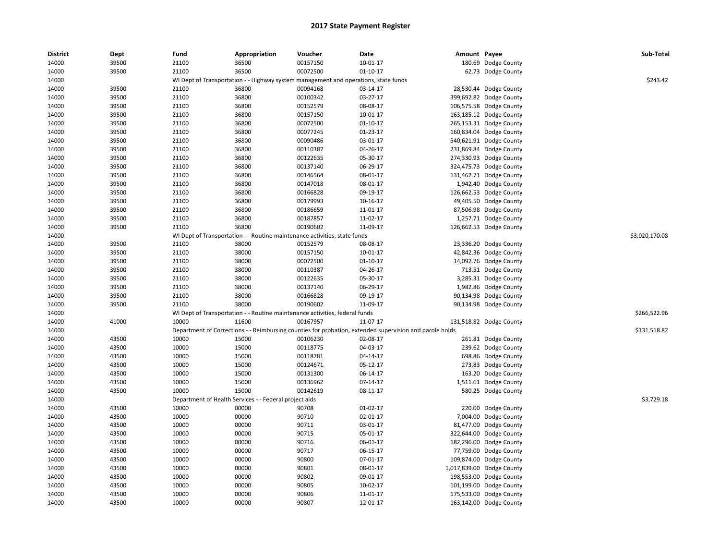| <b>District</b> | Dept  | Fund  | Appropriation                                                                       | Voucher  | Date                                                                                                    | Amount Payee |                           | Sub-Total      |
|-----------------|-------|-------|-------------------------------------------------------------------------------------|----------|---------------------------------------------------------------------------------------------------------|--------------|---------------------------|----------------|
| 14000           | 39500 | 21100 | 36500                                                                               | 00157150 | 10-01-17                                                                                                |              | 180.69 Dodge County       |                |
| 14000           | 39500 | 21100 | 36500                                                                               | 00072500 | $01 - 10 - 17$                                                                                          |              | 62.73 Dodge County        |                |
| 14000           |       |       | WI Dept of Transportation - - Highway system management and operations, state funds |          |                                                                                                         |              |                           | \$243.42       |
| 14000           | 39500 | 21100 | 36800                                                                               | 00094168 | 03-14-17                                                                                                |              | 28,530.44 Dodge County    |                |
| 14000           | 39500 | 21100 | 36800                                                                               | 00100342 | 03-27-17                                                                                                |              | 399,692.82 Dodge County   |                |
| 14000           | 39500 | 21100 | 36800                                                                               | 00152579 | 08-08-17                                                                                                |              | 106,575.58 Dodge County   |                |
| 14000           | 39500 | 21100 | 36800                                                                               | 00157150 | 10-01-17                                                                                                |              | 163,185.12 Dodge County   |                |
| 14000           | 39500 | 21100 | 36800                                                                               | 00072500 | $01 - 10 - 17$                                                                                          |              | 265,153.31 Dodge County   |                |
| 14000           | 39500 | 21100 | 36800                                                                               | 00077245 | 01-23-17                                                                                                |              | 160,834.04 Dodge County   |                |
| 14000           | 39500 | 21100 | 36800                                                                               | 00090486 | 03-01-17                                                                                                | 540,621.91   | Dodge County              |                |
| 14000           | 39500 | 21100 | 36800                                                                               | 00110387 | 04-26-17                                                                                                |              | 231,869.84 Dodge County   |                |
| 14000           | 39500 | 21100 | 36800                                                                               | 00122635 | 05-30-17                                                                                                |              | 274,330.93 Dodge County   |                |
| 14000           | 39500 | 21100 | 36800                                                                               | 00137140 | 06-29-17                                                                                                |              | 324,475.73 Dodge County   |                |
| 14000           | 39500 | 21100 | 36800                                                                               | 00146564 | 08-01-17                                                                                                |              | 131,462.71 Dodge County   |                |
| 14000           | 39500 | 21100 | 36800                                                                               | 00147018 | 08-01-17                                                                                                | 1,942.40     | Dodge County              |                |
| 14000           | 39500 | 21100 | 36800                                                                               | 00166828 | 09-19-17                                                                                                |              | 126,662.53 Dodge County   |                |
| 14000           | 39500 | 21100 | 36800                                                                               | 00179993 | 10-16-17                                                                                                |              | 49,405.50 Dodge County    |                |
| 14000           | 39500 | 21100 | 36800                                                                               | 00186659 | 11-01-17                                                                                                |              | 87,506.98 Dodge County    |                |
| 14000           | 39500 | 21100 | 36800                                                                               | 00187857 | 11-02-17                                                                                                |              | 1,257.71 Dodge County     |                |
| 14000           | 39500 | 21100 | 36800                                                                               | 00190602 | 11-09-17                                                                                                |              | 126,662.53 Dodge County   |                |
| 14000           |       |       | WI Dept of Transportation - - Routine maintenance activities, state funds           |          |                                                                                                         |              |                           | \$3,020,170.08 |
| 14000           | 39500 | 21100 | 38000                                                                               | 00152579 | 08-08-17                                                                                                |              | 23,336.20 Dodge County    |                |
| 14000           | 39500 | 21100 | 38000                                                                               | 00157150 | 10-01-17                                                                                                |              | 42,842.36 Dodge County    |                |
| 14000           | 39500 | 21100 | 38000                                                                               | 00072500 | 01-10-17                                                                                                |              | 14,092.76 Dodge County    |                |
| 14000           | 39500 | 21100 | 38000                                                                               | 00110387 | 04-26-17                                                                                                |              | 713.51 Dodge County       |                |
| 14000           | 39500 | 21100 | 38000                                                                               | 00122635 | 05-30-17                                                                                                |              | 3,285.31 Dodge County     |                |
| 14000           | 39500 | 21100 | 38000                                                                               | 00137140 | 06-29-17                                                                                                |              | 1,982.86 Dodge County     |                |
| 14000           | 39500 | 21100 | 38000                                                                               | 00166828 | 09-19-17                                                                                                |              | 90,134.98 Dodge County    |                |
| 14000           | 39500 | 21100 | 38000                                                                               | 00190602 | 11-09-17                                                                                                |              | 90,134.98 Dodge County    |                |
| 14000           |       |       | WI Dept of Transportation - - Routine maintenance activities, federal funds         |          |                                                                                                         |              |                           | \$266,522.96   |
| 14000           | 41000 | 10000 | 11600                                                                               | 00167957 | 11-07-17                                                                                                |              | 131,518.82 Dodge County   |                |
| 14000           |       |       |                                                                                     |          | Department of Corrections - - Reimbursing counties for probation, extended supervision and parole holds |              |                           | \$131,518.82   |
| 14000           | 43500 | 10000 | 15000                                                                               | 00106230 | 02-08-17                                                                                                |              | 261.81 Dodge County       |                |
| 14000           | 43500 | 10000 | 15000                                                                               | 00118775 | 04-03-17                                                                                                |              | 239.62 Dodge County       |                |
| 14000           | 43500 | 10000 | 15000                                                                               | 00118781 | 04-14-17                                                                                                |              | 698.86 Dodge County       |                |
| 14000           | 43500 | 10000 | 15000                                                                               | 00124671 | 05-12-17                                                                                                |              | 273.83 Dodge County       |                |
| 14000           | 43500 | 10000 | 15000                                                                               | 00131300 | 06-14-17                                                                                                |              | 163.20 Dodge County       |                |
| 14000           | 43500 | 10000 | 15000                                                                               | 00136962 | $07 - 14 - 17$                                                                                          |              | 1,511.61 Dodge County     |                |
| 14000           | 43500 | 10000 | 15000                                                                               | 00142619 | 08-11-17                                                                                                | 580.25       | Dodge County              |                |
| 14000           |       |       | Department of Health Services - - Federal project aids                              |          |                                                                                                         |              |                           | \$3,729.18     |
| 14000           | 43500 | 10000 | 00000                                                                               | 90708    | 01-02-17                                                                                                |              | 220.00 Dodge County       |                |
| 14000           | 43500 | 10000 | 00000                                                                               | 90710    | 02-01-17                                                                                                |              | 7,004.00 Dodge County     |                |
| 14000           | 43500 | 10000 | 00000                                                                               | 90711    | 03-01-17                                                                                                |              | 81,477.00 Dodge County    |                |
| 14000           | 43500 | 10000 | 00000                                                                               | 90715    | 05-01-17                                                                                                | 322,644.00   | Dodge County              |                |
| 14000           | 43500 | 10000 | 00000                                                                               | 90716    | 06-01-17                                                                                                | 182,296.00   | Dodge County              |                |
| 14000           | 43500 | 10000 | 00000                                                                               | 90717    | 06-15-17                                                                                                | 77,759.00    | Dodge County              |                |
| 14000           | 43500 | 10000 | 00000                                                                               | 90800    | 07-01-17                                                                                                |              | 109,874.00 Dodge County   |                |
| 14000           | 43500 | 10000 | 00000                                                                               | 90801    | 08-01-17                                                                                                |              | 1,017,839.00 Dodge County |                |
| 14000           | 43500 | 10000 | 00000                                                                               | 90802    | 09-01-17                                                                                                |              | 198,553.00 Dodge County   |                |
| 14000           | 43500 | 10000 | 00000                                                                               | 90805    | 10-02-17                                                                                                |              | 101,199.00 Dodge County   |                |
| 14000           | 43500 | 10000 | 00000                                                                               | 90806    | 11-01-17                                                                                                |              | 175,533.00 Dodge County   |                |
| 14000           | 43500 | 10000 | 00000                                                                               | 90807    | 12-01-17                                                                                                |              | 163,142.00 Dodge County   |                |
|                 |       |       |                                                                                     |          |                                                                                                         |              |                           |                |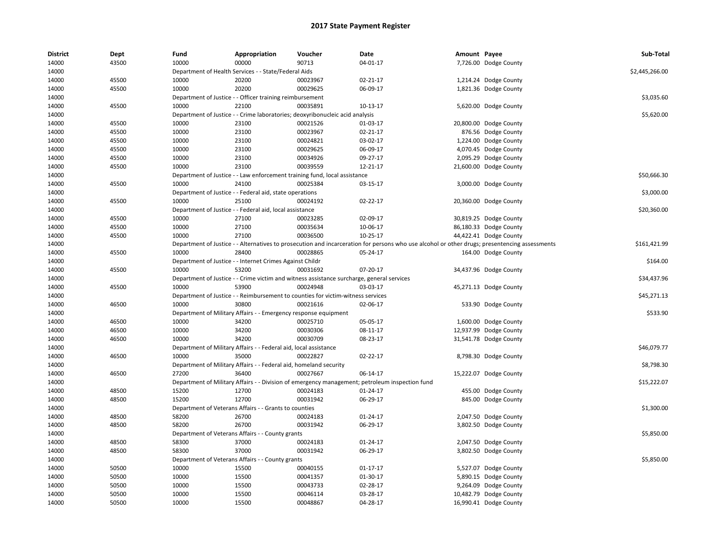| <b>District</b> | Dept  | Fund  | Appropriation                                                     | Voucher                                                                                   | <b>Date</b>                                                                                                                                   | Amount Payee |                        | Sub-Total      |
|-----------------|-------|-------|-------------------------------------------------------------------|-------------------------------------------------------------------------------------------|-----------------------------------------------------------------------------------------------------------------------------------------------|--------------|------------------------|----------------|
| 14000           | 43500 | 10000 | 00000                                                             | 90713                                                                                     | 04-01-17                                                                                                                                      |              | 7,726.00 Dodge County  |                |
| 14000           |       |       | Department of Health Services - - State/Federal Aids              |                                                                                           |                                                                                                                                               |              |                        | \$2,445,266.00 |
| 14000           | 45500 | 10000 | 20200                                                             | 00023967                                                                                  | 02-21-17                                                                                                                                      |              | 1,214.24 Dodge County  |                |
| 14000           | 45500 | 10000 | 20200                                                             | 00029625                                                                                  | 06-09-17                                                                                                                                      |              | 1,821.36 Dodge County  |                |
| 14000           |       |       | Department of Justice - - Officer training reimbursement          |                                                                                           |                                                                                                                                               |              |                        | \$3,035.60     |
| 14000           | 45500 | 10000 | 22100                                                             | 00035891                                                                                  | 10-13-17                                                                                                                                      |              | 5,620.00 Dodge County  |                |
| 14000           |       |       |                                                                   | Department of Justice - - Crime laboratories; deoxyribonucleic acid analysis              |                                                                                                                                               |              |                        | \$5,620.00     |
| 14000           | 45500 | 10000 | 23100                                                             | 00021526                                                                                  | 01-03-17                                                                                                                                      |              | 20,800.00 Dodge County |                |
| 14000           | 45500 | 10000 | 23100                                                             | 00023967                                                                                  | 02-21-17                                                                                                                                      |              | 876.56 Dodge County    |                |
| 14000           | 45500 | 10000 | 23100                                                             | 00024821                                                                                  | 03-02-17                                                                                                                                      |              | 1,224.00 Dodge County  |                |
| 14000           | 45500 | 10000 | 23100                                                             | 00029625                                                                                  | 06-09-17                                                                                                                                      |              | 4,070.45 Dodge County  |                |
| 14000           | 45500 | 10000 | 23100                                                             | 00034926                                                                                  | 09-27-17                                                                                                                                      |              | 2,095.29 Dodge County  |                |
| 14000           | 45500 | 10000 | 23100                                                             | 00039559                                                                                  | 12-21-17                                                                                                                                      |              | 21,600.00 Dodge County |                |
| 14000           |       |       |                                                                   | Department of Justice - - Law enforcement training fund, local assistance                 |                                                                                                                                               |              |                        | \$50,666.30    |
| 14000           | 45500 | 10000 | 24100                                                             | 00025384                                                                                  | 03-15-17                                                                                                                                      |              | 3,000.00 Dodge County  |                |
| 14000           |       |       | Department of Justice - - Federal aid, state operations           |                                                                                           |                                                                                                                                               |              |                        | \$3,000.00     |
| 14000           | 45500 | 10000 | 25100                                                             | 00024192                                                                                  | $02 - 22 - 17$                                                                                                                                |              | 20,360.00 Dodge County |                |
| 14000           |       |       | Department of Justice - - Federal aid, local assistance           |                                                                                           |                                                                                                                                               |              |                        | \$20,360.00    |
| 14000           | 45500 | 10000 | 27100                                                             | 00023285                                                                                  | 02-09-17                                                                                                                                      |              | 30,819.25 Dodge County |                |
| 14000           | 45500 | 10000 | 27100                                                             | 00035634                                                                                  | 10-06-17                                                                                                                                      |              | 86,180.33 Dodge County |                |
| 14000           | 45500 | 10000 | 27100                                                             | 00036500                                                                                  | 10-25-17                                                                                                                                      |              | 44,422.41 Dodge County |                |
| 14000           |       |       |                                                                   |                                                                                           | Department of Justice - - Alternatives to prosecution and incarceration for persons who use alcohol or other drugs; presentencing assessments |              |                        | \$161,421.99   |
| 14000           | 45500 | 10000 | 28400                                                             | 00028865                                                                                  | 05-24-17                                                                                                                                      |              | 164.00 Dodge County    |                |
| 14000           |       |       | Department of Justice - - Internet Crimes Against Childr          |                                                                                           |                                                                                                                                               |              |                        | \$164.00       |
| 14000           | 45500 | 10000 | 53200                                                             | 00031692                                                                                  | 07-20-17                                                                                                                                      |              | 34,437.96 Dodge County |                |
| 14000           |       |       |                                                                   | Department of Justice - - Crime victim and witness assistance surcharge, general services |                                                                                                                                               |              |                        | \$34,437.96    |
| 14000           | 45500 | 10000 | 53900                                                             | 00024948                                                                                  | 03-03-17                                                                                                                                      |              | 45,271.13 Dodge County |                |
| 14000           |       |       |                                                                   | Department of Justice - - Reimbursement to counties for victim-witness services           |                                                                                                                                               |              |                        | \$45,271.13    |
| 14000           | 46500 | 10000 | 30800                                                             | 00021616                                                                                  | 02-06-17                                                                                                                                      |              | 533.90 Dodge County    |                |
| 14000           |       |       | Department of Military Affairs - - Emergency response equipment   |                                                                                           |                                                                                                                                               |              |                        | \$533.90       |
| 14000           | 46500 | 10000 | 34200                                                             | 00025710                                                                                  | 05-05-17                                                                                                                                      |              | 1,600.00 Dodge County  |                |
| 14000           | 46500 | 10000 | 34200                                                             | 00030306                                                                                  | 08-11-17                                                                                                                                      |              | 12,937.99 Dodge County |                |
| 14000           | 46500 | 10000 | 34200                                                             | 00030709                                                                                  | 08-23-17                                                                                                                                      |              | 31,541.78 Dodge County |                |
|                 |       |       |                                                                   |                                                                                           |                                                                                                                                               |              |                        | \$46,079.77    |
| 14000           |       |       | Department of Military Affairs - - Federal aid, local assistance  |                                                                                           |                                                                                                                                               |              |                        |                |
| 14000           | 46500 | 10000 | 35000                                                             | 00022827                                                                                  | 02-22-17                                                                                                                                      |              | 8,798.30 Dodge County  |                |
| 14000           |       |       | Department of Military Affairs - - Federal aid, homeland security |                                                                                           |                                                                                                                                               |              |                        | \$8,798.30     |
| 14000           | 46500 | 27200 | 36400                                                             | 00027667                                                                                  | 06-14-17                                                                                                                                      |              | 15,222.07 Dodge County |                |
| 14000           |       |       |                                                                   |                                                                                           | Department of Military Affairs - - Division of emergency management; petroleum inspection fund                                                |              |                        | \$15,222.07    |
| 14000           | 48500 | 15200 | 12700                                                             | 00024183                                                                                  | 01-24-17                                                                                                                                      |              | 455.00 Dodge County    |                |
| 14000           | 48500 | 15200 | 12700                                                             | 00031942                                                                                  | 06-29-17                                                                                                                                      |              | 845.00 Dodge County    |                |
| 14000           |       |       | Department of Veterans Affairs - - Grants to counties             |                                                                                           |                                                                                                                                               |              |                        | \$1,300.00     |
| 14000           | 48500 | 58200 | 26700                                                             | 00024183                                                                                  | 01-24-17                                                                                                                                      |              | 2,047.50 Dodge County  |                |
| 14000           | 48500 | 58200 | 26700                                                             | 00031942                                                                                  | 06-29-17                                                                                                                                      |              | 3,802.50 Dodge County  |                |
| 14000           |       |       | Department of Veterans Affairs - - County grants                  |                                                                                           |                                                                                                                                               |              |                        | \$5,850.00     |
| 14000           | 48500 | 58300 | 37000                                                             | 00024183                                                                                  | $01 - 24 - 17$                                                                                                                                |              | 2,047.50 Dodge County  |                |
| 14000           | 48500 | 58300 | 37000                                                             | 00031942                                                                                  | 06-29-17                                                                                                                                      |              | 3,802.50 Dodge County  |                |
| 14000           |       |       | Department of Veterans Affairs - - County grants                  |                                                                                           |                                                                                                                                               |              |                        | \$5,850.00     |
| 14000           | 50500 | 10000 | 15500                                                             | 00040155                                                                                  | 01-17-17                                                                                                                                      |              | 5,527.07 Dodge County  |                |
| 14000           | 50500 | 10000 | 15500                                                             | 00041357                                                                                  | 01-30-17                                                                                                                                      |              | 5,890.15 Dodge County  |                |
| 14000           | 50500 | 10000 | 15500                                                             | 00043733                                                                                  | 02-28-17                                                                                                                                      |              | 9,264.09 Dodge County  |                |
| 14000           | 50500 | 10000 | 15500                                                             | 00046114                                                                                  | 03-28-17                                                                                                                                      |              | 10,482.79 Dodge County |                |
| 14000           | 50500 | 10000 | 15500                                                             | 00048867                                                                                  | 04-28-17                                                                                                                                      |              | 16,990.41 Dodge County |                |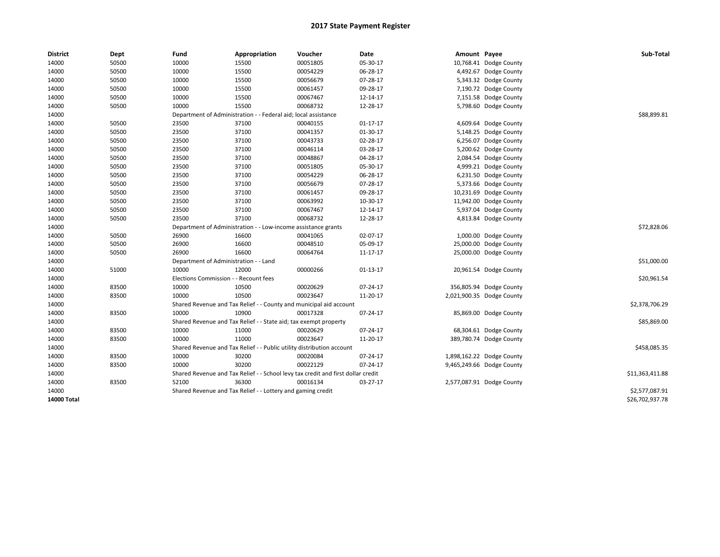| <b>District</b>    | Dept  | Fund                                  | Appropriation                                                         | Voucher                                                                          | Date           | Amount Payee |                           | Sub-Total       |
|--------------------|-------|---------------------------------------|-----------------------------------------------------------------------|----------------------------------------------------------------------------------|----------------|--------------|---------------------------|-----------------|
| 14000              | 50500 | 10000                                 | 15500                                                                 | 00051805                                                                         | 05-30-17       |              | 10,768.41 Dodge County    |                 |
| 14000              | 50500 | 10000                                 | 15500                                                                 | 00054229                                                                         | 06-28-17       |              | 4,492.67 Dodge County     |                 |
| 14000              | 50500 | 10000                                 | 15500                                                                 | 00056679                                                                         | 07-28-17       |              | 5,343.32 Dodge County     |                 |
| 14000              | 50500 | 10000                                 | 15500                                                                 | 00061457                                                                         | 09-28-17       |              | 7,190.72 Dodge County     |                 |
| 14000              | 50500 | 10000                                 | 15500                                                                 | 00067467                                                                         | 12-14-17       |              | 7,151.58 Dodge County     |                 |
| 14000              | 50500 | 10000                                 | 15500                                                                 | 00068732                                                                         | 12-28-17       |              | 5,798.60 Dodge County     |                 |
| 14000              |       | Department of Administration -        |                                                                       | - Federal aid; local assistance                                                  |                |              |                           | \$88,899.81     |
| 14000              | 50500 | 23500                                 | 37100                                                                 | 00040155                                                                         | $01 - 17 - 17$ |              | 4,609.64 Dodge County     |                 |
| 14000              | 50500 | 23500                                 | 37100                                                                 | 00041357                                                                         | 01-30-17       |              | 5,148.25 Dodge County     |                 |
| 14000              | 50500 | 23500                                 | 37100                                                                 | 00043733                                                                         | 02-28-17       |              | 6,256.07 Dodge County     |                 |
| 14000              | 50500 | 23500                                 | 37100                                                                 | 00046114                                                                         | 03-28-17       |              | 5,200.62 Dodge County     |                 |
| 14000              | 50500 | 23500                                 | 37100                                                                 | 00048867                                                                         | 04-28-17       |              | 2,084.54 Dodge County     |                 |
| 14000              | 50500 | 23500                                 | 37100                                                                 | 00051805                                                                         | 05-30-17       |              | 4,999.21 Dodge County     |                 |
| 14000              | 50500 | 23500                                 | 37100                                                                 | 00054229                                                                         | 06-28-17       |              | 6,231.50 Dodge County     |                 |
| 14000              | 50500 | 23500                                 | 37100                                                                 | 00056679                                                                         | 07-28-17       |              | 5,373.66 Dodge County     |                 |
| 14000              | 50500 | 23500                                 | 37100                                                                 | 00061457                                                                         | 09-28-17       |              | 10,231.69 Dodge County    |                 |
| 14000              | 50500 | 23500                                 | 37100                                                                 | 00063992                                                                         | 10-30-17       |              | 11,942.00 Dodge County    |                 |
| 14000              | 50500 | 23500                                 | 37100                                                                 | 00067467                                                                         | 12-14-17       |              | 5,937.04 Dodge County     |                 |
| 14000              | 50500 | 23500                                 | 37100                                                                 | 00068732                                                                         | 12-28-17       |              | 4,813.84 Dodge County     |                 |
| 14000              |       |                                       | Department of Administration - - Low-income assistance grants         |                                                                                  |                |              |                           | \$72,828.06     |
| 14000              | 50500 | 26900                                 | 16600                                                                 | 00041065                                                                         | 02-07-17       |              | 1,000.00 Dodge County     |                 |
| 14000              | 50500 | 26900                                 | 16600                                                                 | 00048510                                                                         | 05-09-17       |              | 25,000.00 Dodge County    |                 |
| 14000              | 50500 | 26900                                 | 16600                                                                 | 00064764                                                                         | 11-17-17       |              | 25,000.00 Dodge County    |                 |
| 14000              |       | Department of Administration - - Land |                                                                       |                                                                                  |                |              |                           | \$51,000.00     |
| 14000              | 51000 | 10000                                 | 12000                                                                 | 00000266                                                                         | $01-13-17$     |              | 20,961.54 Dodge County    |                 |
| 14000              |       | Elections Commission - - Recount fees |                                                                       |                                                                                  |                |              |                           | \$20,961.54     |
| 14000              | 83500 | 10000                                 | 10500                                                                 | 00020629                                                                         | 07-24-17       |              | 356,805.94 Dodge County   |                 |
| 14000              | 83500 | 10000                                 | 10500                                                                 | 00023647                                                                         | 11-20-17       |              | 2,021,900.35 Dodge County |                 |
| 14000              |       |                                       | Shared Revenue and Tax Relief - - County and municipal aid account    |                                                                                  |                |              |                           | \$2,378,706.29  |
| 14000              | 83500 | 10000                                 | 10900                                                                 | 00017328                                                                         | 07-24-17       |              | 85,869.00 Dodge County    |                 |
| 14000              |       |                                       | Shared Revenue and Tax Relief - - State aid; tax exempt property      |                                                                                  |                |              |                           | \$85,869.00     |
| 14000              | 83500 | 10000                                 | 11000                                                                 | 00020629                                                                         | 07-24-17       |              | 68,304.61 Dodge County    |                 |
| 14000              | 83500 | 10000                                 | 11000                                                                 | 00023647                                                                         | 11-20-17       |              | 389,780.74 Dodge County   |                 |
| 14000              |       |                                       | Shared Revenue and Tax Relief - - Public utility distribution account |                                                                                  |                |              |                           | \$458,085.35    |
| 14000              | 83500 | 10000                                 | 30200                                                                 | 00020084                                                                         | 07-24-17       |              | 1,898,162.22 Dodge County |                 |
| 14000              | 83500 | 10000                                 | 30200                                                                 | 00022129                                                                         | 07-24-17       |              | 9,465,249.66 Dodge County |                 |
| 14000              |       |                                       |                                                                       | Shared Revenue and Tax Relief - - School levy tax credit and first dollar credit |                |              |                           | \$11,363,411.88 |
| 14000              | 83500 | 52100                                 | 36300                                                                 | 00016134                                                                         | $03-27-17$     |              | 2,577,087.91 Dodge County |                 |
| 14000              |       |                                       | Shared Revenue and Tax Relief - - Lottery and gaming credit           |                                                                                  |                |              |                           | \$2,577,087.91  |
| <b>14000 Total</b> |       |                                       |                                                                       |                                                                                  |                |              |                           | \$26,702,937.78 |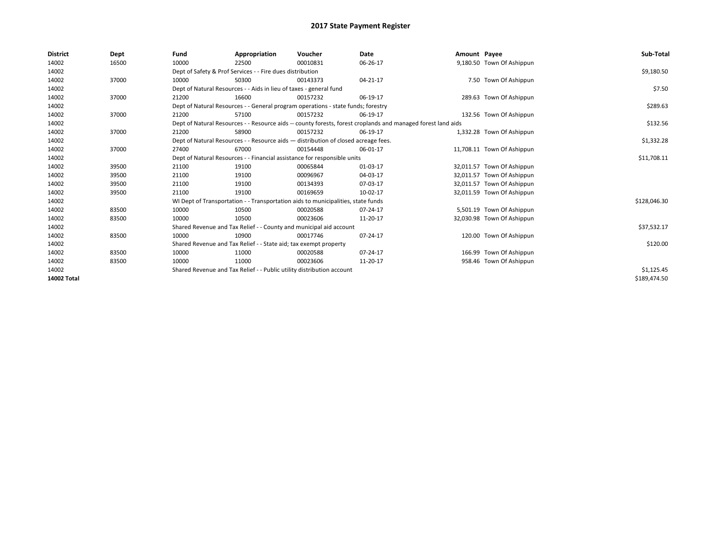| <b>District</b> | Dept  | Fund  | Appropriation                                                                      | Voucher  | Date                                                                                                         | Amount Payee |                            | Sub-Total    |
|-----------------|-------|-------|------------------------------------------------------------------------------------|----------|--------------------------------------------------------------------------------------------------------------|--------------|----------------------------|--------------|
| 14002           | 16500 | 10000 | 22500                                                                              | 00010831 | 06-26-17                                                                                                     |              | 9,180.50 Town Of Ashippun  |              |
| 14002           |       |       | Dept of Safety & Prof Services - - Fire dues distribution                          |          |                                                                                                              |              |                            | \$9,180.50   |
| 14002           | 37000 | 10000 | 50300                                                                              | 00143373 | 04-21-17                                                                                                     |              | 7.50 Town Of Ashippun      |              |
| 14002           |       |       | Dept of Natural Resources - - Aids in lieu of taxes - general fund                 |          |                                                                                                              |              |                            | \$7.50       |
| 14002           | 37000 | 21200 | 16600                                                                              | 00157232 | 06-19-17                                                                                                     |              | 289.63 Town Of Ashippun    |              |
| 14002           |       |       | Dept of Natural Resources - - General program operations - state funds; forestry   |          |                                                                                                              |              |                            | \$289.63     |
| 14002           | 37000 | 21200 | 57100                                                                              | 00157232 | 06-19-17                                                                                                     |              | 132.56 Town Of Ashippun    |              |
| 14002           |       |       |                                                                                    |          | Dept of Natural Resources - - Resource aids -- county forests, forest croplands and managed forest land aids |              |                            | \$132.56     |
| 14002           | 37000 | 21200 | 58900                                                                              | 00157232 | 06-19-17                                                                                                     |              | 1,332.28 Town Of Ashippun  |              |
| 14002           |       |       | Dept of Natural Resources - - Resource aids - distribution of closed acreage fees. |          |                                                                                                              |              |                            | \$1,332.28   |
| 14002           | 37000 | 27400 | 67000                                                                              | 00154448 | 06-01-17                                                                                                     |              | 11,708.11 Town Of Ashippun |              |
| 14002           |       |       | Dept of Natural Resources - - Financial assistance for responsible units           |          |                                                                                                              |              |                            | \$11,708.11  |
| 14002           | 39500 | 21100 | 19100                                                                              | 00065844 | 01-03-17                                                                                                     |              | 32,011.57 Town Of Ashippun |              |
| 14002           | 39500 | 21100 | 19100                                                                              | 00096967 | 04-03-17                                                                                                     |              | 32,011.57 Town Of Ashippun |              |
| 14002           | 39500 | 21100 | 19100                                                                              | 00134393 | 07-03-17                                                                                                     |              | 32,011.57 Town Of Ashippun |              |
| 14002           | 39500 | 21100 | 19100                                                                              | 00169659 | 10-02-17                                                                                                     |              | 32,011.59 Town Of Ashippun |              |
| 14002           |       |       | WI Dept of Transportation - - Transportation aids to municipalities, state funds   |          |                                                                                                              |              |                            | \$128,046.30 |
| 14002           | 83500 | 10000 | 10500                                                                              | 00020588 | 07-24-17                                                                                                     |              | 5,501.19 Town Of Ashippun  |              |
| 14002           | 83500 | 10000 | 10500                                                                              | 00023606 | 11-20-17                                                                                                     |              | 32,030.98 Town Of Ashippun |              |
| 14002           |       |       | Shared Revenue and Tax Relief - - County and municipal aid account                 |          |                                                                                                              |              |                            | \$37,532.17  |
| 14002           | 83500 | 10000 | 10900                                                                              | 00017746 | 07-24-17                                                                                                     |              | 120.00 Town Of Ashippun    |              |
| 14002           |       |       | Shared Revenue and Tax Relief - - State aid; tax exempt property                   |          |                                                                                                              |              |                            | \$120.00     |
| 14002           | 83500 | 10000 | 11000                                                                              | 00020588 | 07-24-17                                                                                                     |              | 166.99 Town Of Ashippun    |              |
| 14002           | 83500 | 10000 | 11000                                                                              | 00023606 | 11-20-17                                                                                                     |              | 958.46 Town Of Ashippun    |              |
| 14002           |       |       | Shared Revenue and Tax Relief - - Public utility distribution account              |          |                                                                                                              |              |                            | \$1,125.45   |
| 14002 Total     |       |       |                                                                                    |          |                                                                                                              |              |                            | \$189,474.50 |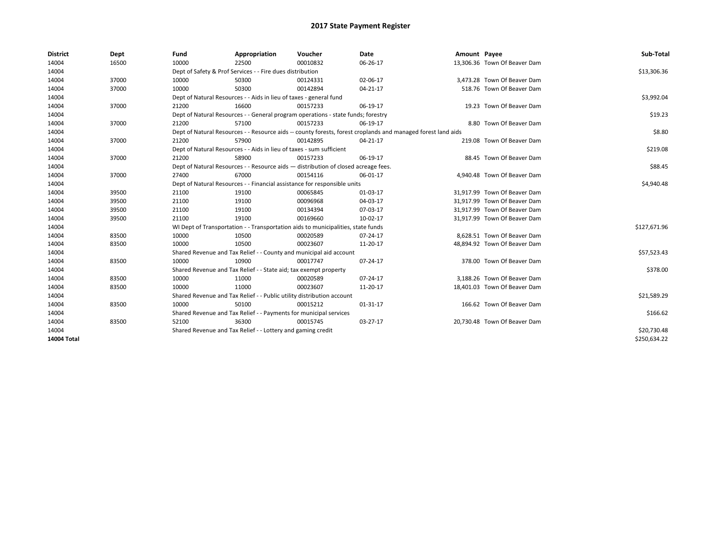| <b>District</b> | Dept  | Fund  | Appropriation                                                                                                | Voucher  | Date     | Amount Payee |                              | Sub-Total    |
|-----------------|-------|-------|--------------------------------------------------------------------------------------------------------------|----------|----------|--------------|------------------------------|--------------|
| 14004           | 16500 | 10000 | 22500                                                                                                        | 00010832 | 06-26-17 |              | 13,306.36 Town Of Beaver Dam |              |
| 14004           |       |       | Dept of Safety & Prof Services - - Fire dues distribution                                                    |          |          |              |                              | \$13,306.36  |
| 14004           | 37000 | 10000 | 50300                                                                                                        | 00124331 | 02-06-17 |              | 3,473.28 Town Of Beaver Dam  |              |
| 14004           | 37000 | 10000 | 50300                                                                                                        | 00142894 | 04-21-17 |              | 518.76 Town Of Beaver Dam    |              |
| 14004           |       |       | Dept of Natural Resources - - Aids in lieu of taxes - general fund                                           |          |          |              |                              | \$3,992.04   |
| 14004           | 37000 | 21200 | 16600                                                                                                        | 00157233 | 06-19-17 |              | 19.23 Town Of Beaver Dam     |              |
| 14004           |       |       | Dept of Natural Resources - - General program operations - state funds; forestry                             |          |          |              |                              | \$19.23      |
| 14004           | 37000 | 21200 | 57100                                                                                                        | 00157233 | 06-19-17 |              | 8.80 Town Of Beaver Dam      |              |
| 14004           |       |       | Dept of Natural Resources - - Resource aids -- county forests, forest croplands and managed forest land aids |          |          |              |                              | \$8.80       |
| 14004           | 37000 | 21200 | 57900                                                                                                        | 00142895 | 04-21-17 |              | 219.08 Town Of Beaver Dam    |              |
| 14004           |       |       | Dept of Natural Resources - - Aids in lieu of taxes - sum sufficient                                         |          |          |              |                              | \$219.08     |
| 14004           | 37000 | 21200 | 58900                                                                                                        | 00157233 | 06-19-17 |              | 88.45 Town Of Beaver Dam     |              |
| 14004           |       |       | Dept of Natural Resources - - Resource aids - distribution of closed acreage fees.                           |          |          |              |                              | \$88.45      |
| 14004           | 37000 | 27400 | 67000                                                                                                        | 00154116 | 06-01-17 |              | 4.940.48 Town Of Beaver Dam  |              |
| 14004           |       |       | Dept of Natural Resources - - Financial assistance for responsible units                                     |          |          |              |                              | \$4,940.48   |
| 14004           | 39500 | 21100 | 19100                                                                                                        | 00065845 | 01-03-17 |              | 31,917.99 Town Of Beaver Dam |              |
| 14004           | 39500 | 21100 | 19100                                                                                                        | 00096968 | 04-03-17 |              | 31.917.99 Town Of Beaver Dam |              |
| 14004           | 39500 | 21100 | 19100                                                                                                        | 00134394 | 07-03-17 |              | 31,917.99 Town Of Beaver Dam |              |
| 14004           | 39500 | 21100 | 19100                                                                                                        | 00169660 | 10-02-17 |              | 31,917.99 Town Of Beaver Dam |              |
| 14004           |       |       | WI Dept of Transportation - - Transportation aids to municipalities, state funds                             |          |          |              |                              | \$127,671.96 |
| 14004           | 83500 | 10000 | 10500                                                                                                        | 00020589 | 07-24-17 |              | 8.628.51 Town Of Beaver Dam  |              |
| 14004           | 83500 | 10000 | 10500                                                                                                        | 00023607 | 11-20-17 |              | 48,894.92 Town Of Beaver Dam |              |
| 14004           |       |       | Shared Revenue and Tax Relief - - County and municipal aid account                                           |          |          |              |                              | \$57,523.43  |
| 14004           | 83500 | 10000 | 10900                                                                                                        | 00017747 | 07-24-17 |              | 378.00 Town Of Beaver Dam    |              |
| 14004           |       |       | Shared Revenue and Tax Relief - - State aid; tax exempt property                                             |          |          |              |                              | \$378.00     |
| 14004           | 83500 | 10000 | 11000                                                                                                        | 00020589 | 07-24-17 |              | 3,188.26 Town Of Beaver Dam  |              |
| 14004           | 83500 | 10000 | 11000                                                                                                        | 00023607 | 11-20-17 |              | 18,401.03 Town Of Beaver Dam |              |
| 14004           |       |       | Shared Revenue and Tax Relief - - Public utility distribution account                                        |          |          |              |                              | \$21,589.29  |
| 14004           | 83500 | 10000 | 50100                                                                                                        | 00015212 | 01-31-17 |              | 166.62 Town Of Beaver Dam    |              |
| 14004           |       |       | Shared Revenue and Tax Relief - - Payments for municipal services                                            |          |          |              |                              | \$166.62     |
| 14004           | 83500 | 52100 | 36300                                                                                                        | 00015745 | 03-27-17 |              | 20,730.48 Town Of Beaver Dam |              |
| 14004           |       |       | Shared Revenue and Tax Relief - - Lottery and gaming credit                                                  |          |          |              |                              | \$20,730.48  |
| 14004 Total     |       |       |                                                                                                              |          |          |              |                              | \$250,634.22 |
|                 |       |       |                                                                                                              |          |          |              |                              |              |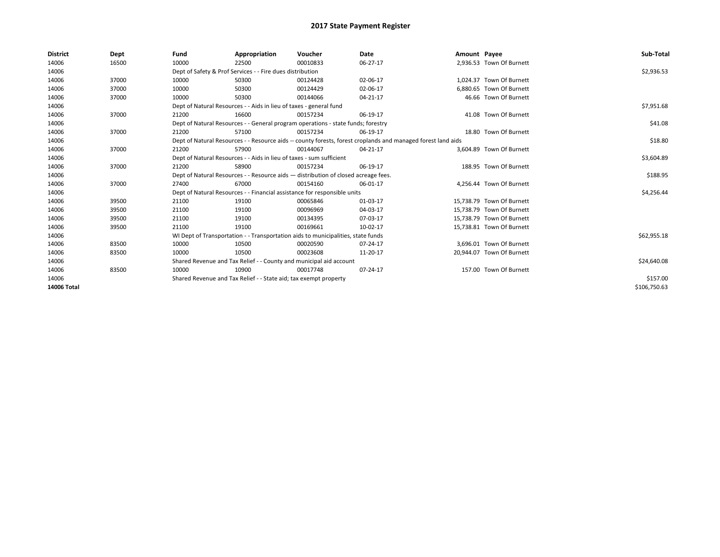| <b>District</b> | Dept  | Fund  | Appropriation                                                                      | Voucher  | <b>Date</b>                                                                                                  | Amount Payee |                           | Sub-Total    |
|-----------------|-------|-------|------------------------------------------------------------------------------------|----------|--------------------------------------------------------------------------------------------------------------|--------------|---------------------------|--------------|
| 14006           | 16500 | 10000 | 22500                                                                              | 00010833 | 06-27-17                                                                                                     |              | 2,936.53 Town Of Burnett  |              |
| 14006           |       |       | Dept of Safety & Prof Services - - Fire dues distribution                          |          |                                                                                                              |              |                           | \$2,936.53   |
| 14006           | 37000 | 10000 | 50300                                                                              | 00124428 | 02-06-17                                                                                                     |              | 1.024.37 Town Of Burnett  |              |
| 14006           | 37000 | 10000 | 50300                                                                              | 00124429 | 02-06-17                                                                                                     |              | 6,880.65 Town Of Burnett  |              |
| 14006           | 37000 | 10000 | 50300                                                                              | 00144066 | 04-21-17                                                                                                     |              | 46.66 Town Of Burnett     |              |
| 14006           |       |       | Dept of Natural Resources - - Aids in lieu of taxes - general fund                 |          |                                                                                                              |              |                           | \$7,951.68   |
| 14006           | 37000 | 21200 | 16600                                                                              | 00157234 | 06-19-17                                                                                                     |              | 41.08 Town Of Burnett     |              |
| 14006           |       |       | Dept of Natural Resources - - General program operations - state funds; forestry   |          |                                                                                                              |              |                           | \$41.08      |
| 14006           | 37000 | 21200 | 57100                                                                              | 00157234 | 06-19-17                                                                                                     |              | 18.80 Town Of Burnett     |              |
| 14006           |       |       |                                                                                    |          | Dept of Natural Resources - - Resource aids -- county forests, forest croplands and managed forest land aids |              |                           | \$18.80      |
| 14006           | 37000 | 21200 | 57900                                                                              | 00144067 | 04-21-17                                                                                                     |              | 3,604.89 Town Of Burnett  |              |
| 14006           |       |       | Dept of Natural Resources - - Aids in lieu of taxes - sum sufficient               |          |                                                                                                              |              |                           | \$3,604.89   |
| 14006           | 37000 | 21200 | 58900                                                                              | 00157234 | 06-19-17                                                                                                     |              | 188.95 Town Of Burnett    |              |
| 14006           |       |       | Dept of Natural Resources - - Resource aids - distribution of closed acreage fees. |          |                                                                                                              |              |                           | \$188.95     |
| 14006           | 37000 | 27400 | 67000                                                                              | 00154160 | 06-01-17                                                                                                     |              | 4.256.44 Town Of Burnett  |              |
| 14006           |       |       | Dept of Natural Resources - - Financial assistance for responsible units           |          |                                                                                                              |              |                           | \$4,256.44   |
| 14006           | 39500 | 21100 | 19100                                                                              | 00065846 | 01-03-17                                                                                                     |              | 15,738.79 Town Of Burnett |              |
| 14006           | 39500 | 21100 | 19100                                                                              | 00096969 | 04-03-17                                                                                                     |              | 15.738.79 Town Of Burnett |              |
| 14006           | 39500 | 21100 | 19100                                                                              | 00134395 | 07-03-17                                                                                                     |              | 15.738.79 Town Of Burnett |              |
| 14006           | 39500 | 21100 | 19100                                                                              | 00169661 | 10-02-17                                                                                                     |              | 15,738.81 Town Of Burnett |              |
| 14006           |       |       | WI Dept of Transportation - - Transportation aids to municipalities, state funds   |          |                                                                                                              |              |                           | \$62,955.18  |
| 14006           | 83500 | 10000 | 10500                                                                              | 00020590 | 07-24-17                                                                                                     |              | 3,696.01 Town Of Burnett  |              |
| 14006           | 83500 | 10000 | 10500                                                                              | 00023608 | 11-20-17                                                                                                     |              | 20,944.07 Town Of Burnett |              |
| 14006           |       |       | Shared Revenue and Tax Relief - - County and municipal aid account                 |          |                                                                                                              |              |                           | \$24,640.08  |
| 14006           | 83500 | 10000 | 10900                                                                              | 00017748 | 07-24-17                                                                                                     |              | 157.00 Town Of Burnett    |              |
| 14006           |       |       | Shared Revenue and Tax Relief - - State aid; tax exempt property                   |          |                                                                                                              |              |                           | \$157.00     |
| 14006 Total     |       |       |                                                                                    |          |                                                                                                              |              |                           | \$106,750.63 |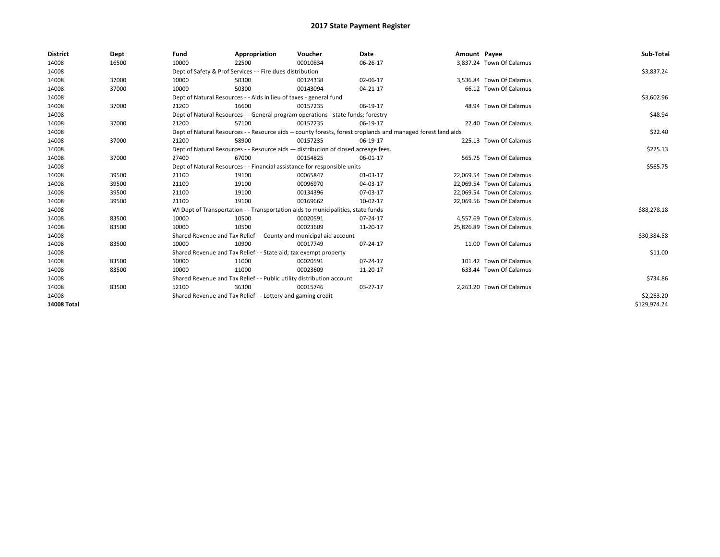| <b>District</b>    | Dept  | Fund  | Appropriation                                                                      | Voucher  | Date                                                                                                         | Amount Payee |                           | Sub-Total    |
|--------------------|-------|-------|------------------------------------------------------------------------------------|----------|--------------------------------------------------------------------------------------------------------------|--------------|---------------------------|--------------|
| 14008              | 16500 | 10000 | 22500                                                                              | 00010834 | 06-26-17                                                                                                     |              | 3,837.24 Town Of Calamus  |              |
| 14008              |       |       | Dept of Safety & Prof Services - - Fire dues distribution                          |          |                                                                                                              |              |                           | \$3,837.24   |
| 14008              | 37000 | 10000 | 50300                                                                              | 00124338 | 02-06-17                                                                                                     |              | 3,536.84 Town Of Calamus  |              |
| 14008              | 37000 | 10000 | 50300                                                                              | 00143094 | $04 - 21 - 17$                                                                                               |              | 66.12 Town Of Calamus     |              |
| 14008              |       |       | Dept of Natural Resources - - Aids in lieu of taxes - general fund                 |          |                                                                                                              |              |                           | \$3,602.96   |
| 14008              | 37000 | 21200 | 16600                                                                              | 00157235 | 06-19-17                                                                                                     |              | 48.94 Town Of Calamus     |              |
| 14008              |       |       | Dept of Natural Resources - - General program operations - state funds; forestry   |          |                                                                                                              |              |                           | \$48.94      |
| 14008              | 37000 | 21200 | 57100                                                                              | 00157235 | 06-19-17                                                                                                     |              | 22.40 Town Of Calamus     |              |
| 14008              |       |       |                                                                                    |          | Dept of Natural Resources - - Resource aids -- county forests, forest croplands and managed forest land aids |              |                           | \$22.40      |
| 14008              | 37000 | 21200 | 58900                                                                              | 00157235 | 06-19-17                                                                                                     |              | 225.13 Town Of Calamus    |              |
| 14008              |       |       | Dept of Natural Resources - - Resource aids - distribution of closed acreage fees. |          |                                                                                                              |              |                           | \$225.13     |
| 14008              | 37000 | 27400 | 67000                                                                              | 00154825 | 06-01-17                                                                                                     |              | 565.75 Town Of Calamus    |              |
| 14008              |       |       | Dept of Natural Resources - - Financial assistance for responsible units           |          |                                                                                                              |              |                           | \$565.75     |
| 14008              | 39500 | 21100 | 19100                                                                              | 00065847 | 01-03-17                                                                                                     |              | 22,069.54 Town Of Calamus |              |
| 14008              | 39500 | 21100 | 19100                                                                              | 00096970 | 04-03-17                                                                                                     |              | 22,069.54 Town Of Calamus |              |
| 14008              | 39500 | 21100 | 19100                                                                              | 00134396 | 07-03-17                                                                                                     |              | 22.069.54 Town Of Calamus |              |
| 14008              | 39500 | 21100 | 19100                                                                              | 00169662 | 10-02-17                                                                                                     |              | 22,069.56 Town Of Calamus |              |
| 14008              |       |       | WI Dept of Transportation - - Transportation aids to municipalities, state funds   |          |                                                                                                              |              |                           | \$88,278.18  |
| 14008              | 83500 | 10000 | 10500                                                                              | 00020591 | 07-24-17                                                                                                     |              | 4.557.69 Town Of Calamus  |              |
| 14008              | 83500 | 10000 | 10500                                                                              | 00023609 | 11-20-17                                                                                                     |              | 25,826.89 Town Of Calamus |              |
| 14008              |       |       | Shared Revenue and Tax Relief - - County and municipal aid account                 |          |                                                                                                              |              |                           | \$30,384.58  |
| 14008              | 83500 | 10000 | 10900                                                                              | 00017749 | 07-24-17                                                                                                     |              | 11.00 Town Of Calamus     |              |
| 14008              |       |       | Shared Revenue and Tax Relief - - State aid; tax exempt property                   |          |                                                                                                              |              |                           | \$11.00      |
| 14008              | 83500 | 10000 | 11000                                                                              | 00020591 | 07-24-17                                                                                                     |              | 101.42 Town Of Calamus    |              |
| 14008              | 83500 | 10000 | 11000                                                                              | 00023609 | 11-20-17                                                                                                     |              | 633.44 Town Of Calamus    |              |
| 14008              |       |       | Shared Revenue and Tax Relief - - Public utility distribution account              |          |                                                                                                              |              |                           | \$734.86     |
| 14008              | 83500 | 52100 | 36300                                                                              | 00015746 | 03-27-17                                                                                                     |              | 2,263.20 Town Of Calamus  |              |
| 14008              |       |       | Shared Revenue and Tax Relief - - Lottery and gaming credit                        |          |                                                                                                              |              |                           | \$2,263.20   |
| <b>14008 Total</b> |       |       |                                                                                    |          |                                                                                                              |              |                           | \$129,974.24 |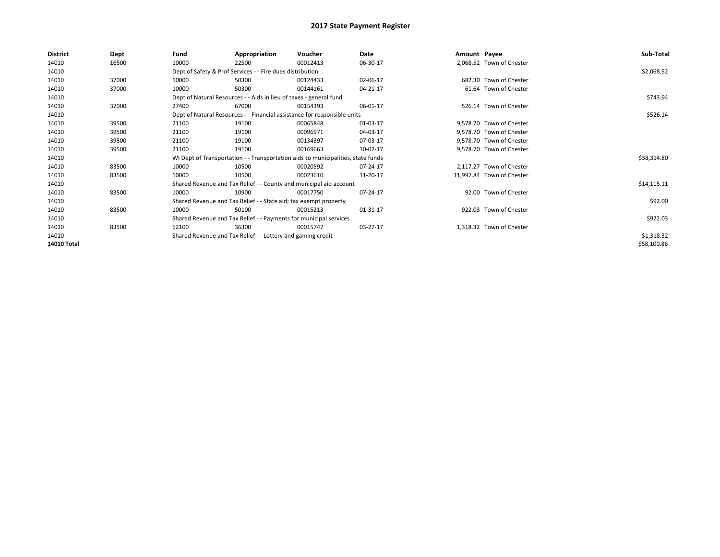| District    | Dept  | Fund  | Appropriation                                                                    | Voucher  | Date           | Amount Payee |                           | Sub-Total   |
|-------------|-------|-------|----------------------------------------------------------------------------------|----------|----------------|--------------|---------------------------|-------------|
| 14010       | 16500 | 10000 | 22500                                                                            | 00012413 | 06-30-17       |              | 2,068.52 Town of Chester  |             |
| 14010       |       |       | Dept of Safety & Prof Services - - Fire dues distribution                        |          |                |              |                           | \$2,068.52  |
| 14010       | 37000 | 10000 | 50300                                                                            | 00124433 | 02-06-17       |              | 682.30 Town of Chester    |             |
| 14010       | 37000 | 10000 | 50300                                                                            | 00144161 | 04-21-17       |              | 61.64 Town of Chester     |             |
| 14010       |       |       | Dept of Natural Resources - - Aids in lieu of taxes - general fund               |          |                |              |                           | \$743.94    |
| 14010       | 37000 | 27400 | 67000                                                                            | 00154393 | 06-01-17       |              | 526.14 Town of Chester    |             |
| 14010       |       |       | Dept of Natural Resources - - Financial assistance for responsible units         |          |                |              |                           | \$526.14    |
| 14010       | 39500 | 21100 | 19100                                                                            | 00065848 | 01-03-17       |              | 9,578.70 Town of Chester  |             |
| 14010       | 39500 | 21100 | 19100                                                                            | 00096971 | 04-03-17       |              | 9,578.70 Town of Chester  |             |
| 14010       | 39500 | 21100 | 19100                                                                            | 00134397 | 07-03-17       |              | 9,578.70 Town of Chester  |             |
| 14010       | 39500 | 21100 | 19100                                                                            | 00169663 | 10-02-17       |              | 9,578.70 Town of Chester  |             |
| 14010       |       |       | WI Dept of Transportation - - Transportation aids to municipalities, state funds |          |                |              |                           | \$38,314.80 |
| 14010       | 83500 | 10000 | 10500                                                                            | 00020592 | 07-24-17       |              | 2.117.27 Town of Chester  |             |
| 14010       | 83500 | 10000 | 10500                                                                            | 00023610 | 11-20-17       |              | 11,997.84 Town of Chester |             |
| 14010       |       |       | Shared Revenue and Tax Relief - - County and municipal aid account               |          |                |              |                           | \$14,115.11 |
| 14010       | 83500 | 10000 | 10900                                                                            | 00017750 | 07-24-17       |              | 92.00 Town of Chester     |             |
| 14010       |       |       | Shared Revenue and Tax Relief - - State aid; tax exempt property                 |          |                |              |                           | \$92.00     |
| 14010       | 83500 | 10000 | 50100                                                                            | 00015213 | $01 - 31 - 17$ |              | 922.03 Town of Chester    |             |
| 14010       |       |       | Shared Revenue and Tax Relief - - Payments for municipal services                |          |                |              |                           | \$922.03    |
| 14010       | 83500 | 52100 | 36300                                                                            | 00015747 | 03-27-17       |              | 1,318.32 Town of Chester  |             |
| 14010       |       |       | Shared Revenue and Tax Relief - - Lottery and gaming credit                      |          |                |              |                           | \$1,318.32  |
| 14010 Total |       |       |                                                                                  |          |                |              |                           | \$58,100.86 |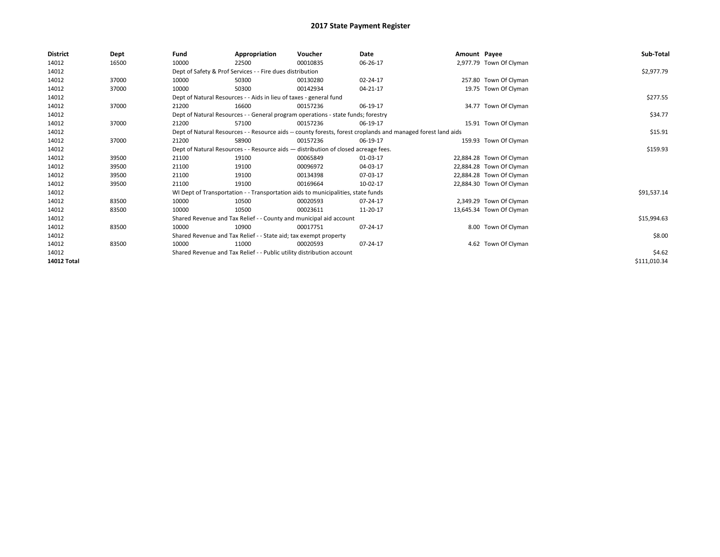| District           | Dept  | Fund  | Appropriation                                                                      | Voucher  | Date                                                                                                         | Amount Payee |                          | Sub-Total    |
|--------------------|-------|-------|------------------------------------------------------------------------------------|----------|--------------------------------------------------------------------------------------------------------------|--------------|--------------------------|--------------|
| 14012              | 16500 | 10000 | 22500                                                                              | 00010835 | 06-26-17                                                                                                     |              | 2,977.79 Town Of Clyman  |              |
| 14012              |       |       | Dept of Safety & Prof Services - - Fire dues distribution                          |          |                                                                                                              |              |                          | \$2,977.79   |
| 14012              | 37000 | 10000 | 50300                                                                              | 00130280 | 02-24-17                                                                                                     |              | 257.80 Town Of Clyman    |              |
| 14012              | 37000 | 10000 | 50300                                                                              | 00142934 | 04-21-17                                                                                                     |              | 19.75 Town Of Clyman     |              |
| 14012              |       |       | Dept of Natural Resources - - Aids in lieu of taxes - general fund                 |          |                                                                                                              |              |                          | \$277.55     |
| 14012              | 37000 | 21200 | 16600                                                                              | 00157236 | 06-19-17                                                                                                     |              | 34.77 Town Of Clyman     |              |
| 14012              |       |       | Dept of Natural Resources - - General program operations - state funds; forestry   |          |                                                                                                              |              |                          | \$34.77      |
| 14012              | 37000 | 21200 | 57100                                                                              | 00157236 | 06-19-17                                                                                                     |              | 15.91 Town Of Clyman     |              |
| 14012              |       |       |                                                                                    |          | Dept of Natural Resources - - Resource aids -- county forests, forest croplands and managed forest land aids |              |                          | \$15.91      |
| 14012              | 37000 | 21200 | 58900                                                                              | 00157236 | 06-19-17                                                                                                     |              | 159.93 Town Of Clyman    |              |
| 14012              |       |       | Dept of Natural Resources - - Resource aids - distribution of closed acreage fees. |          |                                                                                                              |              |                          | \$159.93     |
| 14012              | 39500 | 21100 | 19100                                                                              | 00065849 | 01-03-17                                                                                                     |              | 22,884.28 Town Of Clyman |              |
| 14012              | 39500 | 21100 | 19100                                                                              | 00096972 | 04-03-17                                                                                                     |              | 22,884.28 Town Of Clyman |              |
| 14012              | 39500 | 21100 | 19100                                                                              | 00134398 | 07-03-17                                                                                                     |              | 22,884.28 Town Of Clyman |              |
| 14012              | 39500 | 21100 | 19100                                                                              | 00169664 | 10-02-17                                                                                                     |              | 22,884.30 Town Of Clyman |              |
| 14012              |       |       | WI Dept of Transportation - - Transportation aids to municipalities, state funds   |          |                                                                                                              |              |                          | \$91,537.14  |
| 14012              | 83500 | 10000 | 10500                                                                              | 00020593 | 07-24-17                                                                                                     |              | 2,349.29 Town Of Clyman  |              |
| 14012              | 83500 | 10000 | 10500                                                                              | 00023611 | 11-20-17                                                                                                     |              | 13,645.34 Town Of Clyman |              |
| 14012              |       |       | Shared Revenue and Tax Relief - - County and municipal aid account                 |          |                                                                                                              |              |                          | \$15,994.63  |
| 14012              | 83500 | 10000 | 10900                                                                              | 00017751 | 07-24-17                                                                                                     |              | 8.00 Town Of Clyman      |              |
| 14012              |       |       | Shared Revenue and Tax Relief - - State aid; tax exempt property                   |          |                                                                                                              |              |                          | \$8.00       |
| 14012              | 83500 | 10000 | 11000                                                                              | 00020593 | 07-24-17                                                                                                     |              | 4.62 Town Of Clyman      |              |
| 14012              |       |       | Shared Revenue and Tax Relief - - Public utility distribution account              |          |                                                                                                              |              |                          | \$4.62       |
| <b>14012 Total</b> |       |       |                                                                                    |          |                                                                                                              |              |                          | \$111,010.34 |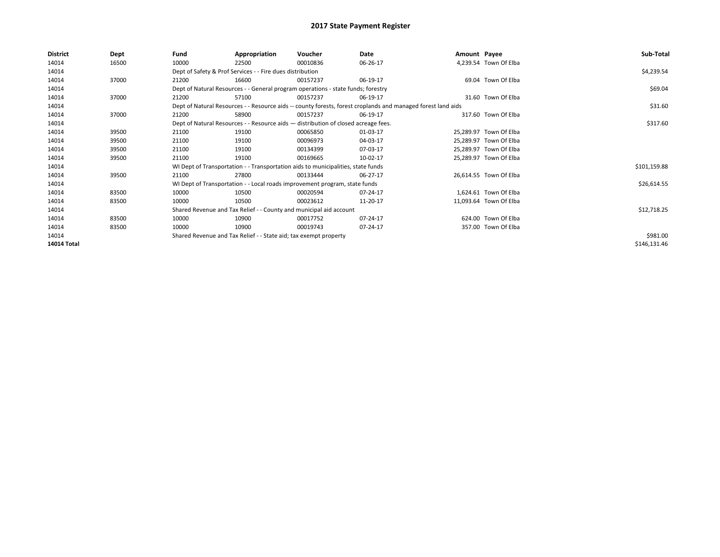| <b>District</b>    | Dept  | Fund  | Appropriation                                                                      | Voucher  | Date                                                                                                         | Amount Payee |                        | Sub-Total    |
|--------------------|-------|-------|------------------------------------------------------------------------------------|----------|--------------------------------------------------------------------------------------------------------------|--------------|------------------------|--------------|
| 14014              | 16500 | 10000 | 22500                                                                              | 00010836 | 06-26-17                                                                                                     |              | 4,239.54 Town Of Elba  |              |
| 14014              |       |       | Dept of Safety & Prof Services - - Fire dues distribution                          |          |                                                                                                              |              |                        | \$4,239.54   |
| 14014              | 37000 | 21200 | 16600                                                                              | 00157237 | 06-19-17                                                                                                     |              | 69.04 Town Of Elba     |              |
| 14014              |       |       | Dept of Natural Resources - - General program operations - state funds; forestry   |          |                                                                                                              |              |                        | \$69.04      |
| 14014              | 37000 | 21200 | 57100                                                                              | 00157237 | 06-19-17                                                                                                     |              | 31.60 Town Of Elba     |              |
| 14014              |       |       |                                                                                    |          | Dept of Natural Resources - - Resource aids -- county forests, forest croplands and managed forest land aids |              |                        | \$31.60      |
| 14014              | 37000 | 21200 | 58900                                                                              | 00157237 | 06-19-17                                                                                                     |              | 317.60 Town Of Elba    |              |
| 14014              |       |       | Dept of Natural Resources - - Resource aids - distribution of closed acreage fees. |          |                                                                                                              |              |                        | \$317.60     |
| 14014              | 39500 | 21100 | 19100                                                                              | 00065850 | 01-03-17                                                                                                     |              | 25,289.97 Town Of Elba |              |
| 14014              | 39500 | 21100 | 19100                                                                              | 00096973 | 04-03-17                                                                                                     |              | 25,289.97 Town Of Elba |              |
| 14014              | 39500 | 21100 | 19100                                                                              | 00134399 | 07-03-17                                                                                                     |              | 25,289.97 Town Of Elba |              |
| 14014              | 39500 | 21100 | 19100                                                                              | 00169665 | 10-02-17                                                                                                     |              | 25,289.97 Town Of Elba |              |
| 14014              |       |       | WI Dept of Transportation - - Transportation aids to municipalities, state funds   |          |                                                                                                              |              |                        | \$101,159.88 |
| 14014              | 39500 | 21100 | 27800                                                                              | 00133444 | 06-27-17                                                                                                     |              | 26,614.55 Town Of Elba |              |
| 14014              |       |       | WI Dept of Transportation - - Local roads improvement program, state funds         |          |                                                                                                              |              |                        | \$26,614.55  |
| 14014              | 83500 | 10000 | 10500                                                                              | 00020594 | 07-24-17                                                                                                     |              | 1,624.61 Town Of Elba  |              |
| 14014              | 83500 | 10000 | 10500                                                                              | 00023612 | 11-20-17                                                                                                     |              | 11,093.64 Town Of Elba |              |
| 14014              |       |       | Shared Revenue and Tax Relief - - County and municipal aid account                 |          |                                                                                                              |              |                        | \$12,718.25  |
| 14014              | 83500 | 10000 | 10900                                                                              | 00017752 | 07-24-17                                                                                                     |              | 624.00 Town Of Elba    |              |
| 14014              | 83500 | 10000 | 10900                                                                              | 00019743 | 07-24-17                                                                                                     |              | 357.00 Town Of Elba    |              |
| 14014              |       |       | Shared Revenue and Tax Relief - - State aid; tax exempt property                   |          |                                                                                                              |              |                        | \$981.00     |
| <b>14014 Total</b> |       |       |                                                                                    |          |                                                                                                              |              |                        | \$146,131.46 |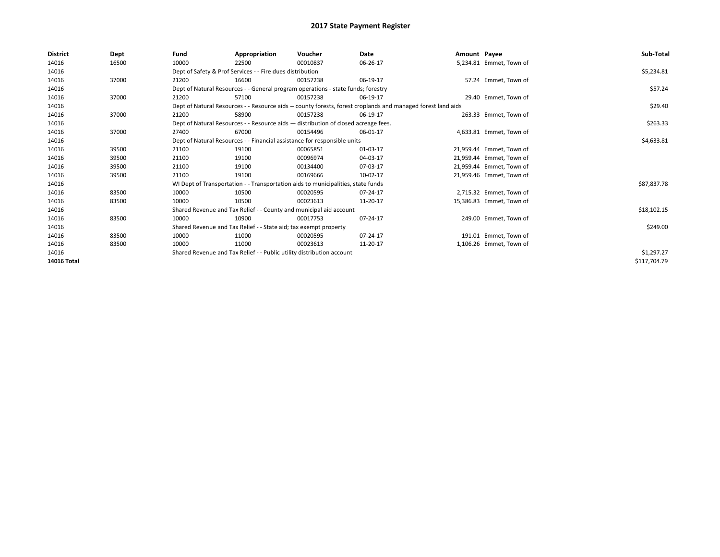| <b>District</b> | Dept  | Fund                                                                  | Appropriation                                                                      | Voucher    | Date                                                                                                         | Amount Payee |                          | Sub-Total    |
|-----------------|-------|-----------------------------------------------------------------------|------------------------------------------------------------------------------------|------------|--------------------------------------------------------------------------------------------------------------|--------------|--------------------------|--------------|
| 14016           | 16500 | 10000                                                                 | 22500                                                                              | 00010837   | 06-26-17                                                                                                     |              | 5,234.81 Emmet, Town of  |              |
| 14016           |       |                                                                       | Dept of Safety & Prof Services - - Fire dues distribution                          |            |                                                                                                              |              |                          | \$5,234.81   |
| 14016           | 37000 | 21200                                                                 | 16600                                                                              | 00157238   | 06-19-17                                                                                                     |              | 57.24 Emmet, Town of     |              |
| 14016           |       |                                                                       | Dept of Natural Resources - - General program operations - state funds; forestry   |            |                                                                                                              |              |                          | \$57.24      |
| 14016           | 37000 | 21200                                                                 | 57100                                                                              | 00157238   | 06-19-17                                                                                                     |              | 29.40 Emmet. Town of     |              |
| 14016           |       |                                                                       |                                                                                    |            | Dept of Natural Resources - - Resource aids -- county forests, forest croplands and managed forest land aids |              |                          | \$29.40      |
| 14016           | 37000 | 21200                                                                 | 58900                                                                              | 00157238   | 06-19-17                                                                                                     |              | 263.33 Emmet, Town of    |              |
| 14016           |       |                                                                       | Dept of Natural Resources - - Resource aids - distribution of closed acreage fees. |            |                                                                                                              |              |                          | \$263.33     |
| 14016           | 37000 | 27400                                                                 | 67000                                                                              | 00154496   | 06-01-17                                                                                                     |              | 4,633.81 Emmet, Town of  |              |
| 14016           |       |                                                                       | Dept of Natural Resources - - Financial assistance for responsible units           |            |                                                                                                              |              |                          | \$4,633.81   |
| 14016           | 39500 | 21100                                                                 | 19100                                                                              | 00065851   | 01-03-17                                                                                                     |              | 21.959.44 Emmet. Town of |              |
| 14016           | 39500 | 21100                                                                 | 19100                                                                              | 00096974   | 04-03-17                                                                                                     |              | 21,959.44 Emmet, Town of |              |
| 14016           | 39500 | 21100                                                                 | 19100                                                                              | 00134400   | 07-03-17                                                                                                     |              | 21.959.44 Emmet. Town of |              |
| 14016           | 39500 | 21100                                                                 | 19100                                                                              | 00169666   | 10-02-17                                                                                                     |              | 21,959.46 Emmet, Town of |              |
| 14016           |       |                                                                       | WI Dept of Transportation - - Transportation aids to municipalities, state funds   |            |                                                                                                              |              |                          | \$87,837.78  |
| 14016           | 83500 | 10000                                                                 | 10500                                                                              | 00020595   | 07-24-17                                                                                                     |              | 2,715.32 Emmet, Town of  |              |
| 14016           | 83500 | 10000                                                                 | 10500                                                                              | 00023613   | 11-20-17                                                                                                     |              | 15,386.83 Emmet, Town of |              |
| 14016           |       |                                                                       | Shared Revenue and Tax Relief - - County and municipal aid account                 |            |                                                                                                              |              |                          | \$18,102.15  |
| 14016           | 83500 | 10000                                                                 | 10900                                                                              | 00017753   | 07-24-17                                                                                                     |              | 249.00 Emmet, Town of    |              |
| 14016           |       |                                                                       | Shared Revenue and Tax Relief - - State aid; tax exempt property                   |            |                                                                                                              |              |                          | \$249.00     |
| 14016           | 83500 | 10000                                                                 | 11000                                                                              | 00020595   | 07-24-17                                                                                                     |              | 191.01 Emmet. Town of    |              |
| 14016           | 83500 | 10000                                                                 | 11000                                                                              | 00023613   | 11-20-17                                                                                                     |              | 1,106.26 Emmet, Town of  |              |
| 14016           |       | Shared Revenue and Tax Relief - - Public utility distribution account |                                                                                    | \$1,297.27 |                                                                                                              |              |                          |              |
| 14016 Total     |       |                                                                       |                                                                                    |            |                                                                                                              |              |                          | \$117,704.79 |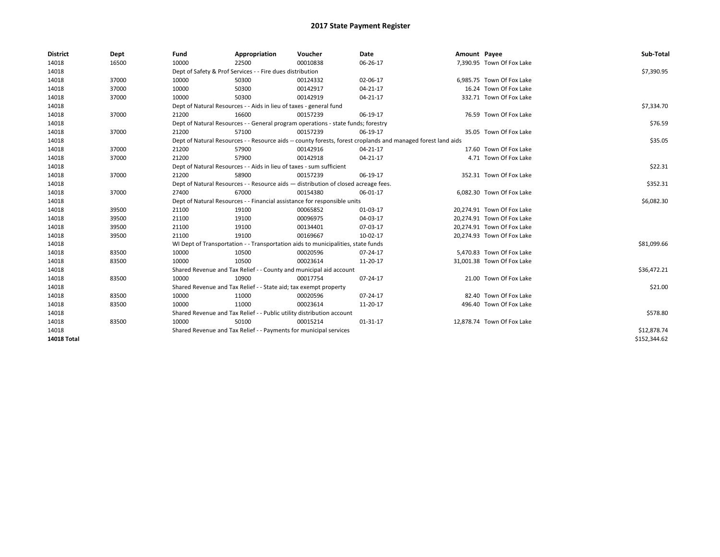| <b>District</b>    | Dept  | Fund                                                                     | Appropriation                                                         | Voucher                                                                            | Date                                                                                                         | Amount Payee |                            | Sub-Total    |
|--------------------|-------|--------------------------------------------------------------------------|-----------------------------------------------------------------------|------------------------------------------------------------------------------------|--------------------------------------------------------------------------------------------------------------|--------------|----------------------------|--------------|
| 14018              | 16500 | 10000                                                                    | 22500                                                                 | 00010838                                                                           | 06-26-17                                                                                                     |              | 7,390.95 Town Of Fox Lake  |              |
| 14018              |       |                                                                          | Dept of Safety & Prof Services - - Fire dues distribution             |                                                                                    |                                                                                                              |              |                            | \$7,390.95   |
| 14018              | 37000 | 10000                                                                    | 50300                                                                 | 00124332                                                                           | 02-06-17                                                                                                     |              | 6.985.75 Town Of Fox Lake  |              |
| 14018              | 37000 | 10000                                                                    | 50300                                                                 | 00142917                                                                           | 04-21-17                                                                                                     |              | 16.24 Town Of Fox Lake     |              |
| 14018              | 37000 | 10000                                                                    | 50300                                                                 | 00142919                                                                           | 04-21-17                                                                                                     |              | 332.71 Town Of Fox Lake    |              |
| 14018              |       |                                                                          | Dept of Natural Resources - - Aids in lieu of taxes - general fund    |                                                                                    |                                                                                                              |              |                            | \$7,334.70   |
| 14018              | 37000 | 21200                                                                    | 16600                                                                 | 00157239                                                                           | 06-19-17                                                                                                     |              | 76.59 Town Of Fox Lake     |              |
| 14018              |       |                                                                          |                                                                       | Dept of Natural Resources - - General program operations - state funds; forestry   |                                                                                                              |              |                            | \$76.59      |
| 14018              | 37000 | 21200                                                                    | 57100                                                                 | 00157239                                                                           | 06-19-17                                                                                                     |              | 35.05 Town Of Fox Lake     |              |
| 14018              |       |                                                                          |                                                                       |                                                                                    | Dept of Natural Resources - - Resource aids -- county forests, forest croplands and managed forest land aids |              |                            | \$35.05      |
| 14018              | 37000 | 21200                                                                    | 57900                                                                 | 00142916                                                                           | 04-21-17                                                                                                     |              | 17.60 Town Of Fox Lake     |              |
| 14018              | 37000 | 21200                                                                    | 57900                                                                 | 00142918                                                                           | 04-21-17                                                                                                     |              | 4.71 Town Of Fox Lake      |              |
| 14018              |       | Dept of Natural Resources - - Aids in lieu of taxes - sum sufficient     | \$22.31                                                               |                                                                                    |                                                                                                              |              |                            |              |
| 14018              | 37000 | 21200                                                                    | 58900                                                                 | 00157239                                                                           | 06-19-17                                                                                                     |              | 352.31 Town Of Fox Lake    |              |
| 14018              |       |                                                                          |                                                                       | Dept of Natural Resources - - Resource aids - distribution of closed acreage fees. |                                                                                                              |              |                            | \$352.31     |
| 14018              | 37000 | 27400                                                                    | 67000                                                                 | 00154380                                                                           | 06-01-17                                                                                                     |              | 6,082.30 Town Of Fox Lake  |              |
| 14018              |       | Dept of Natural Resources - - Financial assistance for responsible units | \$6,082.30                                                            |                                                                                    |                                                                                                              |              |                            |              |
| 14018              | 39500 | 21100                                                                    | 19100                                                                 | 00065852                                                                           | 01-03-17                                                                                                     |              | 20,274.91 Town Of Fox Lake |              |
| 14018              | 39500 | 21100                                                                    | 19100                                                                 | 00096975                                                                           | 04-03-17                                                                                                     |              | 20,274.91 Town Of Fox Lake |              |
| 14018              | 39500 | 21100                                                                    | 19100                                                                 | 00134401                                                                           | 07-03-17                                                                                                     |              | 20,274.91 Town Of Fox Lake |              |
| 14018              | 39500 | 21100                                                                    | 19100                                                                 | 00169667                                                                           | 10-02-17                                                                                                     |              | 20,274.93 Town Of Fox Lake |              |
| 14018              |       |                                                                          |                                                                       | WI Dept of Transportation - - Transportation aids to municipalities, state funds   |                                                                                                              |              |                            | \$81,099.66  |
| 14018              | 83500 | 10000                                                                    | 10500                                                                 | 00020596                                                                           | 07-24-17                                                                                                     |              | 5,470.83 Town Of Fox Lake  |              |
| 14018              | 83500 | 10000                                                                    | 10500                                                                 | 00023614                                                                           | 11-20-17                                                                                                     |              | 31,001.38 Town Of Fox Lake |              |
| 14018              |       |                                                                          |                                                                       | Shared Revenue and Tax Relief - - County and municipal aid account                 |                                                                                                              |              |                            | \$36,472.21  |
| 14018              | 83500 | 10000                                                                    | 10900                                                                 | 00017754                                                                           | 07-24-17                                                                                                     |              | 21.00 Town Of Fox Lake     |              |
| 14018              |       |                                                                          | Shared Revenue and Tax Relief - - State aid; tax exempt property      |                                                                                    |                                                                                                              |              |                            | \$21.00      |
| 14018              | 83500 | 10000                                                                    | 11000                                                                 | 00020596                                                                           | 07-24-17                                                                                                     |              | 82.40 Town Of Fox Lake     |              |
| 14018              | 83500 | 10000                                                                    | 11000                                                                 | 00023614                                                                           | 11-20-17                                                                                                     |              | 496.40 Town Of Fox Lake    |              |
| 14018              |       |                                                                          | Shared Revenue and Tax Relief - - Public utility distribution account |                                                                                    |                                                                                                              |              |                            | \$578.80     |
| 14018              | 83500 | 10000                                                                    | 50100                                                                 | 00015214                                                                           | 01-31-17                                                                                                     |              | 12,878.74 Town Of Fox Lake |              |
| 14018              |       | Shared Revenue and Tax Relief - - Payments for municipal services        |                                                                       | \$12,878.74                                                                        |                                                                                                              |              |                            |              |
| <b>14018 Total</b> |       |                                                                          |                                                                       |                                                                                    |                                                                                                              |              |                            | \$152,344.62 |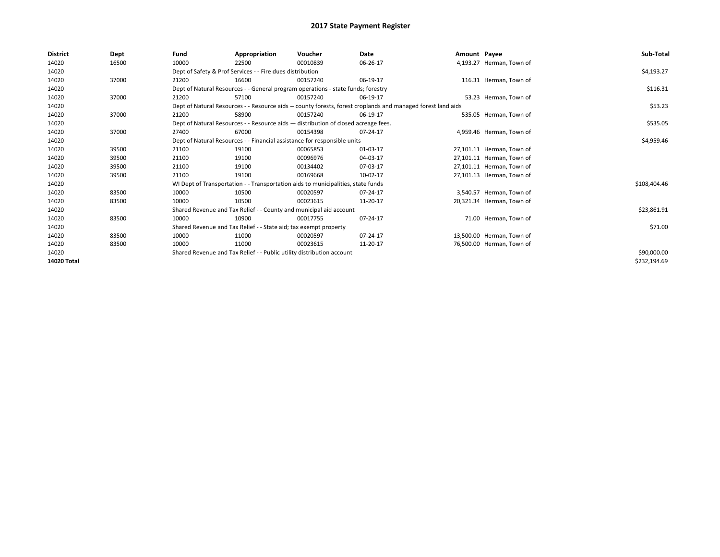| District    | Dept  | Fund  | Appropriation                                                                                                | Voucher  | Date     | Amount Payee |                           | Sub-Total    |  |  |
|-------------|-------|-------|--------------------------------------------------------------------------------------------------------------|----------|----------|--------------|---------------------------|--------------|--|--|
| 14020       | 16500 | 10000 | 22500                                                                                                        | 00010839 | 06-26-17 |              | 4,193.27 Herman, Town of  |              |  |  |
| 14020       |       |       | Dept of Safety & Prof Services - - Fire dues distribution                                                    |          |          |              |                           | \$4,193.27   |  |  |
| 14020       | 37000 | 21200 | 16600                                                                                                        | 00157240 | 06-19-17 |              | 116.31 Herman, Town of    |              |  |  |
| 14020       |       |       | Dept of Natural Resources - - General program operations - state funds; forestry                             |          |          |              |                           | \$116.31     |  |  |
| 14020       | 37000 | 21200 | 57100                                                                                                        | 00157240 | 06-19-17 |              | 53.23 Herman, Town of     |              |  |  |
| 14020       |       |       | Dept of Natural Resources - - Resource aids -- county forests, forest croplands and managed forest land aids |          |          |              |                           | \$53.23      |  |  |
| 14020       | 37000 | 21200 | 58900                                                                                                        | 00157240 | 06-19-17 |              | 535.05 Herman, Town of    |              |  |  |
| 14020       |       |       | Dept of Natural Resources - - Resource aids - distribution of closed acreage fees.                           |          |          |              |                           | \$535.05     |  |  |
| 14020       | 37000 | 27400 | 67000                                                                                                        | 00154398 | 07-24-17 |              | 4,959.46 Herman, Town of  |              |  |  |
| 14020       |       |       | Dept of Natural Resources - - Financial assistance for responsible units                                     |          |          |              |                           |              |  |  |
| 14020       | 39500 | 21100 | 19100                                                                                                        | 00065853 | 01-03-17 |              | 27,101.11 Herman, Town of |              |  |  |
| 14020       | 39500 | 21100 | 19100                                                                                                        | 00096976 | 04-03-17 |              | 27,101.11 Herman, Town of |              |  |  |
| 14020       | 39500 | 21100 | 19100                                                                                                        | 00134402 | 07-03-17 |              | 27,101.11 Herman, Town of |              |  |  |
| 14020       | 39500 | 21100 | 19100                                                                                                        | 00169668 | 10-02-17 |              | 27,101.13 Herman, Town of |              |  |  |
| 14020       |       |       | WI Dept of Transportation - - Transportation aids to municipalities, state funds                             |          |          |              |                           | \$108,404.46 |  |  |
| 14020       | 83500 | 10000 | 10500                                                                                                        | 00020597 | 07-24-17 |              | 3,540.57 Herman, Town of  |              |  |  |
| 14020       | 83500 | 10000 | 10500                                                                                                        | 00023615 | 11-20-17 |              | 20,321.34 Herman, Town of |              |  |  |
| 14020       |       |       | Shared Revenue and Tax Relief - - County and municipal aid account                                           |          |          |              |                           | \$23,861.91  |  |  |
| 14020       | 83500 | 10000 | 10900                                                                                                        | 00017755 | 07-24-17 |              | 71.00 Herman, Town of     |              |  |  |
| 14020       |       |       | Shared Revenue and Tax Relief - - State aid; tax exempt property                                             |          |          |              |                           | \$71.00      |  |  |
| 14020       | 83500 | 10000 | 11000                                                                                                        | 00020597 | 07-24-17 |              | 13,500.00 Herman, Town of |              |  |  |
| 14020       | 83500 | 10000 | 11000                                                                                                        | 00023615 | 11-20-17 |              | 76,500.00 Herman, Town of |              |  |  |
| 14020       |       |       | Shared Revenue and Tax Relief - - Public utility distribution account                                        |          |          |              |                           | \$90,000.00  |  |  |
| 14020 Total |       |       |                                                                                                              |          |          |              |                           | \$232,194.69 |  |  |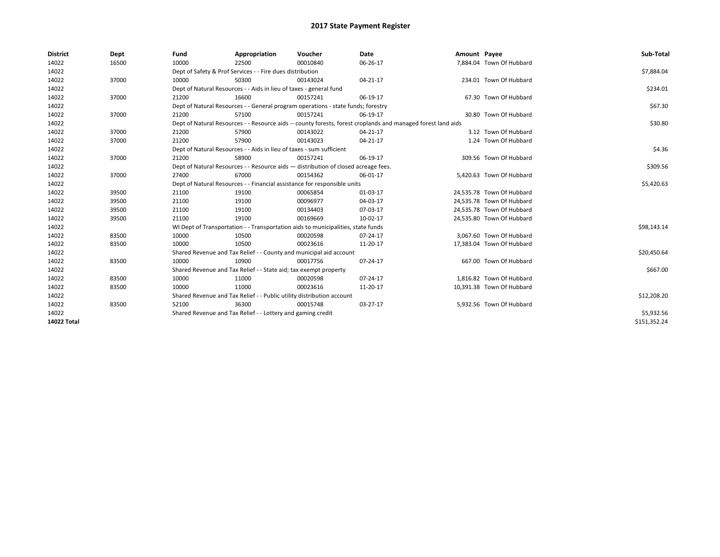| <b>District</b> | Dept  | Fund                                                                               | Appropriation                                                                    | Voucher    | Date                                                                                                         | Amount Payee |                           | Sub-Total    |
|-----------------|-------|------------------------------------------------------------------------------------|----------------------------------------------------------------------------------|------------|--------------------------------------------------------------------------------------------------------------|--------------|---------------------------|--------------|
| 14022           | 16500 | 10000                                                                              | 22500                                                                            | 00010840   | 06-26-17                                                                                                     |              | 7,884.04 Town Of Hubbard  |              |
| 14022           |       |                                                                                    | Dept of Safety & Prof Services - - Fire dues distribution                        |            |                                                                                                              |              |                           | \$7,884.04   |
| 14022           | 37000 | 10000                                                                              | 50300                                                                            | 00143024   | $04 - 21 - 17$                                                                                               |              | 234.01 Town Of Hubbard    |              |
| 14022           |       |                                                                                    | Dept of Natural Resources - - Aids in lieu of taxes - general fund               |            |                                                                                                              |              |                           | \$234.01     |
| 14022           | 37000 | 21200                                                                              | 16600                                                                            | 00157241   | 06-19-17                                                                                                     |              | 67.30 Town Of Hubbard     |              |
| 14022           |       |                                                                                    | Dept of Natural Resources - - General program operations - state funds; forestry |            |                                                                                                              |              |                           | \$67.30      |
| 14022           | 37000 | 21200                                                                              | 57100                                                                            | 00157241   | 06-19-17                                                                                                     |              | 30.80 Town Of Hubbard     |              |
| 14022           |       |                                                                                    |                                                                                  |            | Dept of Natural Resources - - Resource aids -- county forests, forest croplands and managed forest land aids |              |                           | \$30.80      |
| 14022           | 37000 | 21200                                                                              | 57900                                                                            | 00143022   | 04-21-17                                                                                                     |              | 3.12 Town Of Hubbard      |              |
| 14022           | 37000 | 21200                                                                              | 57900                                                                            | 00143023   | 04-21-17                                                                                                     |              | 1.24 Town Of Hubbard      |              |
| 14022           |       | Dept of Natural Resources - - Aids in lieu of taxes - sum sufficient               |                                                                                  | \$4.36     |                                                                                                              |              |                           |              |
| 14022           | 37000 | 21200                                                                              | 58900                                                                            | 00157241   | 06-19-17                                                                                                     |              | 309.56 Town Of Hubbard    |              |
| 14022           |       | Dept of Natural Resources - - Resource aids - distribution of closed acreage fees. |                                                                                  | \$309.56   |                                                                                                              |              |                           |              |
| 14022           | 37000 | 27400                                                                              | 67000                                                                            | 00154362   | 06-01-17                                                                                                     |              | 5,420.63 Town Of Hubbard  |              |
| 14022           |       | Dept of Natural Resources - - Financial assistance for responsible units           |                                                                                  | \$5,420.63 |                                                                                                              |              |                           |              |
| 14022           | 39500 | 21100                                                                              | 19100                                                                            | 00065854   | 01-03-17                                                                                                     |              | 24,535.78 Town Of Hubbard |              |
| 14022           | 39500 | 21100                                                                              | 19100                                                                            | 00096977   | 04-03-17                                                                                                     |              | 24,535.78 Town Of Hubbard |              |
| 14022           | 39500 | 21100                                                                              | 19100                                                                            | 00134403   | 07-03-17                                                                                                     |              | 24,535.78 Town Of Hubbard |              |
| 14022           | 39500 | 21100                                                                              | 19100                                                                            | 00169669   | 10-02-17                                                                                                     |              | 24,535.80 Town Of Hubbard |              |
| 14022           |       |                                                                                    | WI Dept of Transportation - - Transportation aids to municipalities, state funds |            |                                                                                                              |              |                           | \$98,143.14  |
| 14022           | 83500 | 10000                                                                              | 10500                                                                            | 00020598   | 07-24-17                                                                                                     |              | 3.067.60 Town Of Hubbard  |              |
| 14022           | 83500 | 10000                                                                              | 10500                                                                            | 00023616   | 11-20-17                                                                                                     |              | 17,383.04 Town Of Hubbard |              |
| 14022           |       |                                                                                    | Shared Revenue and Tax Relief - - County and municipal aid account               |            |                                                                                                              |              |                           | \$20,450.64  |
| 14022           | 83500 | 10000                                                                              | 10900                                                                            | 00017756   | 07-24-17                                                                                                     |              | 667.00 Town Of Hubbard    |              |
| 14022           |       |                                                                                    | Shared Revenue and Tax Relief - - State aid; tax exempt property                 |            |                                                                                                              |              |                           | \$667.00     |
| 14022           | 83500 | 10000                                                                              | 11000                                                                            | 00020598   | 07-24-17                                                                                                     |              | 1,816.82 Town Of Hubbard  |              |
| 14022           | 83500 | 10000                                                                              | 11000                                                                            | 00023616   | 11-20-17                                                                                                     |              | 10,391.38 Town Of Hubbard |              |
| 14022           |       |                                                                                    | Shared Revenue and Tax Relief - - Public utility distribution account            |            |                                                                                                              |              |                           | \$12,208.20  |
| 14022           | 83500 | 52100                                                                              | 36300                                                                            | 00015748   | 03-27-17                                                                                                     |              | 5.932.56 Town Of Hubbard  |              |
| 14022           |       |                                                                                    | Shared Revenue and Tax Relief - - Lottery and gaming credit                      |            |                                                                                                              |              |                           | \$5,932.56   |
| 14022 Total     |       |                                                                                    |                                                                                  |            |                                                                                                              |              |                           | \$151,352.24 |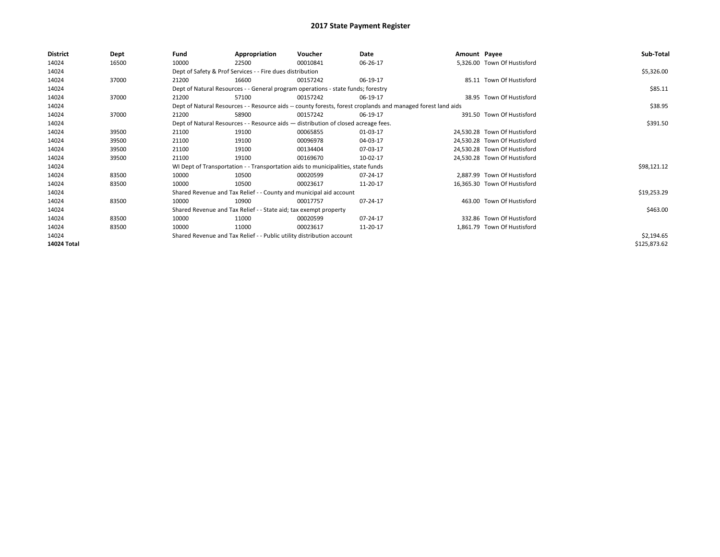| District    | Dept  | Fund                                                                               | Appropriation                                                                    | Voucher  | Date                                                                                                         | Amount Payee |                              | Sub-Total    |
|-------------|-------|------------------------------------------------------------------------------------|----------------------------------------------------------------------------------|----------|--------------------------------------------------------------------------------------------------------------|--------------|------------------------------|--------------|
| 14024       | 16500 | 10000                                                                              | 22500                                                                            | 00010841 | 06-26-17                                                                                                     |              | 5,326.00 Town Of Hustisford  |              |
| 14024       |       |                                                                                    | Dept of Safety & Prof Services - - Fire dues distribution                        |          |                                                                                                              |              |                              | \$5,326.00   |
| 14024       | 37000 | 21200                                                                              | 16600                                                                            | 00157242 | 06-19-17                                                                                                     |              | 85.11 Town Of Hustisford     |              |
| 14024       |       |                                                                                    | Dept of Natural Resources - - General program operations - state funds; forestry |          |                                                                                                              |              |                              | \$85.11      |
| 14024       | 37000 | 21200                                                                              | 57100                                                                            | 00157242 | 06-19-17                                                                                                     |              | 38.95 Town Of Hustisford     |              |
| 14024       |       |                                                                                    |                                                                                  |          | Dept of Natural Resources - - Resource aids -- county forests, forest croplands and managed forest land aids |              |                              | \$38.95      |
| 14024       | 37000 | 21200                                                                              | 58900                                                                            | 00157242 | 06-19-17                                                                                                     |              | 391.50 Town Of Hustisford    |              |
| 14024       |       | Dept of Natural Resources - - Resource aids - distribution of closed acreage fees. |                                                                                  | \$391.50 |                                                                                                              |              |                              |              |
| 14024       | 39500 | 21100                                                                              | 19100                                                                            | 00065855 | 01-03-17                                                                                                     |              | 24,530.28 Town Of Hustisford |              |
| 14024       | 39500 | 21100                                                                              | 19100                                                                            | 00096978 | 04-03-17                                                                                                     |              | 24.530.28 Town Of Hustisford |              |
| 14024       | 39500 | 21100                                                                              | 19100                                                                            | 00134404 | 07-03-17                                                                                                     |              | 24,530.28 Town Of Hustisford |              |
| 14024       | 39500 | 21100                                                                              | 19100                                                                            | 00169670 | 10-02-17                                                                                                     |              | 24,530.28 Town Of Hustisford |              |
| 14024       |       |                                                                                    | WI Dept of Transportation - - Transportation aids to municipalities, state funds |          |                                                                                                              |              |                              | \$98,121.12  |
| 14024       | 83500 | 10000                                                                              | 10500                                                                            | 00020599 | 07-24-17                                                                                                     |              | 2,887.99 Town Of Hustisford  |              |
| 14024       | 83500 | 10000                                                                              | 10500                                                                            | 00023617 | 11-20-17                                                                                                     |              | 16,365.30 Town Of Hustisford |              |
| 14024       |       |                                                                                    | Shared Revenue and Tax Relief - - County and municipal aid account               |          |                                                                                                              |              |                              | \$19,253.29  |
| 14024       | 83500 | 10000                                                                              | 10900                                                                            | 00017757 | 07-24-17                                                                                                     |              | 463.00 Town Of Hustisford    |              |
| 14024       |       |                                                                                    | Shared Revenue and Tax Relief - - State aid; tax exempt property                 |          |                                                                                                              |              |                              | \$463.00     |
| 14024       | 83500 | 10000                                                                              | 11000                                                                            | 00020599 | 07-24-17                                                                                                     |              | 332.86 Town Of Hustisford    |              |
| 14024       | 83500 | 10000                                                                              | 11000                                                                            | 00023617 | 11-20-17                                                                                                     |              | 1,861.79 Town Of Hustisford  |              |
| 14024       |       |                                                                                    | Shared Revenue and Tax Relief - - Public utility distribution account            |          |                                                                                                              |              |                              | \$2,194.65   |
| 14024 Total |       |                                                                                    |                                                                                  |          |                                                                                                              |              |                              | \$125,873.62 |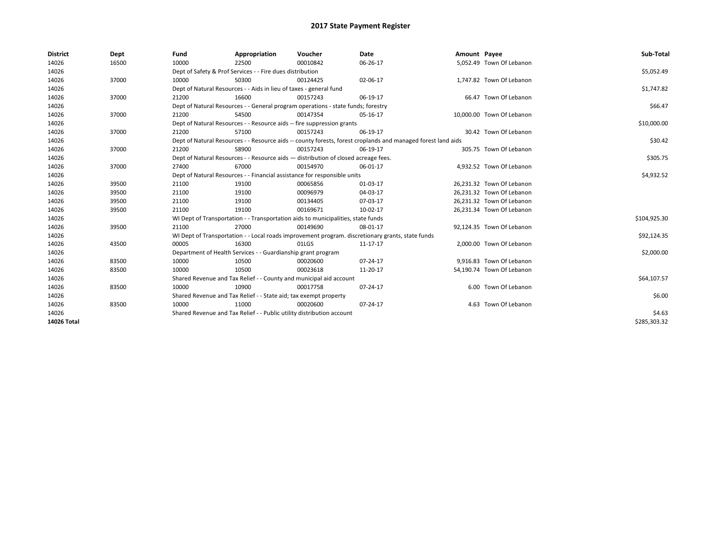| <b>District</b>    | Dept  | Fund  | Appropriation                                                                      | Voucher  | Date                                                                                                         | Amount Payee |                           | Sub-Total    |  |  |
|--------------------|-------|-------|------------------------------------------------------------------------------------|----------|--------------------------------------------------------------------------------------------------------------|--------------|---------------------------|--------------|--|--|
| 14026              | 16500 | 10000 | 22500                                                                              | 00010842 | 06-26-17                                                                                                     |              | 5,052.49 Town Of Lebanon  |              |  |  |
| 14026              |       |       | Dept of Safety & Prof Services - - Fire dues distribution                          |          |                                                                                                              |              |                           | \$5,052.49   |  |  |
| 14026              | 37000 | 10000 | 50300                                                                              | 00124425 | 02-06-17                                                                                                     |              | 1,747.82 Town Of Lebanon  |              |  |  |
| 14026              |       |       | Dept of Natural Resources - - Aids in lieu of taxes - general fund                 |          |                                                                                                              |              |                           | \$1,747.82   |  |  |
| 14026              | 37000 | 21200 | 16600                                                                              | 00157243 | 06-19-17                                                                                                     |              | 66.47 Town Of Lebanon     |              |  |  |
| 14026              |       |       | Dept of Natural Resources - - General program operations - state funds; forestry   |          |                                                                                                              |              |                           |              |  |  |
| 14026              | 37000 | 21200 | 54500                                                                              | 00147354 | 05-16-17                                                                                                     |              | 10.000.00 Town Of Lebanon |              |  |  |
| 14026              |       |       | Dept of Natural Resources - - Resource aids -- fire suppression grants             |          |                                                                                                              |              |                           | \$10,000.00  |  |  |
| 14026              | 37000 | 21200 | 57100                                                                              | 00157243 | 06-19-17                                                                                                     |              | 30.42 Town Of Lebanon     |              |  |  |
| 14026              |       |       |                                                                                    |          | Dept of Natural Resources - - Resource aids -- county forests, forest croplands and managed forest land aids |              |                           | \$30.42      |  |  |
| 14026              | 37000 | 21200 | 58900                                                                              | 00157243 | 06-19-17                                                                                                     |              | 305.75 Town Of Lebanon    |              |  |  |
| 14026              |       |       | Dept of Natural Resources - - Resource aids - distribution of closed acreage fees. |          |                                                                                                              |              |                           | \$305.75     |  |  |
| 14026              | 37000 | 27400 | 67000                                                                              | 00154970 | 06-01-17                                                                                                     |              | 4,932.52 Town Of Lebanon  |              |  |  |
| 14026              |       |       | Dept of Natural Resources - - Financial assistance for responsible units           |          |                                                                                                              |              |                           |              |  |  |
| 14026              | 39500 | 21100 | 19100                                                                              | 00065856 | 01-03-17                                                                                                     |              | 26,231.32 Town Of Lebanon |              |  |  |
| 14026              | 39500 | 21100 | 19100                                                                              | 00096979 | 04-03-17                                                                                                     |              | 26.231.32 Town Of Lebanon |              |  |  |
| 14026              | 39500 | 21100 | 19100                                                                              | 00134405 | 07-03-17                                                                                                     |              | 26,231.32 Town Of Lebanon |              |  |  |
| 14026              | 39500 | 21100 | 19100                                                                              | 00169671 | 10-02-17                                                                                                     |              | 26,231.34 Town Of Lebanon |              |  |  |
| 14026              |       |       | WI Dept of Transportation - - Transportation aids to municipalities, state funds   |          |                                                                                                              |              |                           | \$104,925.30 |  |  |
| 14026              | 39500 | 21100 | 27000                                                                              | 00149690 | 08-01-17                                                                                                     |              | 92,124.35 Town Of Lebanon |              |  |  |
| 14026              |       |       |                                                                                    |          | WI Dept of Transportation - - Local roads improvement program. discretionary grants, state funds             |              |                           | \$92,124.35  |  |  |
| 14026              | 43500 | 00005 | 16300                                                                              | 01LGS    | 11-17-17                                                                                                     |              | 2,000.00 Town Of Lebanon  |              |  |  |
| 14026              |       |       | Department of Health Services - - Guardianship grant program                       |          |                                                                                                              |              |                           | \$2,000.00   |  |  |
| 14026              | 83500 | 10000 | 10500                                                                              | 00020600 | $07 - 24 - 17$                                                                                               |              | 9.916.83 Town Of Lebanon  |              |  |  |
| 14026              | 83500 | 10000 | 10500                                                                              | 00023618 | 11-20-17                                                                                                     |              | 54,190.74 Town Of Lebanon |              |  |  |
| 14026              |       |       | Shared Revenue and Tax Relief - - County and municipal aid account                 |          |                                                                                                              |              |                           | \$64,107.57  |  |  |
| 14026              | 83500 | 10000 | 10900                                                                              | 00017758 | 07-24-17                                                                                                     |              | 6.00 Town Of Lebanon      |              |  |  |
| 14026              |       |       | Shared Revenue and Tax Relief - - State aid; tax exempt property                   |          |                                                                                                              |              |                           | \$6.00       |  |  |
| 14026              | 83500 | 10000 | 11000                                                                              | 00020600 | 07-24-17                                                                                                     |              | 4.63 Town Of Lebanon      |              |  |  |
| 14026              |       |       | Shared Revenue and Tax Relief - - Public utility distribution account              |          |                                                                                                              |              |                           | \$4.63       |  |  |
| <b>14026 Total</b> |       |       |                                                                                    |          |                                                                                                              |              |                           | \$285,303.32 |  |  |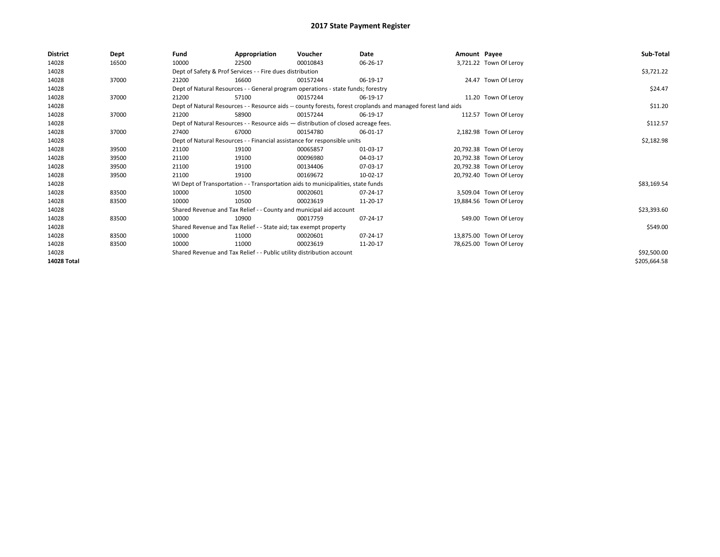| <b>District</b> | Dept  | Fund                                                                  | Appropriation                                                                      | Voucher     | Date                                                                                                         | Amount Payee |                         | Sub-Total    |
|-----------------|-------|-----------------------------------------------------------------------|------------------------------------------------------------------------------------|-------------|--------------------------------------------------------------------------------------------------------------|--------------|-------------------------|--------------|
| 14028           | 16500 | 10000                                                                 | 22500                                                                              | 00010843    | 06-26-17                                                                                                     |              | 3,721.22 Town Of Leroy  |              |
| 14028           |       |                                                                       | Dept of Safety & Prof Services - - Fire dues distribution                          |             |                                                                                                              |              |                         | \$3,721.22   |
| 14028           | 37000 | 21200                                                                 | 16600                                                                              | 00157244    | 06-19-17                                                                                                     |              | 24.47 Town Of Leroy     |              |
| 14028           |       |                                                                       | Dept of Natural Resources - - General program operations - state funds; forestry   |             |                                                                                                              |              |                         | \$24.47      |
| 14028           | 37000 | 21200                                                                 | 57100                                                                              | 00157244    | 06-19-17                                                                                                     |              | 11.20 Town Of Leroy     |              |
| 14028           |       |                                                                       |                                                                                    |             | Dept of Natural Resources - - Resource aids -- county forests, forest croplands and managed forest land aids |              |                         | \$11.20      |
| 14028           | 37000 | 21200                                                                 | 58900                                                                              | 00157244    | 06-19-17                                                                                                     |              | 112.57 Town Of Leroy    |              |
| 14028           |       |                                                                       | Dept of Natural Resources - - Resource aids - distribution of closed acreage fees. |             |                                                                                                              |              |                         | \$112.57     |
| 14028           | 37000 | 27400                                                                 | 67000                                                                              | 00154780    | 06-01-17                                                                                                     |              | 2,182.98 Town Of Leroy  |              |
| 14028           |       |                                                                       | Dept of Natural Resources - - Financial assistance for responsible units           |             |                                                                                                              |              |                         | \$2,182.98   |
| 14028           | 39500 | 21100                                                                 | 19100                                                                              | 00065857    | 01-03-17                                                                                                     |              | 20,792.38 Town Of Leroy |              |
| 14028           | 39500 | 21100                                                                 | 19100                                                                              | 00096980    | 04-03-17                                                                                                     |              | 20,792.38 Town Of Leroy |              |
| 14028           | 39500 | 21100                                                                 | 19100                                                                              | 00134406    | 07-03-17                                                                                                     |              | 20,792.38 Town Of Leroy |              |
| 14028           | 39500 | 21100                                                                 | 19100                                                                              | 00169672    | 10-02-17                                                                                                     |              | 20,792.40 Town Of Leroy |              |
| 14028           |       |                                                                       | WI Dept of Transportation - - Transportation aids to municipalities, state funds   |             |                                                                                                              |              |                         | \$83,169.54  |
| 14028           | 83500 | 10000                                                                 | 10500                                                                              | 00020601    | 07-24-17                                                                                                     |              | 3,509.04 Town Of Leroy  |              |
| 14028           | 83500 | 10000                                                                 | 10500                                                                              | 00023619    | 11-20-17                                                                                                     |              | 19,884.56 Town Of Leroy |              |
| 14028           |       |                                                                       | Shared Revenue and Tax Relief - - County and municipal aid account                 |             |                                                                                                              |              |                         | \$23,393.60  |
| 14028           | 83500 | 10000                                                                 | 10900                                                                              | 00017759    | 07-24-17                                                                                                     |              | 549.00 Town Of Leroy    |              |
| 14028           |       |                                                                       | Shared Revenue and Tax Relief - - State aid; tax exempt property                   |             |                                                                                                              |              |                         | \$549.00     |
| 14028           | 83500 | 10000                                                                 | 11000                                                                              | 00020601    | 07-24-17                                                                                                     |              | 13,875.00 Town Of Leroy |              |
| 14028           | 83500 | 10000                                                                 | 11000                                                                              | 00023619    | 11-20-17                                                                                                     |              | 78,625.00 Town Of Leroy |              |
| 14028           |       | Shared Revenue and Tax Relief - - Public utility distribution account |                                                                                    | \$92,500.00 |                                                                                                              |              |                         |              |
| 14028 Total     |       |                                                                       |                                                                                    |             |                                                                                                              |              |                         | \$205,664.58 |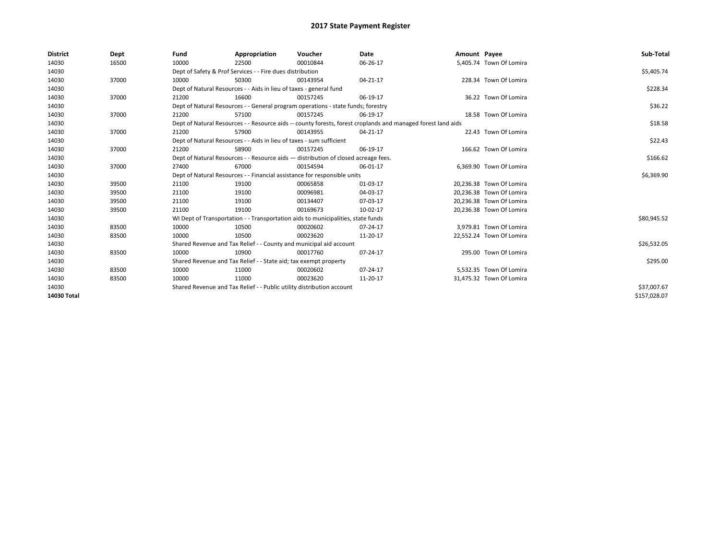| <b>District</b> | Dept  | Fund  | Appropriation                                                                                                | Voucher  | Date     | Amount Payee |                          | Sub-Total    |  |  |  |
|-----------------|-------|-------|--------------------------------------------------------------------------------------------------------------|----------|----------|--------------|--------------------------|--------------|--|--|--|
| 14030           | 16500 | 10000 | 22500                                                                                                        | 00010844 | 06-26-17 |              | 5,405.74 Town Of Lomira  |              |  |  |  |
| 14030           |       |       | Dept of Safety & Prof Services - - Fire dues distribution                                                    |          |          |              |                          | \$5,405.74   |  |  |  |
| 14030           | 37000 | 10000 | 50300                                                                                                        | 00143954 | 04-21-17 |              | 228.34 Town Of Lomira    |              |  |  |  |
| 14030           |       |       | Dept of Natural Resources - - Aids in lieu of taxes - general fund                                           |          |          |              |                          | \$228.34     |  |  |  |
| 14030           | 37000 | 21200 | 16600                                                                                                        | 00157245 | 06-19-17 |              | 36.22 Town Of Lomira     |              |  |  |  |
| 14030           |       |       | Dept of Natural Resources - - General program operations - state funds; forestry                             |          |          |              |                          | \$36.22      |  |  |  |
| 14030           | 37000 | 21200 | 57100                                                                                                        | 00157245 | 06-19-17 |              | 18.58 Town Of Lomira     |              |  |  |  |
| 14030           |       |       | Dept of Natural Resources - - Resource aids -- county forests, forest croplands and managed forest land aids |          |          |              |                          | \$18.58      |  |  |  |
| 14030           | 37000 | 21200 | 57900                                                                                                        | 00143955 | 04-21-17 |              | 22.43 Town Of Lomira     |              |  |  |  |
| 14030           |       |       | Dept of Natural Resources - - Aids in lieu of taxes - sum sufficient                                         |          |          |              |                          |              |  |  |  |
| 14030           | 37000 | 21200 | 58900                                                                                                        | 00157245 | 06-19-17 |              | 166.62 Town Of Lomira    |              |  |  |  |
| 14030           |       |       | Dept of Natural Resources - - Resource aids - distribution of closed acreage fees.                           |          |          |              |                          |              |  |  |  |
| 14030           | 37000 | 27400 | 67000                                                                                                        | 00154594 | 06-01-17 |              | 6,369.90 Town Of Lomira  |              |  |  |  |
| 14030           |       |       | Dept of Natural Resources - - Financial assistance for responsible units                                     |          |          |              |                          |              |  |  |  |
| 14030           | 39500 | 21100 | 19100                                                                                                        | 00065858 | 01-03-17 |              | 20,236.38 Town Of Lomira |              |  |  |  |
| 14030           | 39500 | 21100 | 19100                                                                                                        | 00096981 | 04-03-17 |              | 20.236.38 Town Of Lomira |              |  |  |  |
| 14030           | 39500 | 21100 | 19100                                                                                                        | 00134407 | 07-03-17 |              | 20,236.38 Town Of Lomira |              |  |  |  |
| 14030           | 39500 | 21100 | 19100                                                                                                        | 00169673 | 10-02-17 |              | 20,236.38 Town Of Lomira |              |  |  |  |
| 14030           |       |       | WI Dept of Transportation - - Transportation aids to municipalities, state funds                             |          |          |              |                          | \$80,945.52  |  |  |  |
| 14030           | 83500 | 10000 | 10500                                                                                                        | 00020602 | 07-24-17 |              | 3,979.81 Town Of Lomira  |              |  |  |  |
| 14030           | 83500 | 10000 | 10500                                                                                                        | 00023620 | 11-20-17 |              | 22,552.24 Town Of Lomira |              |  |  |  |
| 14030           |       |       | Shared Revenue and Tax Relief - - County and municipal aid account                                           |          |          |              |                          | \$26,532.05  |  |  |  |
| 14030           | 83500 | 10000 | 10900                                                                                                        | 00017760 | 07-24-17 |              | 295.00 Town Of Lomira    |              |  |  |  |
| 14030           |       |       | Shared Revenue and Tax Relief - - State aid; tax exempt property                                             |          |          |              |                          | \$295.00     |  |  |  |
| 14030           | 83500 | 10000 | 11000                                                                                                        | 00020602 | 07-24-17 |              | 5,532.35 Town Of Lomira  |              |  |  |  |
| 14030           | 83500 | 10000 | 11000                                                                                                        | 00023620 | 11-20-17 |              | 31,475.32 Town Of Lomira |              |  |  |  |
| 14030           |       |       | Shared Revenue and Tax Relief - - Public utility distribution account                                        |          |          |              |                          | \$37,007.67  |  |  |  |
| 14030 Total     |       |       |                                                                                                              |          |          |              |                          | \$157,028.07 |  |  |  |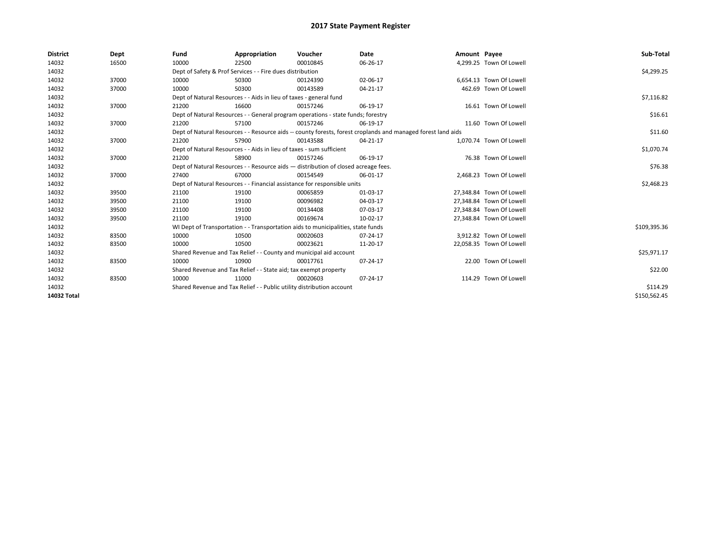| <b>District</b> | Dept  | Fund  | Appropriation                                                                                                | Voucher  | Date     | Amount Payee |                          | Sub-Total    |  |  |
|-----------------|-------|-------|--------------------------------------------------------------------------------------------------------------|----------|----------|--------------|--------------------------|--------------|--|--|
| 14032           | 16500 | 10000 | 22500                                                                                                        | 00010845 | 06-26-17 |              | 4,299.25 Town Of Lowell  |              |  |  |
| 14032           |       |       | Dept of Safety & Prof Services - - Fire dues distribution                                                    |          |          |              |                          | \$4,299.25   |  |  |
| 14032           | 37000 | 10000 | 50300                                                                                                        | 00124390 | 02-06-17 |              | 6,654.13 Town Of Lowell  |              |  |  |
| 14032           | 37000 | 10000 | 50300                                                                                                        | 00143589 | 04-21-17 |              | 462.69 Town Of Lowell    |              |  |  |
| 14032           |       |       | Dept of Natural Resources - - Aids in lieu of taxes - general fund                                           |          |          |              |                          | \$7,116.82   |  |  |
| 14032           | 37000 | 21200 | 16600                                                                                                        | 00157246 | 06-19-17 |              | 16.61 Town Of Lowell     |              |  |  |
| 14032           |       |       | Dept of Natural Resources - - General program operations - state funds; forestry                             |          |          |              |                          | \$16.61      |  |  |
| 14032           | 37000 | 21200 | 57100                                                                                                        | 00157246 | 06-19-17 |              | 11.60 Town Of Lowell     |              |  |  |
| 14032           |       |       | Dept of Natural Resources - - Resource aids -- county forests, forest croplands and managed forest land aids |          |          |              |                          | \$11.60      |  |  |
| 14032           | 37000 | 21200 | 57900                                                                                                        | 00143588 | 04-21-17 |              | 1.070.74 Town Of Lowell  |              |  |  |
| 14032           |       |       | Dept of Natural Resources - - Aids in lieu of taxes - sum sufficient                                         |          |          |              |                          |              |  |  |
| 14032           | 37000 | 21200 | 58900                                                                                                        | 00157246 | 06-19-17 |              | 76.38 Town Of Lowell     |              |  |  |
| 14032           |       |       | Dept of Natural Resources - - Resource aids - distribution of closed acreage fees.                           |          |          |              |                          |              |  |  |
| 14032           | 37000 | 27400 | 67000                                                                                                        | 00154549 | 06-01-17 |              | 2,468.23 Town Of Lowell  |              |  |  |
| 14032           |       |       | Dept of Natural Resources - - Financial assistance for responsible units                                     |          |          |              |                          | \$2,468.23   |  |  |
| 14032           | 39500 | 21100 | 19100                                                                                                        | 00065859 | 01-03-17 |              | 27,348.84 Town Of Lowell |              |  |  |
| 14032           | 39500 | 21100 | 19100                                                                                                        | 00096982 | 04-03-17 |              | 27.348.84 Town Of Lowell |              |  |  |
| 14032           | 39500 | 21100 | 19100                                                                                                        | 00134408 | 07-03-17 |              | 27,348.84 Town Of Lowell |              |  |  |
| 14032           | 39500 | 21100 | 19100                                                                                                        | 00169674 | 10-02-17 |              | 27,348.84 Town Of Lowell |              |  |  |
| 14032           |       |       | WI Dept of Transportation - - Transportation aids to municipalities, state funds                             |          |          |              |                          | \$109,395.36 |  |  |
| 14032           | 83500 | 10000 | 10500                                                                                                        | 00020603 | 07-24-17 |              | 3,912.82 Town Of Lowell  |              |  |  |
| 14032           | 83500 | 10000 | 10500                                                                                                        | 00023621 | 11-20-17 |              | 22,058.35 Town Of Lowell |              |  |  |
| 14032           |       |       | Shared Revenue and Tax Relief - - County and municipal aid account                                           |          |          |              |                          | \$25,971.17  |  |  |
| 14032           | 83500 | 10000 | 10900                                                                                                        | 00017761 | 07-24-17 |              | 22.00 Town Of Lowell     |              |  |  |
| 14032           |       |       | Shared Revenue and Tax Relief - - State aid; tax exempt property                                             |          |          |              |                          | \$22.00      |  |  |
| 14032           | 83500 | 10000 | 11000                                                                                                        | 00020603 | 07-24-17 |              | 114.29 Town Of Lowell    |              |  |  |
| 14032           |       |       | Shared Revenue and Tax Relief - - Public utility distribution account                                        |          |          |              |                          | \$114.29     |  |  |
| 14032 Total     |       |       |                                                                                                              |          |          |              |                          | \$150,562.45 |  |  |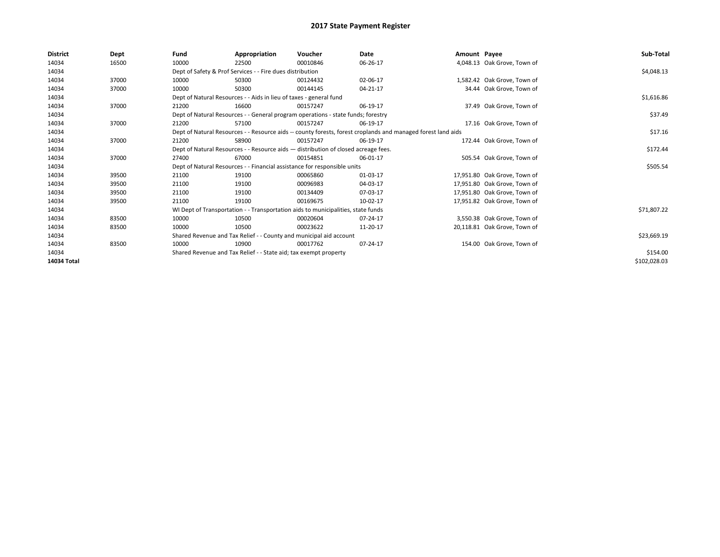| <b>District</b> | Dept  | Fund                                                                                                         | Appropriation                                                      | Voucher                                                                          | Date     | Amount Payee |                              | Sub-Total    |
|-----------------|-------|--------------------------------------------------------------------------------------------------------------|--------------------------------------------------------------------|----------------------------------------------------------------------------------|----------|--------------|------------------------------|--------------|
| 14034           | 16500 | 10000                                                                                                        | 22500                                                              | 00010846                                                                         | 06-26-17 |              | 4,048.13 Oak Grove, Town of  |              |
| 14034           |       |                                                                                                              | Dept of Safety & Prof Services - - Fire dues distribution          |                                                                                  |          |              |                              | \$4,048.13   |
| 14034           | 37000 | 10000                                                                                                        | 50300                                                              | 00124432                                                                         | 02-06-17 |              | 1,582.42 Oak Grove, Town of  |              |
| 14034           | 37000 | 10000                                                                                                        | 50300                                                              | 00144145                                                                         | 04-21-17 |              | 34.44 Oak Grove, Town of     |              |
| 14034           |       |                                                                                                              | Dept of Natural Resources - - Aids in lieu of taxes - general fund |                                                                                  |          |              |                              | \$1,616.86   |
| 14034           | 37000 | 21200                                                                                                        | 16600                                                              | 00157247                                                                         | 06-19-17 |              | 37.49 Oak Grove, Town of     |              |
| 14034           |       |                                                                                                              |                                                                    | Dept of Natural Resources - - General program operations - state funds; forestry |          |              |                              | \$37.49      |
| 14034           | 37000 | 21200                                                                                                        | 57100                                                              | 00157247                                                                         | 06-19-17 |              | 17.16 Oak Grove, Town of     |              |
| 14034           |       | Dept of Natural Resources - - Resource aids -- county forests, forest croplands and managed forest land aids |                                                                    | \$17.16                                                                          |          |              |                              |              |
| 14034           | 37000 | 21200                                                                                                        | 58900                                                              | 00157247                                                                         | 06-19-17 |              | 172.44 Oak Grove, Town of    |              |
| 14034           |       | Dept of Natural Resources - - Resource aids - distribution of closed acreage fees.                           |                                                                    | \$172.44                                                                         |          |              |                              |              |
| 14034           | 37000 | 27400                                                                                                        | 67000                                                              | 00154851                                                                         | 06-01-17 |              | 505.54 Oak Grove, Town of    |              |
| 14034           |       |                                                                                                              |                                                                    | Dept of Natural Resources - - Financial assistance for responsible units         |          |              |                              | \$505.54     |
| 14034           | 39500 | 21100                                                                                                        | 19100                                                              | 00065860                                                                         | 01-03-17 |              | 17,951.80 Oak Grove, Town of |              |
| 14034           | 39500 | 21100                                                                                                        | 19100                                                              | 00096983                                                                         | 04-03-17 |              | 17,951.80 Oak Grove, Town of |              |
| 14034           | 39500 | 21100                                                                                                        | 19100                                                              | 00134409                                                                         | 07-03-17 |              | 17,951.80 Oak Grove, Town of |              |
| 14034           | 39500 | 21100                                                                                                        | 19100                                                              | 00169675                                                                         | 10-02-17 |              | 17,951.82 Oak Grove, Town of |              |
| 14034           |       |                                                                                                              |                                                                    | WI Dept of Transportation - - Transportation aids to municipalities, state funds |          |              |                              | \$71,807.22  |
| 14034           | 83500 | 10000                                                                                                        | 10500                                                              | 00020604                                                                         | 07-24-17 |              | 3,550.38 Oak Grove, Town of  |              |
| 14034           | 83500 | 10000                                                                                                        | 10500                                                              | 00023622                                                                         | 11-20-17 |              | 20,118.81 Oak Grove, Town of |              |
| 14034           |       |                                                                                                              |                                                                    | Shared Revenue and Tax Relief - - County and municipal aid account               |          |              |                              | \$23,669.19  |
| 14034           | 83500 | 10000                                                                                                        | 10900                                                              | 00017762                                                                         | 07-24-17 |              | 154.00 Oak Grove, Town of    |              |
| 14034           |       |                                                                                                              | Shared Revenue and Tax Relief - - State aid; tax exempt property   |                                                                                  |          |              |                              | \$154.00     |
| 14034 Total     |       |                                                                                                              |                                                                    |                                                                                  |          |              |                              | \$102,028.03 |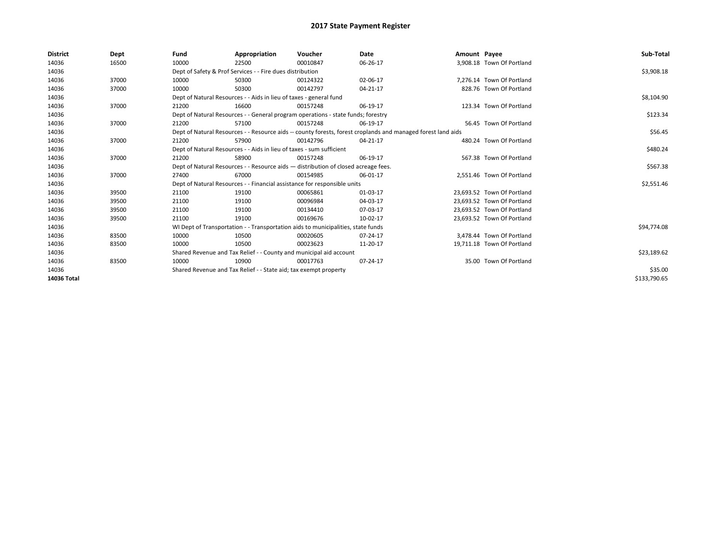| <b>District</b> | Dept  | Fund                                                               | Appropriation                                                                                                | Voucher     | Date     | Amount Payee |                            | Sub-Total    |  |  |
|-----------------|-------|--------------------------------------------------------------------|--------------------------------------------------------------------------------------------------------------|-------------|----------|--------------|----------------------------|--------------|--|--|
| 14036           | 16500 | 10000                                                              | 22500                                                                                                        | 00010847    | 06-26-17 |              | 3.908.18 Town Of Portland  |              |  |  |
| 14036           |       |                                                                    | Dept of Safety & Prof Services - - Fire dues distribution                                                    |             |          |              |                            | \$3,908.18   |  |  |
| 14036           | 37000 | 10000                                                              | 50300                                                                                                        | 00124322    | 02-06-17 |              | 7,276.14 Town Of Portland  |              |  |  |
| 14036           | 37000 | 10000                                                              | 50300                                                                                                        | 00142797    | 04-21-17 |              | 828.76 Town Of Portland    |              |  |  |
| 14036           |       |                                                                    | Dept of Natural Resources - - Aids in lieu of taxes - general fund                                           |             |          |              |                            | \$8,104.90   |  |  |
| 14036           | 37000 | 21200                                                              | 16600                                                                                                        | 00157248    | 06-19-17 |              | 123.34 Town Of Portland    |              |  |  |
| 14036           |       |                                                                    | Dept of Natural Resources - - General program operations - state funds; forestry                             |             |          |              |                            | \$123.34     |  |  |
| 14036           | 37000 | 21200                                                              | 57100                                                                                                        | 00157248    | 06-19-17 |              | 56.45 Town Of Portland     |              |  |  |
| 14036           |       |                                                                    | Dept of Natural Resources - - Resource aids -- county forests, forest croplands and managed forest land aids |             |          |              |                            | \$56.45      |  |  |
| 14036           | 37000 | 21200                                                              | 57900                                                                                                        | 00142796    | 04-21-17 |              | 480.24 Town Of Portland    |              |  |  |
| 14036           |       |                                                                    | Dept of Natural Resources - - Aids in lieu of taxes - sum sufficient                                         |             |          |              |                            |              |  |  |
| 14036           | 37000 | 21200                                                              | 58900                                                                                                        | 00157248    | 06-19-17 |              | 567.38 Town Of Portland    |              |  |  |
| 14036           |       |                                                                    | Dept of Natural Resources - - Resource aids - distribution of closed acreage fees.                           |             |          |              |                            |              |  |  |
| 14036           | 37000 | 27400                                                              | 67000                                                                                                        | 00154985    | 06-01-17 |              | 2,551.46 Town Of Portland  |              |  |  |
| 14036           |       |                                                                    | Dept of Natural Resources - - Financial assistance for responsible units                                     |             |          |              |                            | \$2,551.46   |  |  |
| 14036           | 39500 | 21100                                                              | 19100                                                                                                        | 00065861    | 01-03-17 |              | 23.693.52 Town Of Portland |              |  |  |
| 14036           | 39500 | 21100                                                              | 19100                                                                                                        | 00096984    | 04-03-17 |              | 23,693.52 Town Of Portland |              |  |  |
| 14036           | 39500 | 21100                                                              | 19100                                                                                                        | 00134410    | 07-03-17 |              | 23,693.52 Town Of Portland |              |  |  |
| 14036           | 39500 | 21100                                                              | 19100                                                                                                        | 00169676    | 10-02-17 |              | 23,693.52 Town Of Portland |              |  |  |
| 14036           |       |                                                                    | WI Dept of Transportation - - Transportation aids to municipalities, state funds                             |             |          |              |                            | \$94,774.08  |  |  |
| 14036           | 83500 | 10000                                                              | 10500                                                                                                        | 00020605    | 07-24-17 |              | 3,478.44 Town Of Portland  |              |  |  |
| 14036           | 83500 | 10000                                                              | 10500                                                                                                        | 00023623    | 11-20-17 |              | 19,711.18 Town Of Portland |              |  |  |
| 14036           |       | Shared Revenue and Tax Relief - - County and municipal aid account |                                                                                                              | \$23,189.62 |          |              |                            |              |  |  |
| 14036           | 83500 | 10000                                                              | 10900                                                                                                        | 00017763    | 07-24-17 |              | 35.00 Town Of Portland     |              |  |  |
| 14036           |       | Shared Revenue and Tax Relief - - State aid; tax exempt property   |                                                                                                              | \$35.00     |          |              |                            |              |  |  |
| 14036 Total     |       |                                                                    |                                                                                                              |             |          |              |                            | \$133,790.65 |  |  |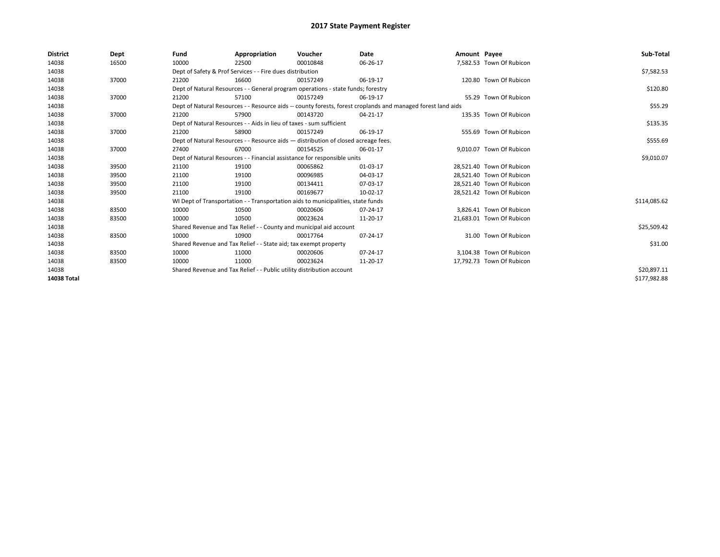| <b>District</b> | Dept  | Fund  | Appropriation                                                                                                | Voucher  | <b>Date</b> | Amount Payee |                           | Sub-Total    |  |  |  |
|-----------------|-------|-------|--------------------------------------------------------------------------------------------------------------|----------|-------------|--------------|---------------------------|--------------|--|--|--|
| 14038           | 16500 | 10000 | 22500                                                                                                        | 00010848 | 06-26-17    |              | 7,582.53 Town Of Rubicon  |              |  |  |  |
| 14038           |       |       | Dept of Safety & Prof Services - - Fire dues distribution                                                    |          |             |              |                           | \$7,582.53   |  |  |  |
| 14038           | 37000 | 21200 | 16600                                                                                                        | 00157249 | 06-19-17    |              | 120.80 Town Of Rubicon    |              |  |  |  |
| 14038           |       |       | Dept of Natural Resources - - General program operations - state funds; forestry                             |          |             |              |                           | \$120.80     |  |  |  |
| 14038           | 37000 | 21200 | 57100                                                                                                        | 00157249 | 06-19-17    |              | 55.29 Town Of Rubicon     |              |  |  |  |
| 14038           |       |       | Dept of Natural Resources - - Resource aids -- county forests, forest croplands and managed forest land aids |          |             |              |                           | \$55.29      |  |  |  |
| 14038           | 37000 | 21200 | 57900                                                                                                        | 00143720 | 04-21-17    |              | 135.35 Town Of Rubicon    |              |  |  |  |
| 14038           |       |       | Dept of Natural Resources - - Aids in lieu of taxes - sum sufficient                                         |          |             |              |                           |              |  |  |  |
| 14038           | 37000 | 21200 | 58900                                                                                                        | 00157249 | 06-19-17    |              | 555.69 Town Of Rubicon    |              |  |  |  |
| 14038           |       |       | Dept of Natural Resources - - Resource aids - distribution of closed acreage fees.                           |          |             |              |                           |              |  |  |  |
| 14038           | 37000 | 27400 | 67000                                                                                                        | 00154525 | 06-01-17    |              | 9.010.07 Town Of Rubicon  |              |  |  |  |
| 14038           |       |       | Dept of Natural Resources - - Financial assistance for responsible units                                     |          |             |              |                           |              |  |  |  |
| 14038           | 39500 | 21100 | 19100                                                                                                        | 00065862 | 01-03-17    |              | 28,521.40 Town Of Rubicon |              |  |  |  |
| 14038           | 39500 | 21100 | 19100                                                                                                        | 00096985 | 04-03-17    |              | 28,521.40 Town Of Rubicon |              |  |  |  |
| 14038           | 39500 | 21100 | 19100                                                                                                        | 00134411 | 07-03-17    |              | 28,521.40 Town Of Rubicon |              |  |  |  |
| 14038           | 39500 | 21100 | 19100                                                                                                        | 00169677 | 10-02-17    |              | 28.521.42 Town Of Rubicon |              |  |  |  |
| 14038           |       |       | WI Dept of Transportation - - Transportation aids to municipalities, state funds                             |          |             |              |                           | \$114,085.62 |  |  |  |
| 14038           | 83500 | 10000 | 10500                                                                                                        | 00020606 | 07-24-17    |              | 3.826.41 Town Of Rubicon  |              |  |  |  |
| 14038           | 83500 | 10000 | 10500                                                                                                        | 00023624 | 11-20-17    |              | 21,683.01 Town Of Rubicon |              |  |  |  |
| 14038           |       |       | Shared Revenue and Tax Relief - - County and municipal aid account                                           |          |             |              |                           | \$25,509.42  |  |  |  |
| 14038           | 83500 | 10000 | 10900                                                                                                        | 00017764 | 07-24-17    |              | 31.00 Town Of Rubicon     |              |  |  |  |
| 14038           |       |       | Shared Revenue and Tax Relief - - State aid; tax exempt property                                             |          |             |              |                           | \$31.00      |  |  |  |
| 14038           | 83500 | 10000 | 11000                                                                                                        | 00020606 | 07-24-17    |              | 3.104.38 Town Of Rubicon  |              |  |  |  |
| 14038           | 83500 | 10000 | 11000                                                                                                        | 00023624 | 11-20-17    |              | 17,792.73 Town Of Rubicon |              |  |  |  |
| 14038           |       |       | Shared Revenue and Tax Relief - - Public utility distribution account                                        |          |             |              |                           | \$20,897.11  |  |  |  |
| 14038 Total     |       |       |                                                                                                              |          |             |              |                           | \$177,982.88 |  |  |  |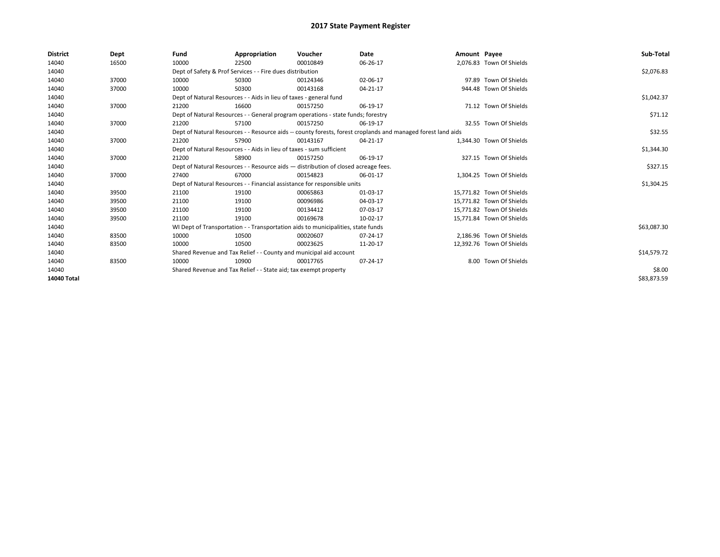| <b>District</b> | Dept  | Fund                                                             | Appropriation                                                                                                | Voucher  | Date           | Amount Payee |                           | Sub-Total   |  |  |
|-----------------|-------|------------------------------------------------------------------|--------------------------------------------------------------------------------------------------------------|----------|----------------|--------------|---------------------------|-------------|--|--|
| 14040           | 16500 | 10000                                                            | 22500                                                                                                        | 00010849 | 06-26-17       |              | 2,076.83 Town Of Shields  |             |  |  |
| 14040           |       |                                                                  | Dept of Safety & Prof Services - - Fire dues distribution                                                    |          |                |              |                           | \$2,076.83  |  |  |
| 14040           | 37000 | 10000                                                            | 50300                                                                                                        | 00124346 | 02-06-17       |              | 97.89 Town Of Shields     |             |  |  |
| 14040           | 37000 | 10000                                                            | 50300                                                                                                        | 00143168 | $04 - 21 - 17$ |              | 944.48 Town Of Shields    |             |  |  |
| 14040           |       |                                                                  | Dept of Natural Resources - - Aids in lieu of taxes - general fund                                           |          |                |              |                           | \$1,042.37  |  |  |
| 14040           | 37000 | 21200                                                            | 16600                                                                                                        | 00157250 | 06-19-17       |              | 71.12 Town Of Shields     |             |  |  |
| 14040           |       |                                                                  | Dept of Natural Resources - - General program operations - state funds; forestry                             |          |                |              |                           | \$71.12     |  |  |
| 14040           | 37000 | 21200                                                            | 57100                                                                                                        | 00157250 | 06-19-17       |              | 32.55 Town Of Shields     |             |  |  |
| 14040           |       |                                                                  | Dept of Natural Resources - - Resource aids -- county forests, forest croplands and managed forest land aids |          | \$32.55        |              |                           |             |  |  |
| 14040           | 37000 | 21200                                                            | 57900                                                                                                        | 00143167 | 04-21-17       |              | 1,344.30 Town Of Shields  |             |  |  |
| 14040           |       |                                                                  | Dept of Natural Resources - - Aids in lieu of taxes - sum sufficient                                         |          |                |              |                           |             |  |  |
| 14040           | 37000 | 21200                                                            | 58900                                                                                                        | 00157250 | 06-19-17       |              | 327.15 Town Of Shields    |             |  |  |
| 14040           |       |                                                                  | Dept of Natural Resources - - Resource aids - distribution of closed acreage fees.                           |          |                |              |                           |             |  |  |
| 14040           | 37000 | 27400                                                            | 67000                                                                                                        | 00154823 | 06-01-17       |              | 1,304.25 Town Of Shields  |             |  |  |
| 14040           |       |                                                                  | Dept of Natural Resources - - Financial assistance for responsible units                                     |          |                |              |                           | \$1,304.25  |  |  |
| 14040           | 39500 | 21100                                                            | 19100                                                                                                        | 00065863 | 01-03-17       |              | 15.771.82 Town Of Shields |             |  |  |
| 14040           | 39500 | 21100                                                            | 19100                                                                                                        | 00096986 | 04-03-17       |              | 15,771.82 Town Of Shields |             |  |  |
| 14040           | 39500 | 21100                                                            | 19100                                                                                                        | 00134412 | 07-03-17       |              | 15,771.82 Town Of Shields |             |  |  |
| 14040           | 39500 | 21100                                                            | 19100                                                                                                        | 00169678 | 10-02-17       |              | 15,771.84 Town Of Shields |             |  |  |
| 14040           |       |                                                                  | WI Dept of Transportation - - Transportation aids to municipalities, state funds                             |          |                |              |                           | \$63,087.30 |  |  |
| 14040           | 83500 | 10000                                                            | 10500                                                                                                        | 00020607 | 07-24-17       |              | 2.186.96 Town Of Shields  |             |  |  |
| 14040           | 83500 | 10000                                                            | 10500                                                                                                        | 00023625 | 11-20-17       |              | 12,392.76 Town Of Shields |             |  |  |
| 14040           |       |                                                                  | Shared Revenue and Tax Relief - - County and municipal aid account                                           |          |                |              |                           |             |  |  |
| 14040           | 83500 | 10000                                                            | 10900                                                                                                        | 00017765 | 07-24-17       |              | 8.00 Town Of Shields      |             |  |  |
| 14040           |       | Shared Revenue and Tax Relief - - State aid; tax exempt property |                                                                                                              | \$8.00   |                |              |                           |             |  |  |
| 14040 Total     |       |                                                                  |                                                                                                              |          |                |              |                           | \$83,873.59 |  |  |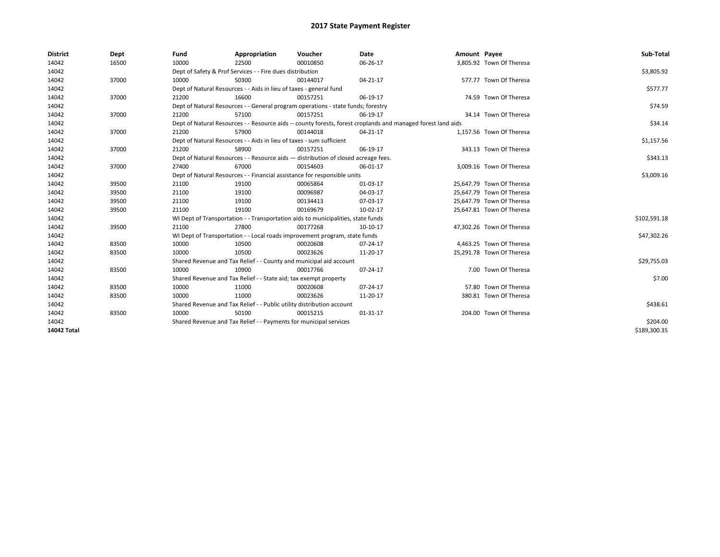| <b>District</b> | Dept  | Fund  | Appropriation                                                                                                | Voucher  | Date     | Amount Payee |                           | Sub-Total    |
|-----------------|-------|-------|--------------------------------------------------------------------------------------------------------------|----------|----------|--------------|---------------------------|--------------|
| 14042           | 16500 | 10000 | 22500                                                                                                        | 00010850 | 06-26-17 |              | 3,805.92 Town Of Theresa  |              |
| 14042           |       |       | Dept of Safety & Prof Services - - Fire dues distribution                                                    |          |          |              |                           | \$3,805.92   |
| 14042           | 37000 | 10000 | 50300                                                                                                        | 00144017 | 04-21-17 |              | 577.77 Town Of Theresa    |              |
| 14042           |       |       | Dept of Natural Resources - - Aids in lieu of taxes - general fund                                           |          |          |              |                           | \$577.77     |
| 14042           | 37000 | 21200 | 16600                                                                                                        | 00157251 | 06-19-17 |              | 74.59 Town Of Theresa     |              |
| 14042           |       |       | Dept of Natural Resources - - General program operations - state funds; forestry                             | \$74.59  |          |              |                           |              |
| 14042           | 37000 | 21200 | 57100                                                                                                        | 00157251 | 06-19-17 |              | 34.14 Town Of Theresa     |              |
| 14042           |       |       | Dept of Natural Resources - - Resource aids -- county forests, forest croplands and managed forest land aids | \$34.14  |          |              |                           |              |
| 14042           | 37000 | 21200 | 57900                                                                                                        | 00144018 | 04-21-17 |              | 1,157.56 Town Of Theresa  |              |
| 14042           |       |       | Dept of Natural Resources - - Aids in lieu of taxes - sum sufficient                                         |          |          |              |                           | \$1,157.56   |
| 14042           | 37000 | 21200 | 58900                                                                                                        | 00157251 | 06-19-17 |              | 343.13 Town Of Theresa    |              |
| 14042           |       |       | Dept of Natural Resources - - Resource aids - distribution of closed acreage fees.                           |          |          |              |                           | \$343.13     |
| 14042           | 37000 | 27400 | 67000                                                                                                        | 00154603 | 06-01-17 |              | 3,009.16 Town Of Theresa  |              |
| 14042           |       |       | Dept of Natural Resources - - Financial assistance for responsible units                                     |          |          |              |                           | \$3,009.16   |
| 14042           | 39500 | 21100 | 19100                                                                                                        | 00065864 | 01-03-17 |              | 25,647.79 Town Of Theresa |              |
| 14042           | 39500 | 21100 | 19100                                                                                                        | 00096987 | 04-03-17 |              | 25,647.79 Town Of Theresa |              |
| 14042           | 39500 | 21100 | 19100                                                                                                        | 00134413 | 07-03-17 |              | 25,647.79 Town Of Theresa |              |
| 14042           | 39500 | 21100 | 19100                                                                                                        | 00169679 | 10-02-17 |              | 25,647.81 Town Of Theresa |              |
| 14042           |       |       | WI Dept of Transportation - - Transportation aids to municipalities, state funds                             |          |          |              |                           | \$102,591.18 |
| 14042           | 39500 | 21100 | 27800                                                                                                        | 00177268 | 10-10-17 |              | 47,302.26 Town Of Theresa |              |
| 14042           |       |       | WI Dept of Transportation - - Local roads improvement program, state funds                                   |          |          |              |                           | \$47,302.26  |
| 14042           | 83500 | 10000 | 10500                                                                                                        | 00020608 | 07-24-17 |              | 4,463.25 Town Of Theresa  |              |
| 14042           | 83500 | 10000 | 10500                                                                                                        | 00023626 | 11-20-17 |              | 25,291.78 Town Of Theresa |              |
| 14042           |       |       | Shared Revenue and Tax Relief - - County and municipal aid account                                           |          |          |              |                           | \$29,755.03  |
| 14042           | 83500 | 10000 | 10900                                                                                                        | 00017766 | 07-24-17 |              | 7.00 Town Of Theresa      |              |
| 14042           |       |       | Shared Revenue and Tax Relief - - State aid; tax exempt property                                             |          |          |              |                           | \$7.00       |
| 14042           | 83500 | 10000 | 11000                                                                                                        | 00020608 | 07-24-17 |              | 57.80 Town Of Theresa     |              |
| 14042           | 83500 | 10000 | 11000                                                                                                        | 00023626 | 11-20-17 |              | 380.81 Town Of Theresa    |              |
| 14042           |       |       | Shared Revenue and Tax Relief - - Public utility distribution account                                        |          |          |              |                           | \$438.61     |
| 14042           | 83500 | 10000 | 50100                                                                                                        | 00015215 | 01-31-17 |              | 204.00 Town Of Theresa    |              |
| 14042           |       |       | Shared Revenue and Tax Relief - - Payments for municipal services                                            |          |          |              |                           | \$204.00     |
| 14042 Total     |       |       |                                                                                                              |          |          |              |                           | \$189,300.35 |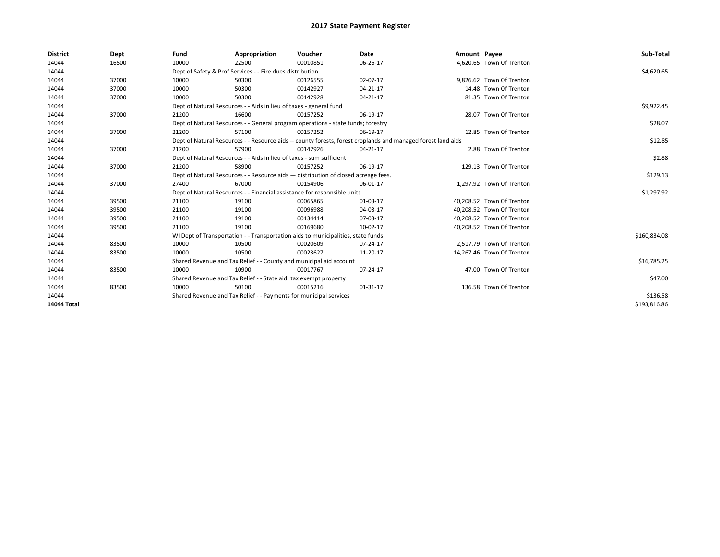| <b>District</b> | Dept  | Fund  | Appropriation                                                        | Voucher                                                                            | Date                                                                                                         | Amount Payee |                           | Sub-Total    |
|-----------------|-------|-------|----------------------------------------------------------------------|------------------------------------------------------------------------------------|--------------------------------------------------------------------------------------------------------------|--------------|---------------------------|--------------|
| 14044           | 16500 | 10000 | 22500                                                                | 00010851                                                                           | 06-26-17                                                                                                     |              | 4,620.65 Town Of Trenton  |              |
| 14044           |       |       | Dept of Safety & Prof Services - - Fire dues distribution            |                                                                                    |                                                                                                              |              |                           | \$4,620.65   |
| 14044           | 37000 | 10000 | 50300                                                                | 00126555                                                                           | 02-07-17                                                                                                     |              | 9,826.62 Town Of Trenton  |              |
| 14044           | 37000 | 10000 | 50300                                                                | 00142927                                                                           | 04-21-17                                                                                                     |              | 14.48 Town Of Trenton     |              |
| 14044           | 37000 | 10000 | 50300                                                                | 00142928                                                                           | 04-21-17                                                                                                     |              | 81.35 Town Of Trenton     |              |
| 14044           |       |       | Dept of Natural Resources - - Aids in lieu of taxes - general fund   |                                                                                    |                                                                                                              |              |                           | \$9,922.45   |
| 14044           | 37000 | 21200 | 16600                                                                | 00157252                                                                           | 06-19-17                                                                                                     |              | 28.07 Town Of Trenton     |              |
| 14044           |       |       |                                                                      | Dept of Natural Resources - - General program operations - state funds; forestry   |                                                                                                              |              |                           | \$28.07      |
| 14044           | 37000 | 21200 | 57100                                                                | 00157252                                                                           | 06-19-17                                                                                                     |              | 12.85 Town Of Trenton     |              |
| 14044           |       |       |                                                                      |                                                                                    | Dept of Natural Resources - - Resource aids -- county forests, forest croplands and managed forest land aids |              |                           | \$12.85      |
| 14044           | 37000 | 21200 | 57900                                                                | 00142926                                                                           | 04-21-17                                                                                                     |              | 2.88 Town Of Trenton      |              |
| 14044           |       |       | Dept of Natural Resources - - Aids in lieu of taxes - sum sufficient |                                                                                    |                                                                                                              |              |                           | \$2.88       |
| 14044           | 37000 | 21200 | 58900                                                                | 00157252                                                                           | 06-19-17                                                                                                     |              | 129.13 Town Of Trenton    |              |
| 14044           |       |       |                                                                      | Dept of Natural Resources - - Resource aids - distribution of closed acreage fees. |                                                                                                              |              |                           | \$129.13     |
| 14044           | 37000 | 27400 | 67000                                                                | 00154906                                                                           | 06-01-17                                                                                                     |              | 1,297.92 Town Of Trenton  |              |
| 14044           |       |       |                                                                      | Dept of Natural Resources - - Financial assistance for responsible units           |                                                                                                              |              |                           | \$1,297.92   |
| 14044           | 39500 | 21100 | 19100                                                                | 00065865                                                                           | 01-03-17                                                                                                     |              | 40,208.52 Town Of Trenton |              |
| 14044           | 39500 | 21100 | 19100                                                                | 00096988                                                                           | 04-03-17                                                                                                     |              | 40,208.52 Town Of Trenton |              |
| 14044           | 39500 | 21100 | 19100                                                                | 00134414                                                                           | 07-03-17                                                                                                     |              | 40,208.52 Town Of Trenton |              |
| 14044           | 39500 | 21100 | 19100                                                                | 00169680                                                                           | 10-02-17                                                                                                     |              | 40,208.52 Town Of Trenton |              |
| 14044           |       |       |                                                                      | WI Dept of Transportation - - Transportation aids to municipalities, state funds   |                                                                                                              |              |                           | \$160,834.08 |
| 14044           | 83500 | 10000 | 10500                                                                | 00020609                                                                           | 07-24-17                                                                                                     |              | 2.517.79 Town Of Trenton  |              |
| 14044           | 83500 | 10000 | 10500                                                                | 00023627                                                                           | 11-20-17                                                                                                     |              | 14,267.46 Town Of Trenton |              |
| 14044           |       |       | Shared Revenue and Tax Relief - - County and municipal aid account   |                                                                                    |                                                                                                              |              |                           | \$16,785.25  |
| 14044           | 83500 | 10000 | 10900                                                                | 00017767                                                                           | 07-24-17                                                                                                     |              | 47.00 Town Of Trenton     |              |
| 14044           |       |       | Shared Revenue and Tax Relief - - State aid; tax exempt property     |                                                                                    |                                                                                                              |              |                           | \$47.00      |
| 14044           | 83500 | 10000 | 50100                                                                | 00015216                                                                           | 01-31-17                                                                                                     |              | 136.58 Town Of Trenton    |              |
| 14044           |       |       | Shared Revenue and Tax Relief - - Payments for municipal services    |                                                                                    |                                                                                                              |              |                           | \$136.58     |
| 14044 Total     |       |       |                                                                      |                                                                                    |                                                                                                              |              |                           | \$193,816.86 |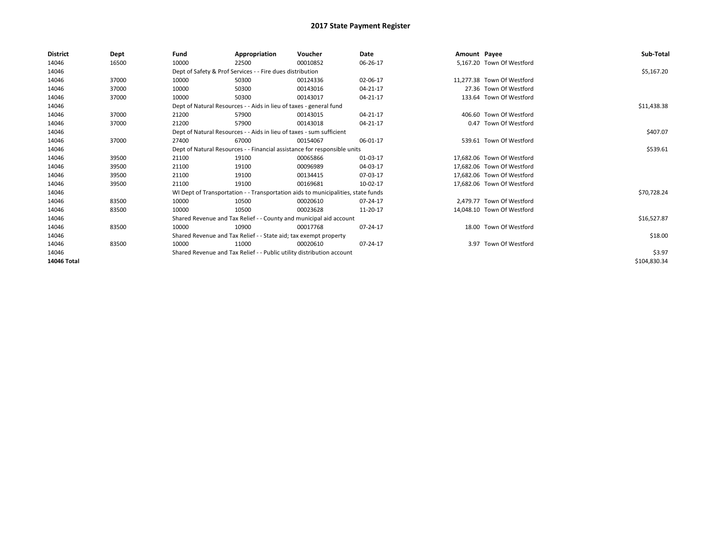| <b>District</b> | Dept  | Fund  | Appropriation                                                                    | Voucher  | Date     | Amount Payee |                            | Sub-Total    |
|-----------------|-------|-------|----------------------------------------------------------------------------------|----------|----------|--------------|----------------------------|--------------|
| 14046           | 16500 | 10000 | 22500                                                                            | 00010852 | 06-26-17 |              | 5,167.20 Town Of Westford  |              |
| 14046           |       |       | Dept of Safety & Prof Services - - Fire dues distribution                        |          |          |              |                            | \$5,167.20   |
| 14046           | 37000 | 10000 | 50300                                                                            | 00124336 | 02-06-17 |              | 11,277.38 Town Of Westford |              |
| 14046           | 37000 | 10000 | 50300                                                                            | 00143016 | 04-21-17 |              | 27.36 Town Of Westford     |              |
| 14046           | 37000 | 10000 | 50300                                                                            | 00143017 | 04-21-17 |              | 133.64 Town Of Westford    |              |
| 14046           |       |       | Dept of Natural Resources - - Aids in lieu of taxes - general fund               |          |          |              |                            | \$11,438.38  |
| 14046           | 37000 | 21200 | 57900                                                                            | 00143015 | 04-21-17 |              | 406.60 Town Of Westford    |              |
| 14046           | 37000 | 21200 | 57900                                                                            | 00143018 | 04-21-17 |              | 0.47 Town Of Westford      |              |
| 14046           |       |       | Dept of Natural Resources - - Aids in lieu of taxes - sum sufficient             |          |          |              |                            | \$407.07     |
| 14046           | 37000 | 27400 | 67000                                                                            | 00154067 | 06-01-17 |              | 539.61 Town Of Westford    |              |
| 14046           |       |       | Dept of Natural Resources - - Financial assistance for responsible units         |          |          |              |                            | \$539.61     |
| 14046           | 39500 | 21100 | 19100                                                                            | 00065866 | 01-03-17 |              | 17,682.06 Town Of Westford |              |
| 14046           | 39500 | 21100 | 19100                                                                            | 00096989 | 04-03-17 |              | 17,682.06 Town Of Westford |              |
| 14046           | 39500 | 21100 | 19100                                                                            | 00134415 | 07-03-17 |              | 17,682.06 Town Of Westford |              |
| 14046           | 39500 | 21100 | 19100                                                                            | 00169681 | 10-02-17 |              | 17,682.06 Town Of Westford |              |
| 14046           |       |       | WI Dept of Transportation - - Transportation aids to municipalities, state funds |          |          |              |                            | \$70,728.24  |
| 14046           | 83500 | 10000 | 10500                                                                            | 00020610 | 07-24-17 |              | 2.479.77 Town Of Westford  |              |
| 14046           | 83500 | 10000 | 10500                                                                            | 00023628 | 11-20-17 |              | 14,048.10 Town Of Westford |              |
| 14046           |       |       | Shared Revenue and Tax Relief - - County and municipal aid account               |          |          |              |                            | \$16,527.87  |
| 14046           | 83500 | 10000 | 10900                                                                            | 00017768 | 07-24-17 |              | 18.00 Town Of Westford     |              |
| 14046           |       |       | Shared Revenue and Tax Relief - - State aid; tax exempt property                 |          |          |              |                            | \$18.00      |
| 14046           | 83500 | 10000 | 11000                                                                            | 00020610 | 07-24-17 |              | 3.97 Town Of Westford      |              |
| 14046           |       |       | Shared Revenue and Tax Relief - - Public utility distribution account            |          |          |              |                            | \$3.97       |
| 14046 Total     |       |       |                                                                                  |          |          |              |                            | \$104,830.34 |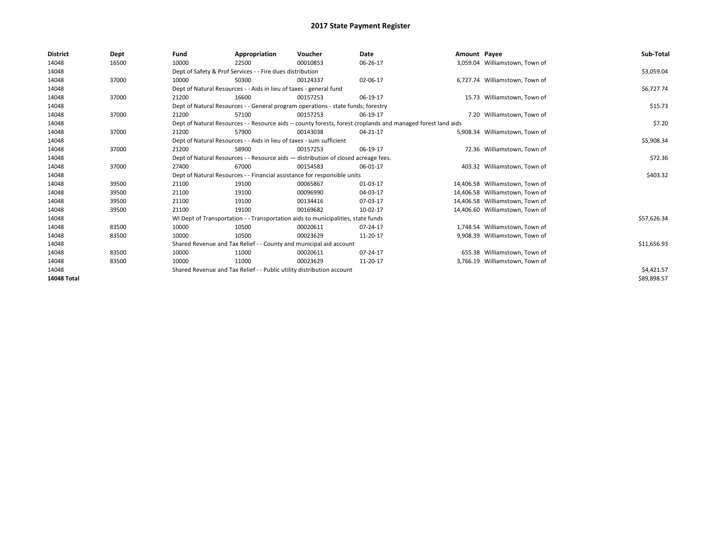| <b>District</b>    | Dept  | Fund  | Appropriation                                                                                                | Voucher  | <b>Date</b> | Amount Payee |                                 | Sub-Total   |
|--------------------|-------|-------|--------------------------------------------------------------------------------------------------------------|----------|-------------|--------------|---------------------------------|-------------|
| 14048              | 16500 | 10000 | 22500                                                                                                        | 00010853 | 06-26-17    |              | 3,059.04 Williamstown, Town of  |             |
| 14048              |       |       | Dept of Safety & Prof Services - - Fire dues distribution                                                    |          |             |              |                                 | \$3,059.04  |
| 14048              | 37000 | 10000 | 50300                                                                                                        | 00124337 | 02-06-17    |              | 6,727.74 Williamstown, Town of  |             |
| 14048              |       |       | Dept of Natural Resources - - Aids in lieu of taxes - general fund                                           |          |             |              |                                 | \$6,727.74  |
| 14048              | 37000 | 21200 | 16600                                                                                                        | 00157253 | 06-19-17    |              | 15.73 Williamstown, Town of     |             |
| 14048              |       |       | Dept of Natural Resources - - General program operations - state funds; forestry                             |          |             |              |                                 | \$15.73     |
| 14048              | 37000 | 21200 | 57100                                                                                                        | 00157253 | 06-19-17    |              | 7.20 Williamstown, Town of      |             |
| 14048              |       |       | Dept of Natural Resources - - Resource aids -- county forests, forest croplands and managed forest land aids |          | \$7.20      |              |                                 |             |
| 14048              | 37000 | 21200 | 57900                                                                                                        | 00143038 | 04-21-17    |              | 5,908.34 Williamstown, Town of  |             |
| 14048              |       |       | Dept of Natural Resources - - Aids in lieu of taxes - sum sufficient                                         |          |             |              |                                 | \$5,908.34  |
| 14048              | 37000 | 21200 | 58900                                                                                                        | 00157253 | 06-19-17    |              | 72.36 Williamstown, Town of     |             |
| 14048              |       |       | Dept of Natural Resources - - Resource aids - distribution of closed acreage fees.                           |          |             |              |                                 | \$72.36     |
| 14048              | 37000 | 27400 | 67000                                                                                                        | 00154583 | 06-01-17    |              | 403.32 Williamstown, Town of    |             |
| 14048              |       |       | Dept of Natural Resources - - Financial assistance for responsible units                                     |          |             |              |                                 | \$403.32    |
| 14048              | 39500 | 21100 | 19100                                                                                                        | 00065867 | 01-03-17    |              | 14,406.58 Williamstown, Town of |             |
| 14048              | 39500 | 21100 | 19100                                                                                                        | 00096990 | 04-03-17    |              | 14,406.58 Williamstown, Town of |             |
| 14048              | 39500 | 21100 | 19100                                                                                                        | 00134416 | 07-03-17    |              | 14,406.58 Williamstown, Town of |             |
| 14048              | 39500 | 21100 | 19100                                                                                                        | 00169682 | 10-02-17    |              | 14.406.60 Williamstown. Town of |             |
| 14048              |       |       | WI Dept of Transportation - - Transportation aids to municipalities, state funds                             |          |             |              |                                 | \$57,626.34 |
| 14048              | 83500 | 10000 | 10500                                                                                                        | 00020611 | 07-24-17    |              | 1,748.54 Williamstown, Town of  |             |
| 14048              | 83500 | 10000 | 10500                                                                                                        | 00023629 | 11-20-17    |              | 9,908.39 Williamstown, Town of  |             |
| 14048              |       |       | Shared Revenue and Tax Relief - - County and municipal aid account                                           |          |             |              |                                 | \$11,656.93 |
| 14048              | 83500 | 10000 | 11000                                                                                                        | 00020611 | 07-24-17    |              | 655.38 Williamstown, Town of    |             |
| 14048              | 83500 | 10000 | 11000                                                                                                        | 00023629 | 11-20-17    |              | 3,766.19 Williamstown, Town of  |             |
| 14048              |       |       | Shared Revenue and Tax Relief - - Public utility distribution account                                        |          |             |              |                                 | \$4,421.57  |
| <b>14048 Total</b> |       |       |                                                                                                              |          |             |              |                                 | \$89,898.57 |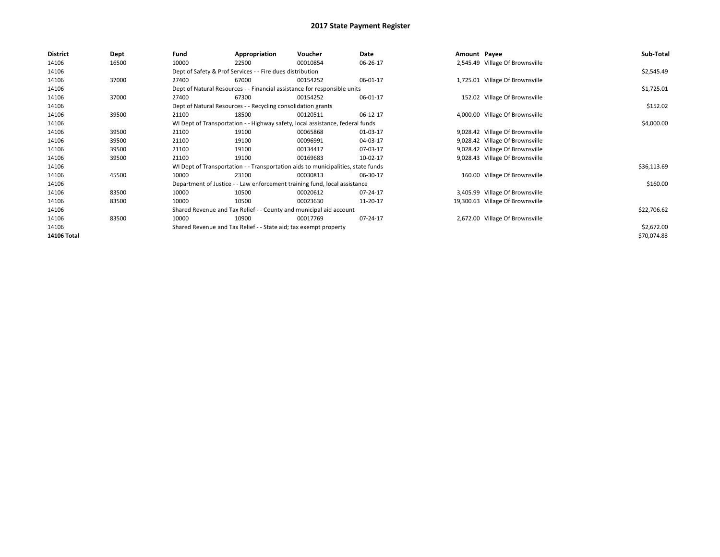| <b>District</b> | Dept  | Fund  | Appropriation                                                                    | Voucher  | Date     | Amount Payee |                                  | Sub-Total   |  |  |
|-----------------|-------|-------|----------------------------------------------------------------------------------|----------|----------|--------------|----------------------------------|-------------|--|--|
| 14106           | 16500 | 10000 | 22500                                                                            | 00010854 | 06-26-17 |              | 2,545.49 Village Of Brownsville  |             |  |  |
| 14106           |       |       | Dept of Safety & Prof Services - - Fire dues distribution                        |          |          |              |                                  | \$2,545.49  |  |  |
| 14106           | 37000 | 27400 | 67000                                                                            | 00154252 | 06-01-17 |              | 1,725.01 Village Of Brownsville  |             |  |  |
| 14106           |       |       | Dept of Natural Resources - - Financial assistance for responsible units         |          |          |              |                                  | \$1,725.01  |  |  |
| 14106           | 37000 | 27400 | 67300                                                                            | 00154252 | 06-01-17 |              | 152.02 Village Of Brownsville    |             |  |  |
| 14106           |       |       | Dept of Natural Resources - - Recycling consolidation grants                     |          |          |              |                                  |             |  |  |
| 14106           | 39500 | 21100 | 18500                                                                            | 00120511 | 06-12-17 |              | 4,000.00 Village Of Brownsville  |             |  |  |
| 14106           |       |       | WI Dept of Transportation - - Highway safety, local assistance, federal funds    |          |          |              |                                  | \$4,000.00  |  |  |
| 14106           | 39500 | 21100 | 19100                                                                            | 00065868 | 01-03-17 |              | 9,028.42 Village Of Brownsville  |             |  |  |
| 14106           | 39500 | 21100 | 19100                                                                            | 00096991 | 04-03-17 |              | 9,028.42 Village Of Brownsville  |             |  |  |
| 14106           | 39500 | 21100 | 19100                                                                            | 00134417 | 07-03-17 |              | 9,028.42 Village Of Brownsville  |             |  |  |
| 14106           | 39500 | 21100 | 19100                                                                            | 00169683 | 10-02-17 |              | 9,028.43 Village Of Brownsville  |             |  |  |
| 14106           |       |       | WI Dept of Transportation - - Transportation aids to municipalities, state funds |          |          |              |                                  | \$36,113.69 |  |  |
| 14106           | 45500 | 10000 | 23100                                                                            | 00030813 | 06-30-17 |              | 160.00 Village Of Brownsville    |             |  |  |
| 14106           |       |       | Department of Justice - - Law enforcement training fund, local assistance        |          |          |              |                                  | \$160.00    |  |  |
| 14106           | 83500 | 10000 | 10500                                                                            | 00020612 | 07-24-17 |              | 3,405.99 Village Of Brownsville  |             |  |  |
| 14106           | 83500 | 10000 | 10500                                                                            | 00023630 | 11-20-17 |              | 19,300.63 Village Of Brownsville |             |  |  |
| 14106           |       |       | Shared Revenue and Tax Relief - - County and municipal aid account               |          |          |              |                                  | \$22,706.62 |  |  |
| 14106           | 83500 | 10000 | 10900                                                                            | 00017769 | 07-24-17 |              | 2,672.00 Village Of Brownsville  |             |  |  |
| 14106           |       |       | Shared Revenue and Tax Relief - - State aid; tax exempt property                 |          |          |              |                                  | \$2,672.00  |  |  |
| 14106 Total     |       |       |                                                                                  |          |          |              |                                  | \$70,074.83 |  |  |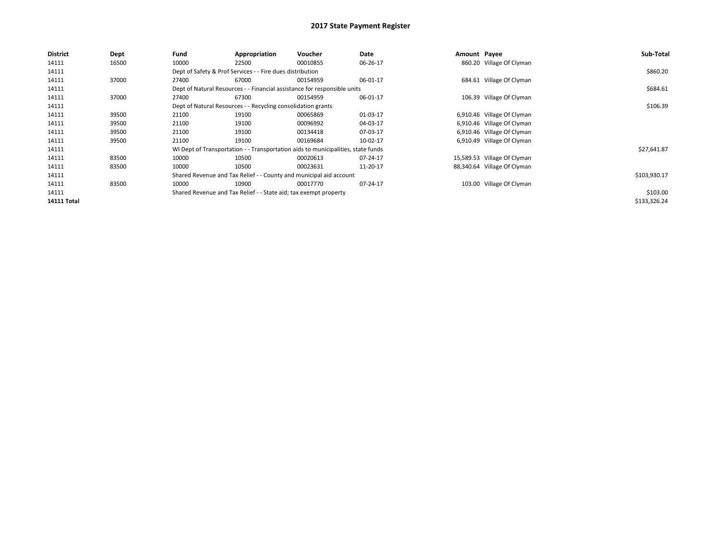| <b>District</b>    | Dept  | Fund  | Appropriation                                                    | <b>Voucher</b>                                                                   | Date     | Amount Payee |                             | Sub-Total    |
|--------------------|-------|-------|------------------------------------------------------------------|----------------------------------------------------------------------------------|----------|--------------|-----------------------------|--------------|
| 14111              | 16500 | 10000 | 22500                                                            | 00010855                                                                         | 06-26-17 |              | 860.20 Village Of Clyman    |              |
| 14111              |       |       | Dept of Safety & Prof Services - - Fire dues distribution        |                                                                                  |          |              |                             | \$860.20     |
| 14111              | 37000 | 27400 | 67000                                                            | 00154959                                                                         | 06-01-17 |              | 684.61 Village Of Clyman    |              |
| 14111              |       |       |                                                                  | Dept of Natural Resources - - Financial assistance for responsible units         |          |              |                             | \$684.61     |
| 14111              | 37000 | 27400 | 67300                                                            | 00154959                                                                         | 06-01-17 |              | 106.39 Village Of Clyman    |              |
| 14111              |       |       | Dept of Natural Resources - - Recycling consolidation grants     |                                                                                  | \$106.39 |              |                             |              |
| 14111              | 39500 | 21100 | 19100                                                            | 00065869                                                                         | 01-03-17 |              | 6,910.46 Village Of Clyman  |              |
| 14111              | 39500 | 21100 | 19100                                                            | 00096992                                                                         | 04-03-17 |              | 6,910.46 Village Of Clyman  |              |
| 14111              | 39500 | 21100 | 19100                                                            | 00134418                                                                         | 07-03-17 |              | 6,910.46 Village Of Clyman  |              |
| 14111              | 39500 | 21100 | 19100                                                            | 00169684                                                                         | 10-02-17 |              | 6,910.49 Village Of Clyman  |              |
| 14111              |       |       |                                                                  | WI Dept of Transportation - - Transportation aids to municipalities, state funds |          |              |                             | \$27,641.87  |
| 14111              | 83500 | 10000 | 10500                                                            | 00020613                                                                         | 07-24-17 |              | 15,589.53 Village Of Clyman |              |
| 14111              | 83500 | 10000 | 10500                                                            | 00023631                                                                         | 11-20-17 |              | 88,340.64 Village Of Clyman |              |
| 14111              |       |       |                                                                  | Shared Revenue and Tax Relief - - County and municipal aid account               |          |              |                             | \$103,930.17 |
| 14111              | 83500 | 10000 | 10900                                                            | 00017770                                                                         | 07-24-17 |              | 103.00 Village Of Clyman    |              |
| 14111              |       |       | Shared Revenue and Tax Relief - - State aid; tax exempt property |                                                                                  |          |              |                             | \$103.00     |
| <b>14111 Total</b> |       |       |                                                                  |                                                                                  |          |              |                             | \$133,326.24 |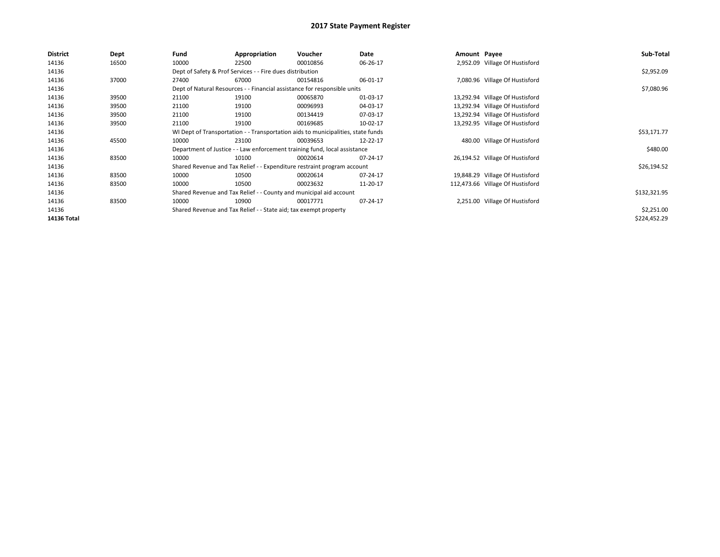| <b>District</b> | <b>Dept</b> | Fund                                                               | Appropriation                                                                    | Voucher      | Date     | Amount Payee |                                  | Sub-Total    |
|-----------------|-------------|--------------------------------------------------------------------|----------------------------------------------------------------------------------|--------------|----------|--------------|----------------------------------|--------------|
| 14136           | 16500       | 10000                                                              | 22500                                                                            | 00010856     | 06-26-17 |              | 2,952.09 Village Of Hustisford   |              |
| 14136           |             |                                                                    | Dept of Safety & Prof Services - - Fire dues distribution                        |              |          |              |                                  | \$2,952.09   |
| 14136           | 37000       | 27400                                                              | 67000                                                                            | 00154816     | 06-01-17 |              | 7,080.96 Village Of Hustisford   |              |
| 14136           |             |                                                                    | Dept of Natural Resources - - Financial assistance for responsible units         |              |          |              |                                  | \$7,080.96   |
| 14136           | 39500       | 21100                                                              | 19100                                                                            | 00065870     | 01-03-17 |              | 13,292.94 Village Of Hustisford  |              |
| 14136           | 39500       | 21100                                                              | 19100                                                                            | 00096993     | 04-03-17 |              | 13,292.94 Village Of Hustisford  |              |
| 14136           | 39500       | 21100                                                              | 19100                                                                            | 00134419     | 07-03-17 |              | 13,292.94 Village Of Hustisford  |              |
| 14136           | 39500       | 21100                                                              | 19100                                                                            | 00169685     | 10-02-17 |              | 13,292.95 Village Of Hustisford  |              |
| 14136           |             |                                                                    | WI Dept of Transportation - - Transportation aids to municipalities, state funds |              |          |              |                                  | \$53,171.77  |
| 14136           | 45500       | 10000                                                              | 23100                                                                            | 00039653     | 12-22-17 |              | 480.00 Village Of Hustisford     |              |
| 14136           |             |                                                                    | Department of Justice - - Law enforcement training fund, local assistance        |              |          |              |                                  | \$480.00     |
| 14136           | 83500       | 10000                                                              | 10100                                                                            | 00020614     | 07-24-17 |              | 26,194.52 Village Of Hustisford  |              |
| 14136           |             |                                                                    | Shared Revenue and Tax Relief - - Expenditure restraint program account          |              |          |              |                                  | \$26,194.52  |
| 14136           | 83500       | 10000                                                              | 10500                                                                            | 00020614     | 07-24-17 |              | 19,848.29 Village Of Hustisford  |              |
| 14136           | 83500       | 10000                                                              | 10500                                                                            | 00023632     | 11-20-17 |              | 112,473.66 Village Of Hustisford |              |
| 14136           |             | Shared Revenue and Tax Relief - - County and municipal aid account |                                                                                  | \$132,321.95 |          |              |                                  |              |
| 14136           | 83500       | 10000                                                              | 10900                                                                            | 00017771     | 07-24-17 |              | 2,251.00 Village Of Hustisford   |              |
| 14136           |             | Shared Revenue and Tax Relief - - State aid; tax exempt property   |                                                                                  | \$2,251.00   |          |              |                                  |              |
| 14136 Total     |             |                                                                    |                                                                                  |              |          |              |                                  | \$224,452.29 |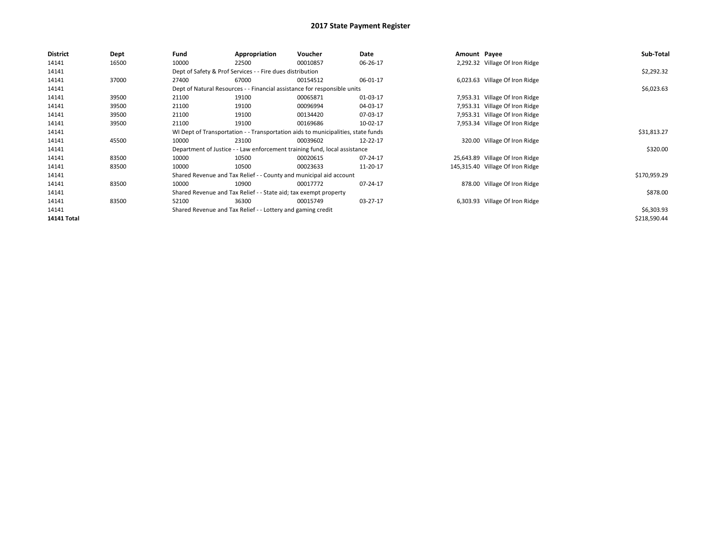| <b>District</b>    | Dept  | Fund  | Appropriation                                                                    | Voucher  | Date     | Amount Payee |                                  | Sub-Total    |  |  |
|--------------------|-------|-------|----------------------------------------------------------------------------------|----------|----------|--------------|----------------------------------|--------------|--|--|
| 14141              | 16500 | 10000 | 22500                                                                            | 00010857 | 06-26-17 |              | 2,292.32 Village Of Iron Ridge   |              |  |  |
| 14141              |       |       | Dept of Safety & Prof Services - - Fire dues distribution                        |          |          |              |                                  | \$2,292.32   |  |  |
| 14141              | 37000 | 27400 | 67000                                                                            | 00154512 | 06-01-17 |              | 6,023.63 Village Of Iron Ridge   |              |  |  |
| 14141              |       |       | Dept of Natural Resources - - Financial assistance for responsible units         |          |          |              |                                  | \$6,023.63   |  |  |
| 14141              | 39500 | 21100 | 19100                                                                            | 00065871 | 01-03-17 |              | 7,953.31 Village Of Iron Ridge   |              |  |  |
| 14141              | 39500 | 21100 | 19100                                                                            | 00096994 | 04-03-17 |              | 7,953.31 Village Of Iron Ridge   |              |  |  |
| 14141              | 39500 | 21100 | 19100                                                                            | 00134420 | 07-03-17 |              | 7,953.31 Village Of Iron Ridge   |              |  |  |
| 14141              | 39500 | 21100 | 19100                                                                            | 00169686 | 10-02-17 |              | 7,953.34 Village Of Iron Ridge   |              |  |  |
| 14141              |       |       | WI Dept of Transportation - - Transportation aids to municipalities, state funds |          |          |              |                                  | \$31,813.27  |  |  |
| 14141              | 45500 | 10000 | 23100                                                                            | 00039602 | 12-22-17 |              | 320.00 Village Of Iron Ridge     |              |  |  |
| 14141              |       |       | Department of Justice - - Law enforcement training fund, local assistance        |          |          |              |                                  | \$320.00     |  |  |
| 14141              | 83500 | 10000 | 10500                                                                            | 00020615 | 07-24-17 |              | 25,643.89 Village Of Iron Ridge  |              |  |  |
| 14141              | 83500 | 10000 | 10500                                                                            | 00023633 | 11-20-17 |              | 145,315.40 Village Of Iron Ridge |              |  |  |
| 14141              |       |       | Shared Revenue and Tax Relief - - County and municipal aid account               |          |          |              |                                  | \$170,959.29 |  |  |
| 14141              | 83500 | 10000 | 10900                                                                            | 00017772 | 07-24-17 |              | 878.00 Village Of Iron Ridge     |              |  |  |
| 14141              |       |       | Shared Revenue and Tax Relief - - State aid; tax exempt property                 |          |          |              |                                  | \$878.00     |  |  |
| 14141              | 83500 | 52100 | 36300                                                                            | 00015749 | 03-27-17 |              | 6,303.93 Village Of Iron Ridge   |              |  |  |
| 14141              |       |       | Shared Revenue and Tax Relief - - Lottery and gaming credit                      |          |          |              |                                  |              |  |  |
| <b>14141 Total</b> |       |       |                                                                                  |          |          |              |                                  | \$218,590.44 |  |  |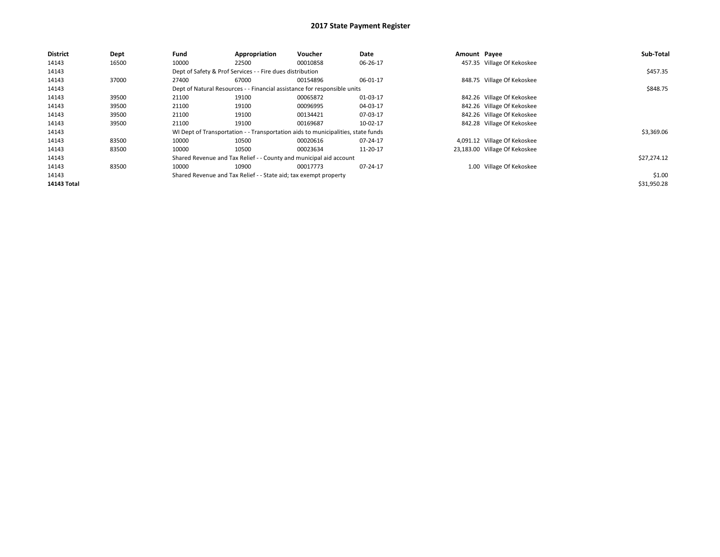| <b>District</b> | Dept  | Fund  | Appropriation                                                                    | Voucher  | Date     | Amount Payee |                               | Sub-Total   |
|-----------------|-------|-------|----------------------------------------------------------------------------------|----------|----------|--------------|-------------------------------|-------------|
| 14143           | 16500 | 10000 | 22500                                                                            | 00010858 | 06-26-17 |              | 457.35 Village Of Kekoskee    |             |
| 14143           |       |       | Dept of Safety & Prof Services - - Fire dues distribution                        |          |          |              |                               | \$457.35    |
| 14143           | 37000 | 27400 | 67000                                                                            | 00154896 | 06-01-17 |              | 848.75 Village Of Kekoskee    |             |
| 14143           |       |       | Dept of Natural Resources - - Financial assistance for responsible units         |          |          |              |                               | \$848.75    |
| 14143           | 39500 | 21100 | 19100                                                                            | 00065872 | 01-03-17 |              | 842.26 Village Of Kekoskee    |             |
| 14143           | 39500 | 21100 | 19100                                                                            | 00096995 | 04-03-17 |              | 842.26 Village Of Kekoskee    |             |
| 14143           | 39500 | 21100 | 19100                                                                            | 00134421 | 07-03-17 |              | 842.26 Village Of Kekoskee    |             |
| 14143           | 39500 | 21100 | 19100                                                                            | 00169687 | 10-02-17 |              | 842.28 Village Of Kekoskee    |             |
| 14143           |       |       | WI Dept of Transportation - - Transportation aids to municipalities, state funds |          |          |              |                               | \$3,369.06  |
| 14143           | 83500 | 10000 | 10500                                                                            | 00020616 | 07-24-17 |              | 4,091.12 Village Of Kekoskee  |             |
| 14143           | 83500 | 10000 | 10500                                                                            | 00023634 | 11-20-17 |              | 23,183.00 Village Of Kekoskee |             |
| 14143           |       |       | Shared Revenue and Tax Relief - - County and municipal aid account               |          |          |              |                               | \$27,274.12 |
| 14143           | 83500 | 10000 | 10900                                                                            | 00017773 | 07-24-17 |              | 1.00 Village Of Kekoskee      |             |
| 14143           |       |       | Shared Revenue and Tax Relief - - State aid; tax exempt property                 |          |          |              |                               | \$1.00      |
| 14143 Total     |       |       |                                                                                  |          |          |              |                               | \$31,950.28 |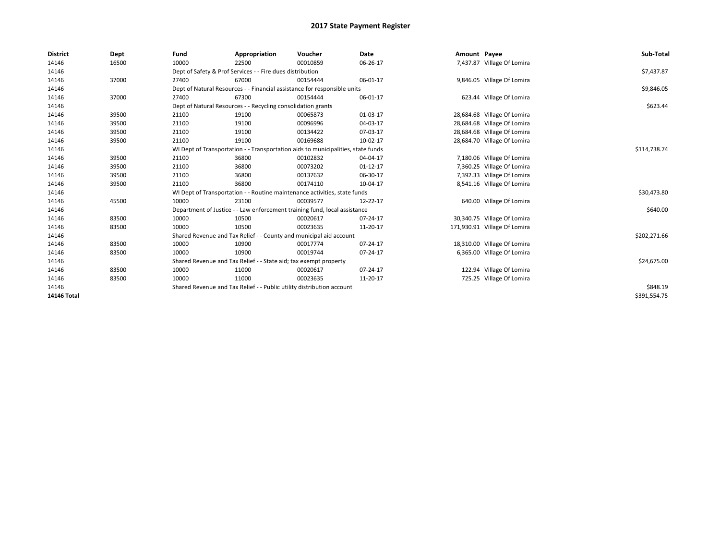| <b>District</b> | Dept  | Fund  | Appropriation                                                                    | Voucher  | Date           | Amount Payee |                              | Sub-Total    |  |  |
|-----------------|-------|-------|----------------------------------------------------------------------------------|----------|----------------|--------------|------------------------------|--------------|--|--|
| 14146           | 16500 | 10000 | 22500                                                                            | 00010859 | 06-26-17       |              | 7,437.87 Village Of Lomira   |              |  |  |
| 14146           |       |       | Dept of Safety & Prof Services - - Fire dues distribution                        |          |                |              |                              | \$7,437.87   |  |  |
| 14146           | 37000 | 27400 | 67000                                                                            | 00154444 | 06-01-17       |              | 9,846.05 Village Of Lomira   |              |  |  |
| 14146           |       |       | Dept of Natural Resources - - Financial assistance for responsible units         |          |                |              |                              | \$9,846.05   |  |  |
| 14146           | 37000 | 27400 | 67300                                                                            | 00154444 | 06-01-17       |              | 623.44 Village Of Lomira     |              |  |  |
| 14146           |       |       | Dept of Natural Resources - - Recycling consolidation grants                     |          |                |              |                              | \$623.44     |  |  |
| 14146           | 39500 | 21100 | 19100                                                                            | 00065873 | 01-03-17       |              | 28,684.68 Village Of Lomira  |              |  |  |
| 14146           | 39500 | 21100 | 19100                                                                            | 00096996 | 04-03-17       |              | 28,684.68 Village Of Lomira  |              |  |  |
| 14146           | 39500 | 21100 | 19100                                                                            | 00134422 | 07-03-17       |              | 28,684.68 Village Of Lomira  |              |  |  |
| 14146           | 39500 | 21100 | 19100                                                                            | 00169688 | 10-02-17       |              | 28,684.70 Village Of Lomira  |              |  |  |
| 14146           |       |       | WI Dept of Transportation - - Transportation aids to municipalities, state funds |          | \$114,738.74   |              |                              |              |  |  |
| 14146           | 39500 | 21100 | 36800                                                                            | 00102832 | 04-04-17       |              | 7,180.06 Village Of Lomira   |              |  |  |
| 14146           | 39500 | 21100 | 36800                                                                            | 00073202 | $01-12-17$     |              | 7,360.25 Village Of Lomira   |              |  |  |
| 14146           | 39500 | 21100 | 36800                                                                            | 00137632 | 06-30-17       |              | 7,392.33 Village Of Lomira   |              |  |  |
| 14146           | 39500 | 21100 | 36800                                                                            | 00174110 | 10-04-17       |              | 8,541.16 Village Of Lomira   |              |  |  |
| 14146           |       |       | WI Dept of Transportation - - Routine maintenance activities, state funds        |          |                |              |                              | \$30,473.80  |  |  |
| 14146           | 45500 | 10000 | 23100                                                                            | 00039577 | 12-22-17       |              | 640.00 Village Of Lomira     |              |  |  |
| 14146           |       |       | Department of Justice - - Law enforcement training fund, local assistance        |          |                |              |                              | \$640.00     |  |  |
| 14146           | 83500 | 10000 | 10500                                                                            | 00020617 | 07-24-17       |              | 30,340.75 Village Of Lomira  |              |  |  |
| 14146           | 83500 | 10000 | 10500                                                                            | 00023635 | 11-20-17       |              | 171,930.91 Village Of Lomira |              |  |  |
| 14146           |       |       | Shared Revenue and Tax Relief - - County and municipal aid account               |          |                |              |                              | \$202,271.66 |  |  |
| 14146           | 83500 | 10000 | 10900                                                                            | 00017774 | $07 - 24 - 17$ |              | 18,310.00 Village Of Lomira  |              |  |  |
| 14146           | 83500 | 10000 | 10900                                                                            | 00019744 | 07-24-17       |              | 6,365.00 Village Of Lomira   |              |  |  |
| 14146           |       |       | Shared Revenue and Tax Relief - - State aid; tax exempt property                 |          |                |              |                              | \$24,675.00  |  |  |
| 14146           | 83500 | 10000 | 11000                                                                            | 00020617 | 07-24-17       |              | 122.94 Village Of Lomira     |              |  |  |
| 14146           | 83500 | 10000 | 11000                                                                            | 00023635 | 11-20-17       |              | 725.25 Village Of Lomira     |              |  |  |
| 14146           |       |       | Shared Revenue and Tax Relief - - Public utility distribution account            |          |                |              |                              |              |  |  |
| 14146 Total     |       |       |                                                                                  |          |                |              |                              | \$391,554.75 |  |  |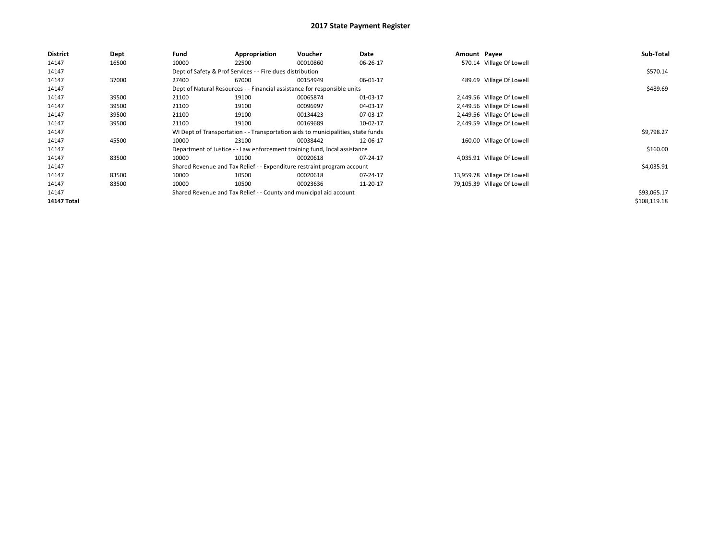| <b>District</b>    | Dept  | Fund  | Appropriation                                             | Voucher                                                                          | Date     | Amount Payee |                             | Sub-Total    |
|--------------------|-------|-------|-----------------------------------------------------------|----------------------------------------------------------------------------------|----------|--------------|-----------------------------|--------------|
| 14147              | 16500 | 10000 | 22500                                                     | 00010860                                                                         | 06-26-17 |              | 570.14 Village Of Lowell    |              |
| 14147              |       |       | Dept of Safety & Prof Services - - Fire dues distribution |                                                                                  |          |              |                             | \$570.14     |
| 14147              | 37000 | 27400 | 67000                                                     | 00154949                                                                         | 06-01-17 |              | 489.69 Village Of Lowell    |              |
| 14147              |       |       |                                                           | Dept of Natural Resources - - Financial assistance for responsible units         |          |              |                             | \$489.69     |
| 14147              | 39500 | 21100 | 19100                                                     | 00065874                                                                         | 01-03-17 |              | 2,449.56 Village Of Lowell  |              |
| 14147              | 39500 | 21100 | 19100                                                     | 00096997                                                                         | 04-03-17 |              | 2,449.56 Village Of Lowell  |              |
| 14147              | 39500 | 21100 | 19100                                                     | 00134423                                                                         | 07-03-17 |              | 2,449.56 Village Of Lowell  |              |
| 14147              | 39500 | 21100 | 19100                                                     | 00169689                                                                         | 10-02-17 |              | 2,449.59 Village Of Lowell  |              |
| 14147              |       |       |                                                           | WI Dept of Transportation - - Transportation aids to municipalities, state funds |          |              |                             | \$9,798.27   |
| 14147              | 45500 | 10000 | 23100                                                     | 00038442                                                                         | 12-06-17 |              | 160.00 Village Of Lowell    |              |
| 14147              |       |       |                                                           | Department of Justice - - Law enforcement training fund, local assistance        |          |              |                             | \$160.00     |
| 14147              | 83500 | 10000 | 10100                                                     | 00020618                                                                         | 07-24-17 |              | 4,035.91 Village Of Lowell  |              |
| 14147              |       |       |                                                           | Shared Revenue and Tax Relief - - Expenditure restraint program account          |          |              |                             | \$4,035.91   |
| 14147              | 83500 | 10000 | 10500                                                     | 00020618                                                                         | 07-24-17 |              | 13,959.78 Village Of Lowell |              |
| 14147              | 83500 | 10000 | 10500                                                     | 00023636                                                                         | 11-20-17 |              | 79,105.39 Village Of Lowell |              |
| 14147              |       |       |                                                           | Shared Revenue and Tax Relief - - County and municipal aid account               |          |              |                             | \$93,065.17  |
| <b>14147 Total</b> |       |       |                                                           |                                                                                  |          |              |                             | \$108,119.18 |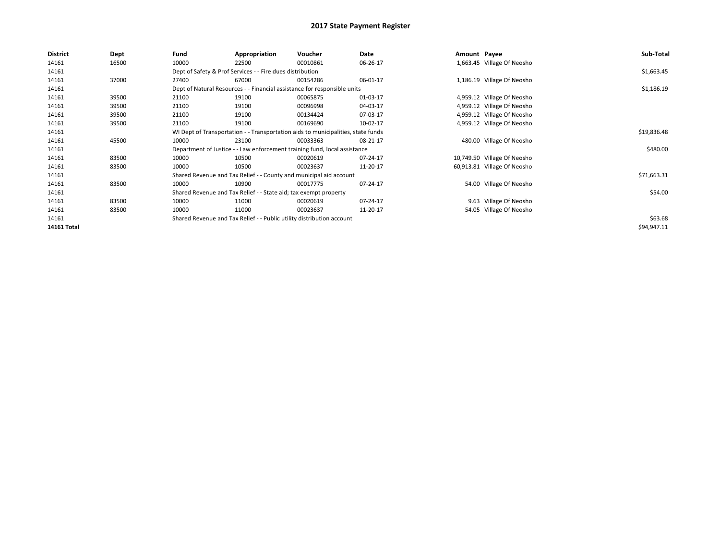| <b>District</b> | Dept  | Fund  | Appropriation                                                                    | Voucher  | Date     | Amount Payee |                             | Sub-Total   |
|-----------------|-------|-------|----------------------------------------------------------------------------------|----------|----------|--------------|-----------------------------|-------------|
| 14161           | 16500 | 10000 | 22500                                                                            | 00010861 | 06-26-17 |              | 1,663.45 Village Of Neosho  |             |
| 14161           |       |       | Dept of Safety & Prof Services - - Fire dues distribution                        |          |          |              |                             | \$1,663.45  |
| 14161           | 37000 | 27400 | 67000                                                                            | 00154286 | 06-01-17 |              | 1,186.19 Village Of Neosho  |             |
| 14161           |       |       | Dept of Natural Resources - - Financial assistance for responsible units         |          |          |              |                             | \$1,186.19  |
| 14161           | 39500 | 21100 | 19100                                                                            | 00065875 | 01-03-17 |              | 4,959.12 Village Of Neosho  |             |
| 14161           | 39500 | 21100 | 19100                                                                            | 00096998 | 04-03-17 |              | 4,959.12 Village Of Neosho  |             |
| 14161           | 39500 | 21100 | 19100                                                                            | 00134424 | 07-03-17 |              | 4,959.12 Village Of Neosho  |             |
| 14161           | 39500 | 21100 | 19100                                                                            | 00169690 | 10-02-17 |              | 4,959.12 Village Of Neosho  |             |
| 14161           |       |       | WI Dept of Transportation - - Transportation aids to municipalities, state funds |          |          |              |                             | \$19,836.48 |
| 14161           | 45500 | 10000 | 23100                                                                            | 00033363 | 08-21-17 |              | 480.00 Village Of Neosho    |             |
| 14161           |       |       | Department of Justice - - Law enforcement training fund, local assistance        |          |          |              |                             | \$480.00    |
| 14161           | 83500 | 10000 | 10500                                                                            | 00020619 | 07-24-17 |              | 10,749.50 Village Of Neosho |             |
| 14161           | 83500 | 10000 | 10500                                                                            | 00023637 | 11-20-17 |              | 60,913.81 Village Of Neosho |             |
| 14161           |       |       | Shared Revenue and Tax Relief - - County and municipal aid account               |          |          |              |                             | \$71,663.31 |
| 14161           | 83500 | 10000 | 10900                                                                            | 00017775 | 07-24-17 |              | 54.00 Village Of Neosho     |             |
| 14161           |       |       | Shared Revenue and Tax Relief - - State aid; tax exempt property                 |          |          |              |                             | \$54.00     |
| 14161           | 83500 | 10000 | 11000                                                                            | 00020619 | 07-24-17 |              | 9.63 Village Of Neosho      |             |
| 14161           | 83500 | 10000 | 11000                                                                            | 00023637 | 11-20-17 |              | 54.05 Village Of Neosho     |             |
| 14161           |       |       | Shared Revenue and Tax Relief - - Public utility distribution account            |          |          |              |                             | \$63.68     |
| 14161 Total     |       |       |                                                                                  |          |          |              |                             | \$94,947.11 |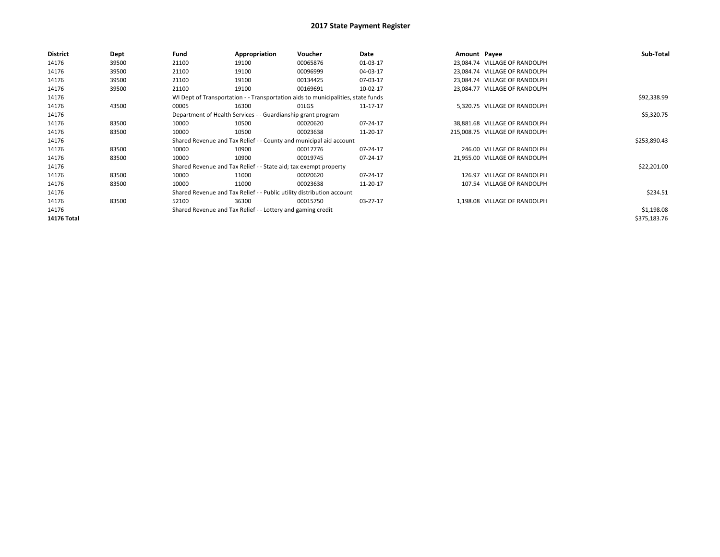| <b>District</b> | Dept  | Fund  | Appropriation                                                         | Voucher                                                                          | Date     | Amount Payee |                                | Sub-Total    |
|-----------------|-------|-------|-----------------------------------------------------------------------|----------------------------------------------------------------------------------|----------|--------------|--------------------------------|--------------|
| 14176           | 39500 | 21100 | 19100                                                                 | 00065876                                                                         | 01-03-17 |              | 23,084.74 VILLAGE OF RANDOLPH  |              |
| 14176           | 39500 | 21100 | 19100                                                                 | 00096999                                                                         | 04-03-17 |              | 23,084.74 VILLAGE OF RANDOLPH  |              |
| 14176           | 39500 | 21100 | 19100                                                                 | 00134425                                                                         | 07-03-17 |              | 23,084.74 VILLAGE OF RANDOLPH  |              |
| 14176           | 39500 | 21100 | 19100                                                                 | 00169691                                                                         | 10-02-17 |              | 23,084.77 VILLAGE OF RANDOLPH  |              |
| 14176           |       |       |                                                                       | WI Dept of Transportation - - Transportation aids to municipalities, state funds |          |              |                                | \$92,338.99  |
| 14176           | 43500 | 00005 | 16300                                                                 | 01LGS                                                                            | 11-17-17 |              | 5,320.75 VILLAGE OF RANDOLPH   |              |
| 14176           |       |       | Department of Health Services - - Guardianship grant program          |                                                                                  |          |              |                                | \$5,320.75   |
| 14176           | 83500 | 10000 | 10500                                                                 | 00020620                                                                         | 07-24-17 |              | 38,881.68 VILLAGE OF RANDOLPH  |              |
| 14176           | 83500 | 10000 | 10500                                                                 | 00023638                                                                         | 11-20-17 |              | 215.008.75 VILLAGE OF RANDOLPH |              |
| 14176           |       |       |                                                                       | Shared Revenue and Tax Relief - - County and municipal aid account               |          |              |                                | \$253,890.43 |
| 14176           | 83500 | 10000 | 10900                                                                 | 00017776                                                                         | 07-24-17 |              | 246.00 VILLAGE OF RANDOLPH     |              |
| 14176           | 83500 | 10000 | 10900                                                                 | 00019745                                                                         | 07-24-17 |              | 21,955.00 VILLAGE OF RANDOLPH  |              |
| 14176           |       |       | Shared Revenue and Tax Relief - - State aid; tax exempt property      |                                                                                  |          |              |                                | \$22,201.00  |
| 14176           | 83500 | 10000 | 11000                                                                 | 00020620                                                                         | 07-24-17 |              | 126.97 VILLAGE OF RANDOLPH     |              |
| 14176           | 83500 | 10000 | 11000                                                                 | 00023638                                                                         | 11-20-17 |              | 107.54 VILLAGE OF RANDOLPH     |              |
| 14176           |       |       | Shared Revenue and Tax Relief - - Public utility distribution account |                                                                                  |          |              |                                | \$234.51     |
| 14176           | 83500 | 52100 | 36300                                                                 | 00015750                                                                         | 03-27-17 |              | 1,198.08 VILLAGE OF RANDOLPH   |              |
| 14176           |       |       | Shared Revenue and Tax Relief - - Lottery and gaming credit           |                                                                                  |          |              |                                | \$1,198.08   |
| 14176 Total     |       |       |                                                                       |                                                                                  |          |              |                                | \$375,183.76 |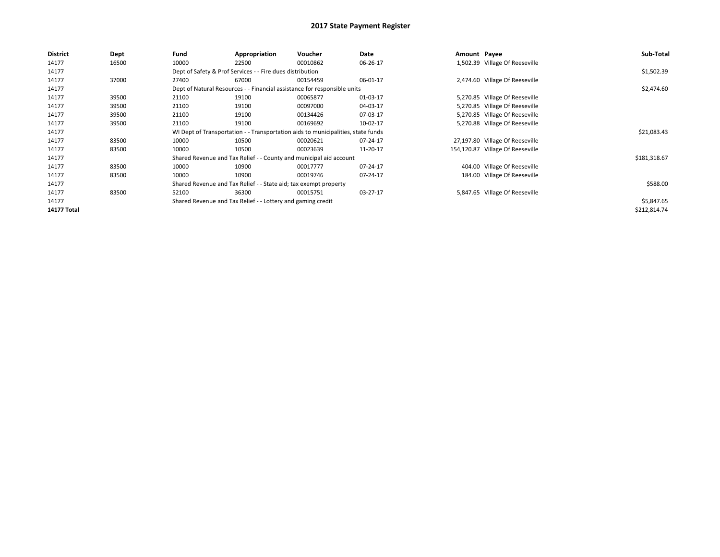| <b>District</b>    | Dept  | Fund                                                                     | Appropriation                                                    | Voucher                                                                          | Date     | Amount Payee |                                  | Sub-Total    |
|--------------------|-------|--------------------------------------------------------------------------|------------------------------------------------------------------|----------------------------------------------------------------------------------|----------|--------------|----------------------------------|--------------|
| 14177              | 16500 | 10000                                                                    | 22500                                                            | 00010862                                                                         | 06-26-17 |              | 1,502.39 Village Of Reeseville   |              |
| 14177              |       |                                                                          | Dept of Safety & Prof Services - - Fire dues distribution        |                                                                                  |          |              |                                  | \$1,502.39   |
| 14177              | 37000 | 27400                                                                    | 67000                                                            | 00154459                                                                         | 06-01-17 |              | 2,474.60 Village Of Reeseville   |              |
| 14177              |       | Dept of Natural Resources - - Financial assistance for responsible units |                                                                  | \$2,474.60                                                                       |          |              |                                  |              |
| 14177              | 39500 | 21100                                                                    | 19100                                                            | 00065877                                                                         | 01-03-17 |              | 5,270.85 Village Of Reeseville   |              |
| 14177              | 39500 | 21100                                                                    | 19100                                                            | 00097000                                                                         | 04-03-17 |              | 5,270.85 Village Of Reeseville   |              |
| 14177              | 39500 | 21100                                                                    | 19100                                                            | 00134426                                                                         | 07-03-17 |              | 5,270.85 Village Of Reeseville   |              |
| 14177              | 39500 | 21100                                                                    | 19100                                                            | 00169692                                                                         | 10-02-17 |              | 5,270.88 Village Of Reeseville   |              |
| 14177              |       |                                                                          |                                                                  | WI Dept of Transportation - - Transportation aids to municipalities, state funds |          |              |                                  | \$21,083.43  |
| 14177              | 83500 | 10000                                                                    | 10500                                                            | 00020621                                                                         | 07-24-17 |              | 27,197.80 Village Of Reeseville  |              |
| 14177              | 83500 | 10000                                                                    | 10500                                                            | 00023639                                                                         | 11-20-17 |              | 154,120.87 Village Of Reeseville |              |
| 14177              |       |                                                                          |                                                                  | Shared Revenue and Tax Relief - - County and municipal aid account               |          |              |                                  | \$181,318.67 |
| 14177              | 83500 | 10000                                                                    | 10900                                                            | 00017777                                                                         | 07-24-17 |              | 404.00 Village Of Reeseville     |              |
| 14177              | 83500 | 10000                                                                    | 10900                                                            | 00019746                                                                         | 07-24-17 |              | 184.00 Village Of Reeseville     |              |
| 14177              |       |                                                                          | Shared Revenue and Tax Relief - - State aid; tax exempt property |                                                                                  |          |              |                                  | \$588.00     |
| 14177              | 83500 | 52100                                                                    | 36300                                                            | 00015751                                                                         | 03-27-17 |              | 5,847.65 Village Of Reeseville   |              |
| 14177              |       |                                                                          | Shared Revenue and Tax Relief - - Lottery and gaming credit      |                                                                                  |          |              |                                  | \$5,847.65   |
| <b>14177 Total</b> |       |                                                                          |                                                                  |                                                                                  |          |              |                                  | \$212,814.74 |
|                    |       |                                                                          |                                                                  |                                                                                  |          |              |                                  |              |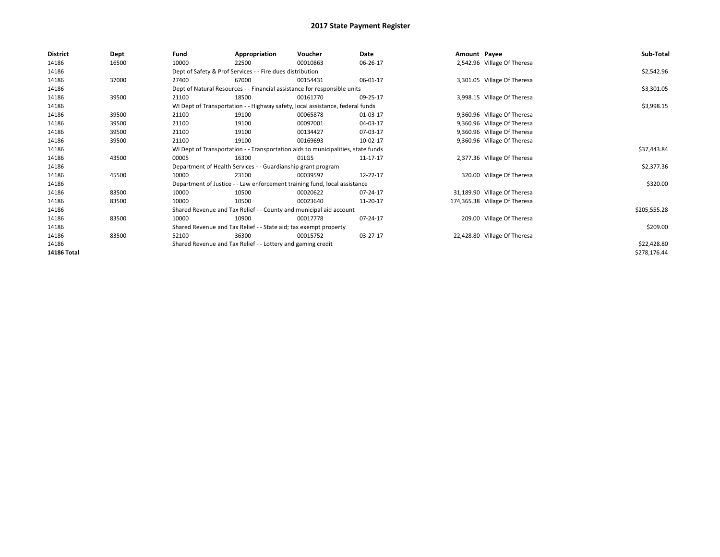| <b>District</b> | Dept  | Fund  | Appropriation                                                                    | Voucher  | Date     | Amount Payee |                               | Sub-Total    |
|-----------------|-------|-------|----------------------------------------------------------------------------------|----------|----------|--------------|-------------------------------|--------------|
| 14186           | 16500 | 10000 | 22500                                                                            | 00010863 | 06-26-17 |              | 2,542.96 Village Of Theresa   |              |
| 14186           |       |       | Dept of Safety & Prof Services - - Fire dues distribution                        |          |          |              |                               | \$2,542.96   |
| 14186           | 37000 | 27400 | 67000                                                                            | 00154431 | 06-01-17 |              | 3,301.05 Village Of Theresa   |              |
| 14186           |       |       | Dept of Natural Resources - - Financial assistance for responsible units         |          |          |              |                               | \$3,301.05   |
| 14186           | 39500 | 21100 | 18500                                                                            | 00161770 | 09-25-17 |              | 3,998.15 Village Of Theresa   |              |
| 14186           |       |       | WI Dept of Transportation - - Highway safety, local assistance, federal funds    |          |          |              |                               | \$3,998.15   |
| 14186           | 39500 | 21100 | 19100                                                                            | 00065878 | 01-03-17 |              | 9,360.96 Village Of Theresa   |              |
| 14186           | 39500 | 21100 | 19100                                                                            | 00097001 | 04-03-17 |              | 9,360.96 Village Of Theresa   |              |
| 14186           | 39500 | 21100 | 19100                                                                            | 00134427 | 07-03-17 |              | 9,360.96 Village Of Theresa   |              |
| 14186           | 39500 | 21100 | 19100                                                                            | 00169693 | 10-02-17 |              | 9,360.96 Village Of Theresa   |              |
| 14186           |       |       | WI Dept of Transportation - - Transportation aids to municipalities, state funds |          |          |              |                               | \$37,443.84  |
| 14186           | 43500 | 00005 | 16300                                                                            | 01LGS    | 11-17-17 |              | 2,377.36 Village Of Theresa   |              |
| 14186           |       |       | Department of Health Services - - Guardianship grant program                     |          |          |              |                               | \$2,377.36   |
| 14186           | 45500 | 10000 | 23100                                                                            | 00039597 | 12-22-17 |              | 320.00 Village Of Theresa     |              |
| 14186           |       |       | Department of Justice - - Law enforcement training fund, local assistance        |          |          |              |                               | \$320.00     |
| 14186           | 83500 | 10000 | 10500                                                                            | 00020622 | 07-24-17 |              | 31,189.90 Village Of Theresa  |              |
| 14186           | 83500 | 10000 | 10500                                                                            | 00023640 | 11-20-17 |              | 174,365.38 Village Of Theresa |              |
| 14186           |       |       | Shared Revenue and Tax Relief - - County and municipal aid account               |          |          |              |                               | \$205,555.28 |
| 14186           | 83500 | 10000 | 10900                                                                            | 00017778 | 07-24-17 |              | 209.00 Village Of Theresa     |              |
| 14186           |       |       | Shared Revenue and Tax Relief - - State aid; tax exempt property                 |          |          |              |                               | \$209.00     |
| 14186           | 83500 | 52100 | 36300                                                                            | 00015752 | 03-27-17 |              | 22,428.80 Village Of Theresa  |              |
| 14186           |       |       | Shared Revenue and Tax Relief - - Lottery and gaming credit                      |          |          |              |                               | \$22,428.80  |
| 14186 Total     |       |       |                                                                                  |          |          |              |                               | \$278,176.44 |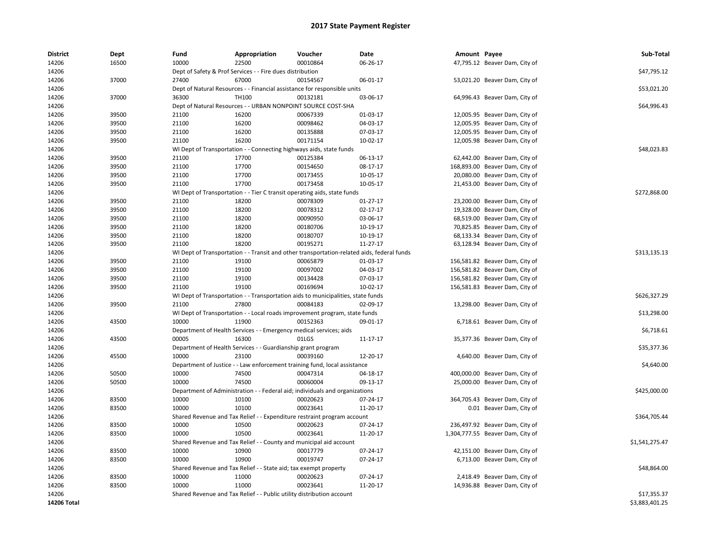| <b>District</b> | Dept  | Fund  | Appropriation                                                                              | Voucher  | Date       | Amount Payee |                                  | Sub-Total      |
|-----------------|-------|-------|--------------------------------------------------------------------------------------------|----------|------------|--------------|----------------------------------|----------------|
| 14206           | 16500 | 10000 | 22500                                                                                      | 00010864 | 06-26-17   |              | 47,795.12 Beaver Dam, City of    |                |
| 14206           |       |       | Dept of Safety & Prof Services - - Fire dues distribution                                  |          |            |              |                                  | \$47,795.12    |
| 14206           | 37000 | 27400 | 67000                                                                                      | 00154567 | 06-01-17   |              | 53,021.20 Beaver Dam, City of    |                |
| 14206           |       |       | Dept of Natural Resources - - Financial assistance for responsible units                   |          |            |              |                                  | \$53,021.20    |
| 14206           | 37000 | 36300 | TH100                                                                                      | 00132181 | 03-06-17   |              | 64,996.43 Beaver Dam, City of    |                |
| 14206           |       |       | Dept of Natural Resources - - URBAN NONPOINT SOURCE COST-SHA                               |          |            |              |                                  | \$64,996.43    |
| 14206           | 39500 | 21100 | 16200                                                                                      | 00067339 | 01-03-17   |              | 12,005.95 Beaver Dam, City of    |                |
| 14206           | 39500 | 21100 | 16200                                                                                      | 00098462 | 04-03-17   |              | 12,005.95 Beaver Dam, City of    |                |
| 14206           | 39500 | 21100 | 16200                                                                                      | 00135888 | 07-03-17   |              | 12,005.95 Beaver Dam, City of    |                |
| 14206           | 39500 | 21100 | 16200                                                                                      | 00171154 | 10-02-17   |              | 12,005.98 Beaver Dam, City of    |                |
| 14206           |       |       | WI Dept of Transportation - - Connecting highways aids, state funds                        |          |            |              |                                  | \$48,023.83    |
| 14206           | 39500 | 21100 | 17700                                                                                      | 00125384 | 06-13-17   |              | 62,442.00 Beaver Dam, City of    |                |
| 14206           | 39500 | 21100 | 17700                                                                                      | 00154650 | 08-17-17   |              | 168,893.00 Beaver Dam, City of   |                |
| 14206           | 39500 | 21100 | 17700                                                                                      | 00173455 | 10-05-17   |              | 20,080.00 Beaver Dam, City of    |                |
| 14206           | 39500 | 21100 | 17700                                                                                      | 00173458 | 10-05-17   |              | 21,453.00 Beaver Dam, City of    |                |
| 14206           |       |       | WI Dept of Transportation - - Tier C transit operating aids, state funds                   |          |            |              |                                  | \$272,868.00   |
| 14206           | 39500 | 21100 | 18200                                                                                      | 00078309 | 01-27-17   |              | 23,200.00 Beaver Dam, City of    |                |
| 14206           | 39500 | 21100 | 18200                                                                                      | 00078312 | 02-17-17   |              | 19,328.00 Beaver Dam, City of    |                |
| 14206           | 39500 | 21100 | 18200                                                                                      | 00090950 | 03-06-17   |              | 68,519.00 Beaver Dam, City of    |                |
| 14206           | 39500 | 21100 | 18200                                                                                      | 00180706 | 10-19-17   |              | 70,825.85 Beaver Dam, City of    |                |
| 14206           | 39500 | 21100 | 18200                                                                                      | 00180707 | 10-19-17   |              | 68,133.34 Beaver Dam, City of    |                |
| 14206           | 39500 | 21100 | 18200                                                                                      | 00195271 | 11-27-17   |              | 63,128.94 Beaver Dam, City of    |                |
| 14206           |       |       | WI Dept of Transportation - - Transit and other transportation-related aids, federal funds |          |            |              |                                  | \$313,135.13   |
| 14206           | 39500 | 21100 | 19100                                                                                      | 00065879 | 01-03-17   |              | 156,581.82 Beaver Dam, City of   |                |
| 14206           | 39500 | 21100 | 19100                                                                                      | 00097002 | 04-03-17   |              | 156,581.82 Beaver Dam, City of   |                |
| 14206           | 39500 | 21100 | 19100                                                                                      | 00134428 | 07-03-17   |              | 156,581.82 Beaver Dam, City of   |                |
| 14206           | 39500 | 21100 | 19100                                                                                      | 00169694 | $10-02-17$ |              | 156,581.83 Beaver Dam, City of   |                |
| 14206           |       |       | WI Dept of Transportation - - Transportation aids to municipalities, state funds           |          |            |              |                                  | \$626,327.29   |
| 14206           | 39500 | 21100 | 27800                                                                                      | 00084183 | 02-09-17   |              | 13,298.00 Beaver Dam, City of    |                |
| 14206           |       |       | WI Dept of Transportation - - Local roads improvement program, state funds                 |          |            |              |                                  | \$13,298.00    |
| 14206           | 43500 | 10000 | 11900                                                                                      | 00152363 | 09-01-17   |              | 6,718.61 Beaver Dam, City of     |                |
| 14206           |       |       | Department of Health Services - - Emergency medical services; aids                         |          |            |              |                                  | \$6,718.61     |
| 14206           | 43500 | 00005 | 16300                                                                                      | 01LGS    | 11-17-17   |              | 35,377.36 Beaver Dam, City of    |                |
| 14206           |       |       | Department of Health Services - - Guardianship grant program                               |          |            |              |                                  | \$35,377.36    |
| 14206           | 45500 | 10000 | 23100                                                                                      | 00039160 | 12-20-17   |              | 4,640.00 Beaver Dam, City of     |                |
| 14206           |       |       | Department of Justice - - Law enforcement training fund, local assistance                  |          |            |              |                                  | \$4,640.00     |
| 14206           | 50500 | 10000 | 74500                                                                                      | 00047314 | 04-18-17   |              | 400,000.00 Beaver Dam, City of   |                |
| 14206           | 50500 | 10000 | 74500                                                                                      | 00060004 | 09-13-17   |              | 25,000.00 Beaver Dam, City of    |                |
| 14206           |       |       | Department of Administration - - Federal aid; individuals and organizations                |          |            |              |                                  | \$425,000.00   |
| 14206           | 83500 | 10000 | 10100                                                                                      | 00020623 | 07-24-17   |              | 364,705.43 Beaver Dam, City of   |                |
| 14206           | 83500 | 10000 | 10100                                                                                      | 00023641 | 11-20-17   |              | 0.01 Beaver Dam, City of         |                |
| 14206           |       |       | Shared Revenue and Tax Relief - - Expenditure restraint program account                    |          |            |              |                                  | \$364,705.44   |
| 14206           | 83500 | 10000 | 10500                                                                                      | 00020623 | 07-24-17   |              | 236,497.92 Beaver Dam, City of   |                |
| 14206           | 83500 | 10000 | 10500                                                                                      | 00023641 | 11-20-17   |              | 1,304,777.55 Beaver Dam, City of |                |
| 14206           |       |       | Shared Revenue and Tax Relief - - County and municipal aid account                         |          |            |              |                                  | \$1,541,275.47 |
| 14206           | 83500 | 10000 | 10900                                                                                      | 00017779 | 07-24-17   |              | 42,151.00 Beaver Dam, City of    |                |
| 14206           | 83500 | 10000 | 10900                                                                                      | 00019747 | 07-24-17   |              | 6,713.00 Beaver Dam, City of     |                |
| 14206           |       |       | Shared Revenue and Tax Relief - - State aid; tax exempt property                           |          |            |              |                                  | \$48,864.00    |
| 14206           | 83500 | 10000 | 11000                                                                                      | 00020623 | 07-24-17   |              | 2,418.49 Beaver Dam, City of     |                |
| 14206           | 83500 | 10000 | 11000                                                                                      | 00023641 | 11-20-17   |              | 14,936.88 Beaver Dam, City of    |                |
| 14206           |       |       | Shared Revenue and Tax Relief - - Public utility distribution account                      |          |            |              |                                  | \$17,355.37    |
| 14206 Total     |       |       |                                                                                            |          |            |              |                                  | \$3,883,401.25 |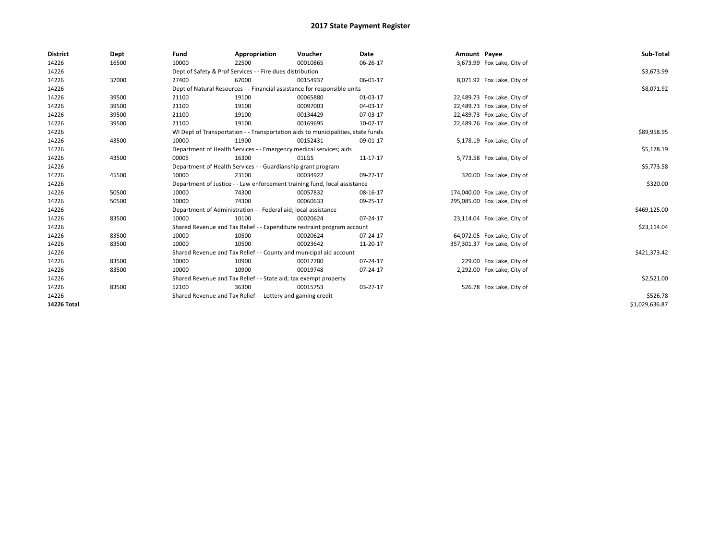| <b>District</b> | Dept  | Fund                                                                     | Appropriation                                                                    | Voucher    | Date     | Amount Payee |                              | Sub-Total      |
|-----------------|-------|--------------------------------------------------------------------------|----------------------------------------------------------------------------------|------------|----------|--------------|------------------------------|----------------|
| 14226           | 16500 | 10000                                                                    | 22500                                                                            | 00010865   | 06-26-17 |              | 3,673.99 Fox Lake, City of   |                |
| 14226           |       |                                                                          | Dept of Safety & Prof Services - - Fire dues distribution                        |            |          |              |                              | \$3,673.99     |
| 14226           | 37000 | 27400                                                                    | 67000                                                                            | 00154937   | 06-01-17 |              | 8,071.92 Fox Lake, City of   |                |
| 14226           |       | Dept of Natural Resources - - Financial assistance for responsible units |                                                                                  | \$8,071.92 |          |              |                              |                |
| 14226           | 39500 | 21100                                                                    | 19100                                                                            | 00065880   | 01-03-17 |              | 22,489.73 Fox Lake, City of  |                |
| 14226           | 39500 | 21100                                                                    | 19100                                                                            | 00097003   | 04-03-17 |              | 22,489.73 Fox Lake, City of  |                |
| 14226           | 39500 | 21100                                                                    | 19100                                                                            | 00134429   | 07-03-17 |              | 22,489.73 Fox Lake, City of  |                |
| 14226           | 39500 | 21100                                                                    | 19100                                                                            | 00169695   | 10-02-17 |              | 22,489.76 Fox Lake, City of  |                |
| 14226           |       |                                                                          | WI Dept of Transportation - - Transportation aids to municipalities, state funds |            |          |              |                              | \$89,958.95    |
| 14226           | 43500 | 10000                                                                    | 11900                                                                            | 00152431   | 09-01-17 |              | 5,178.19 Fox Lake, City of   |                |
| 14226           |       |                                                                          | Department of Health Services - - Emergency medical services; aids               |            |          |              |                              | \$5,178.19     |
| 14226           | 43500 | 00005                                                                    | 16300                                                                            | 01LGS      | 11-17-17 |              | 5,773.58 Fox Lake, City of   |                |
| 14226           |       | Department of Health Services - - Guardianship grant program             |                                                                                  | \$5,773.58 |          |              |                              |                |
| 14226           | 45500 | 10000                                                                    | 23100                                                                            | 00034922   | 09-27-17 |              | 320.00 Fox Lake, City of     |                |
| 14226           |       |                                                                          | Department of Justice - - Law enforcement training fund, local assistance        |            |          |              |                              | \$320.00       |
| 14226           | 50500 | 10000                                                                    | 74300                                                                            | 00057832   | 08-16-17 |              | 174,040.00 Fox Lake, City of |                |
| 14226           | 50500 | 10000                                                                    | 74300                                                                            | 00060633   | 09-25-17 |              | 295,085.00 Fox Lake, City of |                |
| 14226           |       |                                                                          | Department of Administration - - Federal aid; local assistance                   |            |          |              |                              | \$469,125.00   |
| 14226           | 83500 | 10000                                                                    | 10100                                                                            | 00020624   | 07-24-17 |              | 23,114.04 Fox Lake, City of  |                |
| 14226           |       |                                                                          | Shared Revenue and Tax Relief - - Expenditure restraint program account          |            |          |              |                              | \$23,114.04    |
| 14226           | 83500 | 10000                                                                    | 10500                                                                            | 00020624   | 07-24-17 |              | 64,072.05 Fox Lake, City of  |                |
| 14226           | 83500 | 10000                                                                    | 10500                                                                            | 00023642   | 11-20-17 |              | 357,301.37 Fox Lake, City of |                |
| 14226           |       |                                                                          | Shared Revenue and Tax Relief - - County and municipal aid account               |            |          |              |                              | \$421,373.42   |
| 14226           | 83500 | 10000                                                                    | 10900                                                                            | 00017780   | 07-24-17 |              | 229.00 Fox Lake, City of     |                |
| 14226           | 83500 | 10000                                                                    | 10900                                                                            | 00019748   | 07-24-17 |              | 2,292.00 Fox Lake, City of   |                |
| 14226           |       |                                                                          | Shared Revenue and Tax Relief - - State aid; tax exempt property                 |            |          |              |                              | \$2,521.00     |
| 14226           | 83500 | 52100                                                                    | 36300                                                                            | 00015753   | 03-27-17 |              | 526.78 Fox Lake, City of     |                |
| 14226           |       |                                                                          | Shared Revenue and Tax Relief - - Lottery and gaming credit                      |            |          |              |                              | \$526.78       |
| 14226 Total     |       |                                                                          |                                                                                  |            |          |              |                              | \$1,029,636.87 |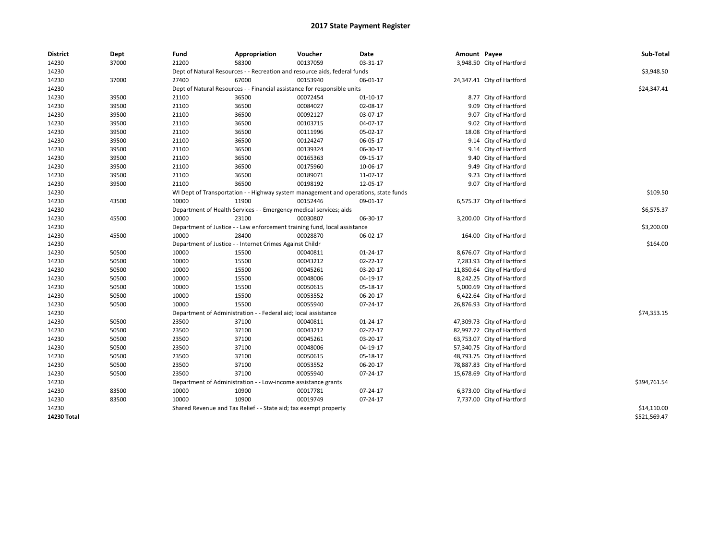| <b>District</b> | Dept  | Fund  | Appropriation                                                                       | Voucher  | Date     | Amount Payee |                            | Sub-Total    |
|-----------------|-------|-------|-------------------------------------------------------------------------------------|----------|----------|--------------|----------------------------|--------------|
| 14230           | 37000 | 21200 | 58300                                                                               | 00137059 | 03-31-17 |              | 3,948.50 City of Hartford  |              |
| 14230           |       |       | Dept of Natural Resources - - Recreation and resource aids, federal funds           |          |          |              |                            | \$3,948.50   |
| 14230           | 37000 | 27400 | 67000                                                                               | 00153940 | 06-01-17 |              | 24,347.41 City of Hartford |              |
| 14230           |       |       | Dept of Natural Resources - - Financial assistance for responsible units            |          |          |              |                            | \$24,347.41  |
| 14230           | 39500 | 21100 | 36500                                                                               | 00072454 | 01-10-17 |              | 8.77 City of Hartford      |              |
| 14230           | 39500 | 21100 | 36500                                                                               | 00084027 | 02-08-17 |              | 9.09 City of Hartford      |              |
| 14230           | 39500 | 21100 | 36500                                                                               | 00092127 | 03-07-17 |              | 9.07 City of Hartford      |              |
| 14230           | 39500 | 21100 | 36500                                                                               | 00103715 | 04-07-17 |              | 9.02 City of Hartford      |              |
| 14230           | 39500 | 21100 | 36500                                                                               | 00111996 | 05-02-17 |              | 18.08 City of Hartford     |              |
| 14230           | 39500 | 21100 | 36500                                                                               | 00124247 | 06-05-17 |              | 9.14 City of Hartford      |              |
| 14230           | 39500 | 21100 | 36500                                                                               | 00139324 | 06-30-17 |              | 9.14 City of Hartford      |              |
| 14230           | 39500 | 21100 | 36500                                                                               | 00165363 | 09-15-17 |              | 9.40 City of Hartford      |              |
| 14230           | 39500 | 21100 | 36500                                                                               | 00175960 | 10-06-17 |              | 9.49 City of Hartford      |              |
| 14230           | 39500 | 21100 | 36500                                                                               | 00189071 | 11-07-17 |              | 9.23 City of Hartford      |              |
| 14230           | 39500 | 21100 | 36500                                                                               | 00198192 | 12-05-17 |              | 9.07 City of Hartford      |              |
| 14230           |       |       | WI Dept of Transportation - - Highway system management and operations, state funds |          |          |              |                            | \$109.50     |
| 14230           | 43500 | 10000 | 11900                                                                               | 00152446 | 09-01-17 |              | 6,575.37 City of Hartford  |              |
| 14230           |       |       | Department of Health Services - - Emergency medical services; aids                  |          |          |              |                            | \$6,575.37   |
| 14230           | 45500 | 10000 | 23100                                                                               | 00030807 | 06-30-17 |              | 3,200.00 City of Hartford  |              |
| 14230           |       |       | Department of Justice - - Law enforcement training fund, local assistance           |          |          |              |                            | \$3,200.00   |
| 14230           | 45500 | 10000 | 28400                                                                               | 00028870 | 06-02-17 |              | 164.00 City of Hartford    |              |
| 14230           |       |       | Department of Justice - - Internet Crimes Against Childr                            |          |          |              |                            | \$164.00     |
| 14230           | 50500 | 10000 | 15500                                                                               | 00040811 | 01-24-17 |              | 8,676.07 City of Hartford  |              |
| 14230           | 50500 | 10000 | 15500                                                                               | 00043212 | 02-22-17 |              | 7,283.93 City of Hartford  |              |
| 14230           | 50500 | 10000 | 15500                                                                               | 00045261 | 03-20-17 |              | 11,850.64 City of Hartford |              |
| 14230           | 50500 | 10000 | 15500                                                                               | 00048006 | 04-19-17 |              | 8,242.25 City of Hartford  |              |
| 14230           | 50500 | 10000 | 15500                                                                               | 00050615 | 05-18-17 |              | 5,000.69 City of Hartford  |              |
| 14230           | 50500 | 10000 | 15500                                                                               | 00053552 | 06-20-17 |              | 6,422.64 City of Hartford  |              |
| 14230           | 50500 | 10000 | 15500                                                                               | 00055940 | 07-24-17 |              | 26,876.93 City of Hartford |              |
| 14230           |       |       | Department of Administration - - Federal aid; local assistance                      |          |          |              |                            | \$74,353.15  |
| 14230           | 50500 | 23500 | 37100                                                                               | 00040811 | 01-24-17 |              | 47,309.73 City of Hartford |              |
| 14230           | 50500 | 23500 | 37100                                                                               | 00043212 | 02-22-17 |              | 82,997.72 City of Hartford |              |
| 14230           | 50500 | 23500 | 37100                                                                               | 00045261 | 03-20-17 |              | 63,753.07 City of Hartford |              |
| 14230           | 50500 | 23500 | 37100                                                                               | 00048006 | 04-19-17 |              | 57,340.75 City of Hartford |              |
| 14230           | 50500 | 23500 | 37100                                                                               | 00050615 | 05-18-17 |              | 48,793.75 City of Hartford |              |
| 14230           | 50500 | 23500 | 37100                                                                               | 00053552 | 06-20-17 |              | 78,887.83 City of Hartford |              |
| 14230           | 50500 | 23500 | 37100                                                                               | 00055940 | 07-24-17 |              | 15,678.69 City of Hartford |              |
| 14230           |       |       | Department of Administration - - Low-income assistance grants                       |          |          |              |                            | \$394,761.54 |
| 14230           | 83500 | 10000 | 10900                                                                               | 00017781 | 07-24-17 |              | 6,373.00 City of Hartford  |              |
| 14230           | 83500 | 10000 | 10900                                                                               | 00019749 | 07-24-17 |              | 7,737.00 City of Hartford  |              |
| 14230           |       |       | Shared Revenue and Tax Relief - - State aid; tax exempt property                    |          |          |              |                            | \$14,110.00  |
| 14230 Total     |       |       |                                                                                     |          |          |              |                            | \$521,569.47 |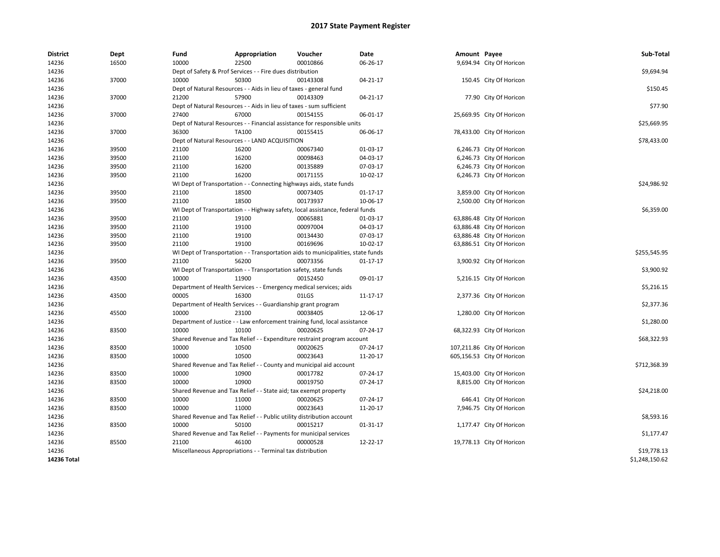| <b>District</b> | Dept  | Fund  | Appropriation                                                                    | Voucher  | Date           | Amount Payee |                            | Sub-Total      |
|-----------------|-------|-------|----------------------------------------------------------------------------------|----------|----------------|--------------|----------------------------|----------------|
| 14236           | 16500 | 10000 | 22500                                                                            | 00010866 | 06-26-17       |              | 9,694.94 City Of Horicon   |                |
| 14236           |       |       | Dept of Safety & Prof Services - - Fire dues distribution                        |          |                |              |                            | \$9,694.94     |
| 14236           | 37000 | 10000 | 50300                                                                            | 00143308 | 04-21-17       |              | 150.45 City Of Horicon     |                |
| 14236           |       |       | Dept of Natural Resources - - Aids in lieu of taxes - general fund               |          |                |              |                            | \$150.45       |
| 14236           | 37000 | 21200 | 57900                                                                            | 00143309 | 04-21-17       |              | 77.90 City Of Horicon      |                |
| 14236           |       |       | Dept of Natural Resources - - Aids in lieu of taxes - sum sufficient             |          |                |              |                            | \$77.90        |
| 14236           | 37000 | 27400 | 67000                                                                            | 00154155 | 06-01-17       |              | 25,669.95 City Of Horicon  |                |
| 14236           |       |       | Dept of Natural Resources - - Financial assistance for responsible units         |          |                |              |                            | \$25,669.95    |
| 14236           | 37000 | 36300 | TA100                                                                            | 00155415 | 06-06-17       |              | 78,433.00 City Of Horicon  |                |
| 14236           |       |       | Dept of Natural Resources - - LAND ACQUISITION                                   |          |                |              |                            | \$78,433.00    |
| 14236           | 39500 | 21100 | 16200                                                                            | 00067340 | 01-03-17       |              | 6,246.73 City Of Horicon   |                |
| 14236           | 39500 | 21100 | 16200                                                                            | 00098463 | 04-03-17       |              | 6,246.73 City Of Horicon   |                |
| 14236           | 39500 | 21100 | 16200                                                                            | 00135889 | 07-03-17       |              | 6,246.73 City Of Horicon   |                |
| 14236           | 39500 | 21100 | 16200                                                                            | 00171155 | 10-02-17       |              | 6,246.73 City Of Horicon   |                |
| 14236           |       |       | WI Dept of Transportation - - Connecting highways aids, state funds              |          |                |              |                            | \$24,986.92    |
| 14236           | 39500 | 21100 | 18500                                                                            | 00073405 | $01 - 17 - 17$ |              | 3,859.00 City Of Horicon   |                |
| 14236           | 39500 | 21100 | 18500                                                                            | 00173937 | 10-06-17       |              | 2,500.00 City Of Horicon   |                |
| 14236           |       |       | WI Dept of Transportation - - Highway safety, local assistance, federal funds    |          |                |              |                            | \$6,359.00     |
| 14236           | 39500 | 21100 | 19100                                                                            | 00065881 | 01-03-17       |              | 63,886.48 City Of Horicon  |                |
| 14236           | 39500 | 21100 | 19100                                                                            | 00097004 | 04-03-17       |              | 63,886.48 City Of Horicon  |                |
| 14236           | 39500 | 21100 | 19100                                                                            | 00134430 | 07-03-17       |              | 63,886.48 City Of Horicon  |                |
| 14236           | 39500 | 21100 | 19100                                                                            | 00169696 | 10-02-17       |              | 63,886.51 City Of Horicon  |                |
| 14236           |       |       | WI Dept of Transportation - - Transportation aids to municipalities, state funds |          |                |              |                            | \$255,545.95   |
| 14236           | 39500 | 21100 | 56200                                                                            | 00073356 | 01-17-17       |              | 3,900.92 City Of Horicon   |                |
| 14236           |       |       | WI Dept of Transportation - - Transportation safety, state funds                 |          |                |              |                            | \$3,900.92     |
| 14236           | 43500 | 10000 | 11900                                                                            | 00152450 | 09-01-17       |              | 5,216.15 City Of Horicon   |                |
| 14236           |       |       | Department of Health Services - - Emergency medical services; aids               |          |                |              |                            | \$5,216.15     |
| 14236           | 43500 | 00005 | 16300                                                                            | 01LGS    | 11-17-17       |              | 2,377.36 City Of Horicon   |                |
| 14236           |       |       | Department of Health Services - - Guardianship grant program                     |          |                |              |                            | \$2,377.36     |
| 14236           | 45500 | 10000 | 23100                                                                            | 00038405 | 12-06-17       |              | 1,280.00 City Of Horicon   |                |
| 14236           |       |       | Department of Justice - - Law enforcement training fund, local assistance        |          |                |              |                            | \$1,280.00     |
| 14236           | 83500 | 10000 | 10100                                                                            | 00020625 | 07-24-17       |              | 68,322.93 City Of Horicon  |                |
| 14236           |       |       | Shared Revenue and Tax Relief - - Expenditure restraint program account          |          |                |              |                            | \$68,322.93    |
| 14236           | 83500 | 10000 | 10500                                                                            | 00020625 | 07-24-17       |              | 107,211.86 City Of Horicon |                |
| 14236           | 83500 | 10000 | 10500                                                                            | 00023643 | 11-20-17       |              | 605,156.53 City Of Horicon |                |
| 14236           |       |       | Shared Revenue and Tax Relief - - County and municipal aid account               |          |                |              |                            | \$712,368.39   |
| 14236           | 83500 | 10000 | 10900                                                                            | 00017782 | 07-24-17       |              | 15,403.00 City Of Horicon  |                |
| 14236           | 83500 | 10000 | 10900                                                                            | 00019750 | 07-24-17       |              | 8,815.00 City Of Horicon   |                |
| 14236           |       |       | Shared Revenue and Tax Relief - - State aid; tax exempt property                 |          |                |              |                            | \$24,218.00    |
| 14236           | 83500 | 10000 | 11000                                                                            | 00020625 | 07-24-17       |              | 646.41 City Of Horicon     |                |
| 14236           | 83500 | 10000 | 11000                                                                            | 00023643 | 11-20-17       |              | 7,946.75 City Of Horicon   |                |
| 14236           |       |       | Shared Revenue and Tax Relief - - Public utility distribution account            |          |                |              |                            | \$8,593.16     |
| 14236           | 83500 | 10000 | 50100                                                                            | 00015217 | 01-31-17       |              | 1,177.47 City Of Horicon   |                |
| 14236           |       |       | Shared Revenue and Tax Relief - - Payments for municipal services                |          |                |              |                            | \$1,177.47     |
| 14236           | 85500 | 21100 | 46100                                                                            | 00000528 | 12-22-17       |              | 19,778.13 City Of Horicon  |                |
| 14236           |       |       | Miscellaneous Appropriations - - Terminal tax distribution                       |          |                |              |                            | \$19,778.13    |
| 14236 Total     |       |       |                                                                                  |          |                |              |                            | \$1,248,150.62 |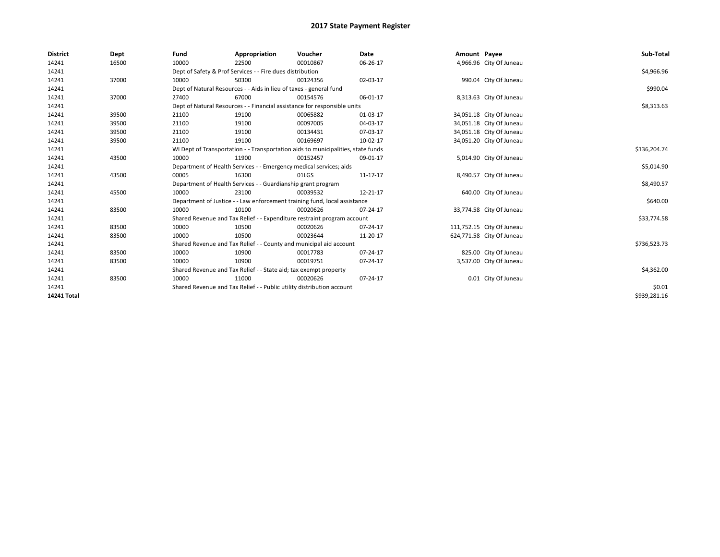| <b>District</b>    | Dept  | Fund  | Appropriation                                                                    | Voucher  | Date     | Amount Payee |                           | Sub-Total    |  |  |
|--------------------|-------|-------|----------------------------------------------------------------------------------|----------|----------|--------------|---------------------------|--------------|--|--|
| 14241              | 16500 | 10000 | 22500                                                                            | 00010867 | 06-26-17 |              | 4,966.96 City Of Juneau   |              |  |  |
| 14241              |       |       | Dept of Safety & Prof Services - - Fire dues distribution                        |          |          |              |                           | \$4,966.96   |  |  |
| 14241              | 37000 | 10000 | 50300                                                                            | 00124356 | 02-03-17 |              | 990.04 City Of Juneau     |              |  |  |
| 14241              |       |       | Dept of Natural Resources - - Aids in lieu of taxes - general fund               |          |          |              |                           | \$990.04     |  |  |
| 14241              | 37000 | 27400 | 67000                                                                            | 00154576 | 06-01-17 |              | 8,313.63 City Of Juneau   |              |  |  |
| 14241              |       |       | Dept of Natural Resources - - Financial assistance for responsible units         |          |          |              |                           |              |  |  |
| 14241              | 39500 | 21100 | 19100                                                                            | 00065882 | 01-03-17 |              | 34,051.18 City Of Juneau  |              |  |  |
| 14241              | 39500 | 21100 | 19100                                                                            | 00097005 | 04-03-17 |              | 34,051.18 City Of Juneau  |              |  |  |
| 14241              | 39500 | 21100 | 19100                                                                            | 00134431 | 07-03-17 |              | 34,051.18 City Of Juneau  |              |  |  |
| 14241              | 39500 | 21100 | 19100                                                                            | 00169697 | 10-02-17 |              | 34,051.20 City Of Juneau  |              |  |  |
| 14241              |       |       | WI Dept of Transportation - - Transportation aids to municipalities, state funds |          |          |              |                           | \$136,204.74 |  |  |
| 14241              | 43500 | 10000 | 11900                                                                            | 00152457 | 09-01-17 |              | 5,014.90 City Of Juneau   |              |  |  |
| 14241              |       |       | Department of Health Services - - Emergency medical services; aids               |          |          |              |                           | \$5,014.90   |  |  |
| 14241              | 43500 | 00005 | 16300                                                                            | 01LGS    | 11-17-17 |              | 8,490.57 City Of Juneau   |              |  |  |
| 14241              |       |       | Department of Health Services - - Guardianship grant program                     |          |          |              |                           | \$8,490.57   |  |  |
| 14241              | 45500 | 10000 | 23100                                                                            | 00039532 | 12-21-17 |              | 640.00 City Of Juneau     |              |  |  |
| 14241              |       |       | Department of Justice - - Law enforcement training fund, local assistance        |          |          |              |                           | \$640.00     |  |  |
| 14241              | 83500 | 10000 | 10100                                                                            | 00020626 | 07-24-17 |              | 33,774.58 City Of Juneau  |              |  |  |
| 14241              |       |       | Shared Revenue and Tax Relief - - Expenditure restraint program account          |          |          |              |                           | \$33,774.58  |  |  |
| 14241              | 83500 | 10000 | 10500                                                                            | 00020626 | 07-24-17 |              | 111,752.15 City Of Juneau |              |  |  |
| 14241              | 83500 | 10000 | 10500                                                                            | 00023644 | 11-20-17 |              | 624,771.58 City Of Juneau |              |  |  |
| 14241              |       |       | Shared Revenue and Tax Relief - - County and municipal aid account               |          |          |              |                           | \$736,523.73 |  |  |
| 14241              | 83500 | 10000 | 10900                                                                            | 00017783 | 07-24-17 |              | 825.00 City Of Juneau     |              |  |  |
| 14241              | 83500 | 10000 | 10900                                                                            | 00019751 | 07-24-17 |              | 3,537.00 City Of Juneau   |              |  |  |
| 14241              |       |       | Shared Revenue and Tax Relief - - State aid; tax exempt property                 |          |          |              |                           | \$4,362.00   |  |  |
| 14241              | 83500 | 10000 | 11000                                                                            | 00020626 | 07-24-17 |              | 0.01 City Of Juneau       |              |  |  |
| 14241              |       |       | Shared Revenue and Tax Relief - - Public utility distribution account            |          |          |              |                           | \$0.01       |  |  |
| <b>14241 Total</b> |       |       |                                                                                  |          |          |              |                           | \$939.281.16 |  |  |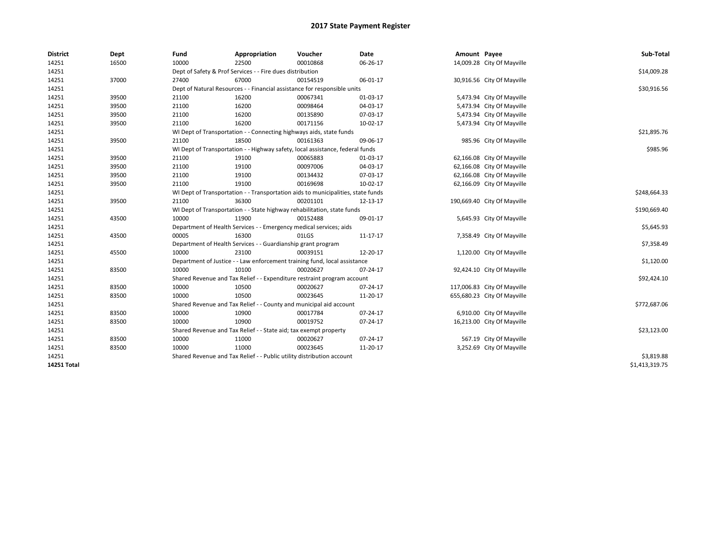| <b>District</b> | Dept  | Fund  | Appropriation                                                                    | Voucher  | Date     | Amount Payee |                             | Sub-Total      |
|-----------------|-------|-------|----------------------------------------------------------------------------------|----------|----------|--------------|-----------------------------|----------------|
| 14251           | 16500 | 10000 | 22500                                                                            | 00010868 | 06-26-17 |              | 14,009.28 City Of Mayville  |                |
| 14251           |       |       | Dept of Safety & Prof Services - - Fire dues distribution                        |          |          |              |                             | \$14,009.28    |
| 14251           | 37000 | 27400 | 67000                                                                            | 00154519 | 06-01-17 |              | 30,916.56 City Of Mayville  |                |
| 14251           |       |       | Dept of Natural Resources - - Financial assistance for responsible units         |          |          |              |                             | \$30,916.56    |
| 14251           | 39500 | 21100 | 16200                                                                            | 00067341 | 01-03-17 |              | 5,473.94 City Of Mayville   |                |
| 14251           | 39500 | 21100 | 16200                                                                            | 00098464 | 04-03-17 |              | 5,473.94 City Of Mayville   |                |
| 14251           | 39500 | 21100 | 16200                                                                            | 00135890 | 07-03-17 |              | 5,473.94 City Of Mayville   |                |
| 14251           | 39500 | 21100 | 16200                                                                            | 00171156 | 10-02-17 |              | 5,473.94 City Of Mayville   |                |
| 14251           |       |       | WI Dept of Transportation - - Connecting highways aids, state funds              |          |          |              |                             | \$21,895.76    |
| 14251           | 39500 | 21100 | 18500                                                                            | 00161363 | 09-06-17 |              | 985.96 City Of Mayville     |                |
| 14251           |       |       | WI Dept of Transportation - - Highway safety, local assistance, federal funds    |          |          |              |                             | \$985.96       |
| 14251           | 39500 | 21100 | 19100                                                                            | 00065883 | 01-03-17 |              | 62,166.08 City Of Mayville  |                |
| 14251           | 39500 | 21100 | 19100                                                                            | 00097006 | 04-03-17 |              | 62,166.08 City Of Mayville  |                |
| 14251           | 39500 | 21100 | 19100                                                                            | 00134432 | 07-03-17 |              | 62,166.08 City Of Mayville  |                |
| 14251           | 39500 | 21100 | 19100                                                                            | 00169698 | 10-02-17 |              | 62,166.09 City Of Mayville  |                |
| 14251           |       |       | WI Dept of Transportation - - Transportation aids to municipalities, state funds |          |          |              |                             | \$248,664.33   |
| 14251           | 39500 | 21100 | 36300                                                                            | 00201101 | 12-13-17 |              | 190,669.40 City Of Mayville |                |
| 14251           |       |       | WI Dept of Transportation - - State highway rehabilitation, state funds          |          |          |              |                             | \$190,669.40   |
| 14251           | 43500 | 10000 | 11900                                                                            | 00152488 | 09-01-17 |              | 5,645.93 City Of Mayville   |                |
| 14251           |       |       | Department of Health Services - - Emergency medical services; aids               |          |          |              |                             | \$5,645.93     |
| 14251           | 43500 | 00005 | 16300                                                                            | 01LGS    | 11-17-17 |              | 7,358.49 City Of Mayville   |                |
| 14251           |       |       | Department of Health Services - - Guardianship grant program                     |          |          |              |                             | \$7,358.49     |
| 14251           | 45500 | 10000 | 23100                                                                            | 00039151 | 12-20-17 |              | 1,120.00 City Of Mayville   |                |
| 14251           |       |       | Department of Justice - - Law enforcement training fund, local assistance        |          |          |              |                             | \$1,120.00     |
| 14251           | 83500 | 10000 | 10100                                                                            | 00020627 | 07-24-17 |              | 92,424.10 City Of Mayville  |                |
| 14251           |       |       | Shared Revenue and Tax Relief - - Expenditure restraint program account          |          |          |              |                             | \$92,424.10    |
| 14251           | 83500 | 10000 | 10500                                                                            | 00020627 | 07-24-17 |              | 117,006.83 City Of Mayville |                |
| 14251           | 83500 | 10000 | 10500                                                                            | 00023645 | 11-20-17 |              | 655,680.23 City Of Mayville |                |
| 14251           |       |       | Shared Revenue and Tax Relief - - County and municipal aid account               |          |          |              |                             | \$772,687.06   |
| 14251           | 83500 | 10000 | 10900                                                                            | 00017784 | 07-24-17 |              | 6,910.00 City Of Mayville   |                |
| 14251           | 83500 | 10000 | 10900                                                                            | 00019752 | 07-24-17 |              | 16,213.00 City Of Mayville  |                |
| 14251           |       |       | Shared Revenue and Tax Relief - - State aid; tax exempt property                 |          |          |              |                             | \$23,123.00    |
| 14251           | 83500 | 10000 | 11000                                                                            | 00020627 | 07-24-17 |              | 567.19 City Of Mayville     |                |
| 14251           | 83500 | 10000 | 11000                                                                            | 00023645 | 11-20-17 |              | 3,252.69 City Of Mayville   |                |
| 14251           |       |       | Shared Revenue and Tax Relief - - Public utility distribution account            |          |          |              |                             | \$3,819.88     |
| 14251 Total     |       |       |                                                                                  |          |          |              |                             | \$1,413,319.75 |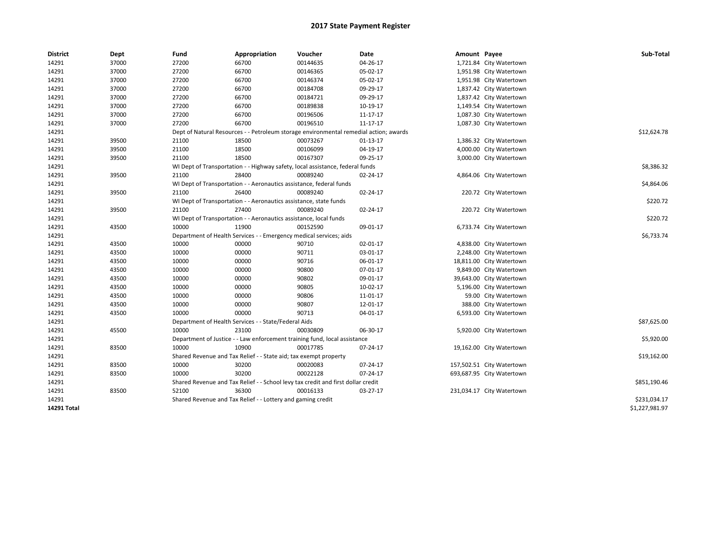| <b>District</b> | Dept  | Fund  | Appropriation                                                                         | Voucher  | Date     | Amount Payee |                           | Sub-Total      |
|-----------------|-------|-------|---------------------------------------------------------------------------------------|----------|----------|--------------|---------------------------|----------------|
| 14291           | 37000 | 27200 | 66700                                                                                 | 00144635 | 04-26-17 |              | 1,721.84 City Watertown   |                |
| 14291           | 37000 | 27200 | 66700                                                                                 | 00146365 | 05-02-17 |              | 1,951.98 City Watertown   |                |
| 14291           | 37000 | 27200 | 66700                                                                                 | 00146374 | 05-02-17 |              | 1,951.98 City Watertown   |                |
| 14291           | 37000 | 27200 | 66700                                                                                 | 00184708 | 09-29-17 |              | 1,837.42 City Watertown   |                |
| 14291           | 37000 | 27200 | 66700                                                                                 | 00184721 | 09-29-17 |              | 1,837.42 City Watertown   |                |
| 14291           | 37000 | 27200 | 66700                                                                                 | 00189838 | 10-19-17 |              | 1,149.54 City Watertown   |                |
| 14291           | 37000 | 27200 | 66700                                                                                 | 00196506 | 11-17-17 |              | 1,087.30 City Watertown   |                |
| 14291           | 37000 | 27200 | 66700                                                                                 | 00196510 | 11-17-17 |              | 1,087.30 City Watertown   |                |
| 14291           |       |       | Dept of Natural Resources - - Petroleum storage environmental remedial action; awards |          |          |              |                           | \$12,624.78    |
| 14291           | 39500 | 21100 | 18500                                                                                 | 00073267 | 01-13-17 |              | 1,386.32 City Watertown   |                |
| 14291           | 39500 | 21100 | 18500                                                                                 | 00106099 | 04-19-17 |              | 4,000.00 City Watertown   |                |
| 14291           | 39500 | 21100 | 18500                                                                                 | 00167307 | 09-25-17 |              | 3,000.00 City Watertown   |                |
| 14291           |       |       | WI Dept of Transportation - - Highway safety, local assistance, federal funds         |          |          |              |                           | \$8,386.32     |
| 14291           | 39500 | 21100 | 28400                                                                                 | 00089240 | 02-24-17 |              | 4,864.06 City Watertown   |                |
| 14291           |       |       | WI Dept of Transportation - - Aeronautics assistance, federal funds                   |          |          |              |                           | \$4,864.06     |
| 14291           | 39500 | 21100 | 26400                                                                                 | 00089240 | 02-24-17 |              | 220.72 City Watertown     |                |
| 14291           |       |       | WI Dept of Transportation - - Aeronautics assistance, state funds                     |          |          |              |                           | \$220.72       |
| 14291           | 39500 | 21100 | 27400                                                                                 | 00089240 | 02-24-17 |              | 220.72 City Watertown     |                |
| 14291           |       |       | WI Dept of Transportation - - Aeronautics assistance, local funds                     |          |          |              |                           | \$220.72       |
| 14291           | 43500 | 10000 | 11900                                                                                 | 00152590 | 09-01-17 |              | 6,733.74 City Watertown   |                |
| 14291           |       |       | Department of Health Services - - Emergency medical services; aids                    |          |          |              |                           | \$6,733.74     |
| 14291           | 43500 | 10000 | 00000                                                                                 | 90710    | 02-01-17 |              | 4,838.00 City Watertown   |                |
| 14291           | 43500 | 10000 | 00000                                                                                 | 90711    | 03-01-17 |              | 2,248.00 City Watertown   |                |
| 14291           | 43500 | 10000 | 00000                                                                                 | 90716    | 06-01-17 |              | 18,811.00 City Watertown  |                |
| 14291           | 43500 | 10000 | 00000                                                                                 | 90800    | 07-01-17 |              | 9,849.00 City Watertown   |                |
| 14291           | 43500 | 10000 | 00000                                                                                 | 90802    | 09-01-17 |              | 39,643.00 City Watertown  |                |
| 14291           | 43500 | 10000 | 00000                                                                                 | 90805    | 10-02-17 |              | 5,196.00 City Watertown   |                |
| 14291           | 43500 | 10000 | 00000                                                                                 | 90806    | 11-01-17 |              | 59.00 City Watertown      |                |
| 14291           | 43500 | 10000 | 00000                                                                                 | 90807    | 12-01-17 |              | 388.00 City Watertown     |                |
| 14291           | 43500 | 10000 | 00000                                                                                 | 90713    | 04-01-17 |              | 6,593.00 City Watertown   |                |
| 14291           |       |       | Department of Health Services - - State/Federal Aids                                  |          |          |              |                           | \$87,625.00    |
| 14291           | 45500 | 10000 | 23100                                                                                 | 00030809 | 06-30-17 |              | 5,920.00 City Watertown   |                |
| 14291           |       |       | Department of Justice - - Law enforcement training fund, local assistance             |          |          |              |                           | \$5,920.00     |
| 14291           | 83500 | 10000 | 10900                                                                                 | 00017785 | 07-24-17 |              | 19,162.00 City Watertown  |                |
| 14291           |       |       | Shared Revenue and Tax Relief - - State aid; tax exempt property                      |          |          |              |                           | \$19,162.00    |
| 14291           | 83500 | 10000 | 30200                                                                                 | 00020083 | 07-24-17 |              | 157,502.51 City Watertown |                |
| 14291           | 83500 | 10000 | 30200                                                                                 | 00022128 | 07-24-17 |              | 693,687.95 City Watertown |                |
| 14291           |       |       | Shared Revenue and Tax Relief - - School levy tax credit and first dollar credit      |          |          |              |                           | \$851,190.46   |
| 14291           | 83500 | 52100 | 36300                                                                                 | 00016133 | 03-27-17 |              | 231,034.17 City Watertown |                |
| 14291           |       |       | Shared Revenue and Tax Relief - - Lottery and gaming credit                           |          |          |              |                           | \$231,034.17   |
| 14291 Total     |       |       |                                                                                       |          |          |              |                           | \$1,227,981.97 |